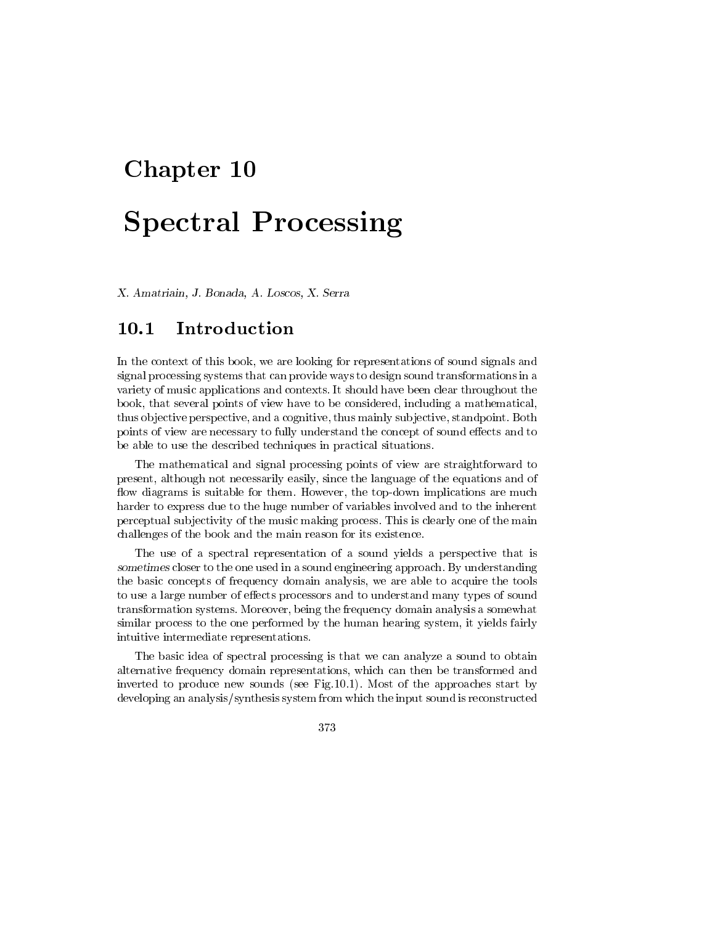# Chapter 10 **Spectral Processing**

X. Amatriain, J. Bonada, A. Loscos, X. Serra

#### 10.1 Introduction

In the context of this book, we are looking for representations of sound signals and signal processing systems that can provide ways to design sound transformations in a variety of music applications and contexts. It should have been clear throughout the book, that several points of view have to be considered, including a mathematical, thus objective perspective, and a cognitive, thus mainly subjective, standpoint. Both points of view are necessary to fully understand the concept of sound effects and to be able to use the described techniques in practical situations.

The mathematical and signal processing points of view are straightforward to present, although not necessarily easily, since the language of the equations and of flow diagrams is suitable for them. However, the top-down implications are much harder to express due to the huge number of variables involved and to the inherent perceptual subjectivity of the music making process. This is clearly one of the main challenges of the book and the main reason for its existence.

The use of a spectral representation of a sound yields a perspective that is sometimes closer to the one used in a sound engineering approach. By understanding the basic concepts of frequency domain analysis, we are able to acquire the tools to use a large number of effects processors and to understand many types of sound transformation systems. Moreover, being the frequency domain analysis a somewhat similar process to the one performed by the human hearing system, it yields fairly intuitive intermediate representations.

The basic idea of spectral processing is that we can analyze a sound to obtain alternative frequency domain representations, which can then be transformed and inverted to produce new sounds (see Fig. 10.1). Most of the approaches start by developing an analysis/synthesis system from which the input sound is reconstructed

373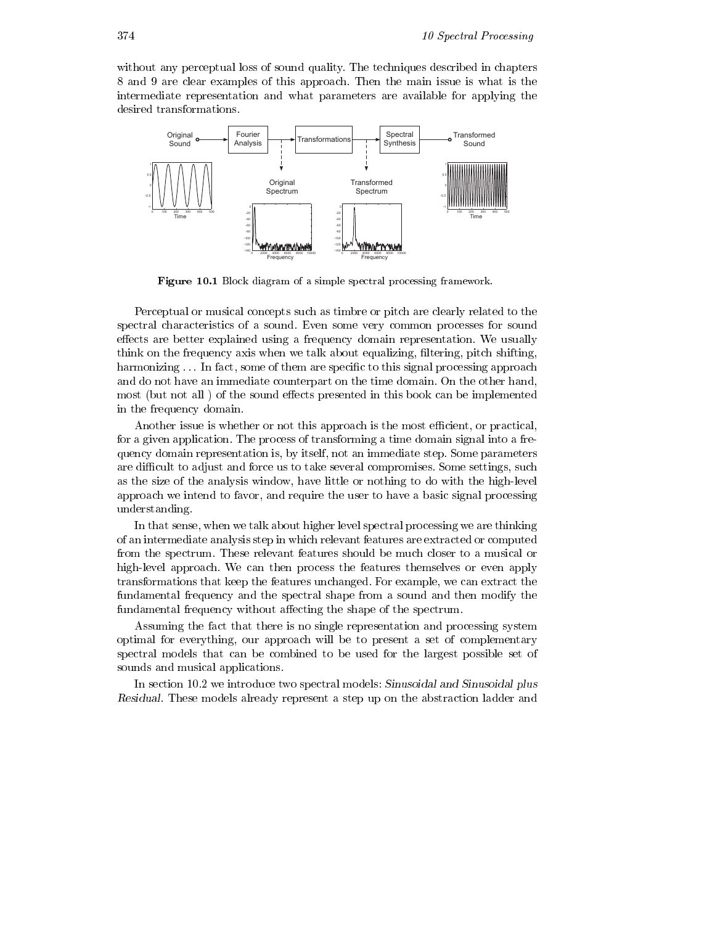without any perceptual loss of sound quality. The techniques described in chapters 8 and 9 are clear examples of this approach. Then the main issue is what is the intermediate representation and what parameters are available for applying the desired transformations.



Figure 10.1 Block diagram of a simple spectral processing framework.

Perceptual or musical concepts such as timbre or pitch are clearly related to the spectral characteristics of a sound. Even some very common processes for sound effects are better explained using a frequency domain representation. We usually think on the frequency axis when we talk about equalizing, filtering, pitch shifting, harmonizing ... In fact, some of them are specific to this signal processing approach and do not have an immediate counterpart on the time domain. On the other hand, most (but not all) of the sound effects presented in this book can be implemented in the frequency domain.

Another issue is whether or not this approach is the most efficient, or practical, for a given application. The process of transforming a time domain signal into a frequency domain representation is, by itself, not an immediate step. Some parameters are difficult to adjust and force us to take several compromises. Some settings, such as the size of the analysis window, have little or nothing to do with the high-level approach we intend to favor, and require the user to have a basic signal processing understanding.

In that sense, when we talk about higher level spectral processing we are thinking of an intermediate analysis step in which relevant features are extracted or computed from the spectrum. These relevant features should be much closer to a musical or high-level approach. We can then process the features themselves or even apply transformations that keep the features unchanged. For example, we can extract the fundamental frequency and the spectral shape from a sound and then modify the fundamental frequency without affecting the shape of the spectrum.

Assuming the fact that there is no single representation and processing system optimal for everything, our approach will be to present a set of complementary spectral models that can be combined to be used for the largest possible set of sounds and musical applications.

In section 10.2 we introduce two spectral models: Sinusoidal and Sinusoidal plus Residual. These models already represent a step up on the abstraction ladder and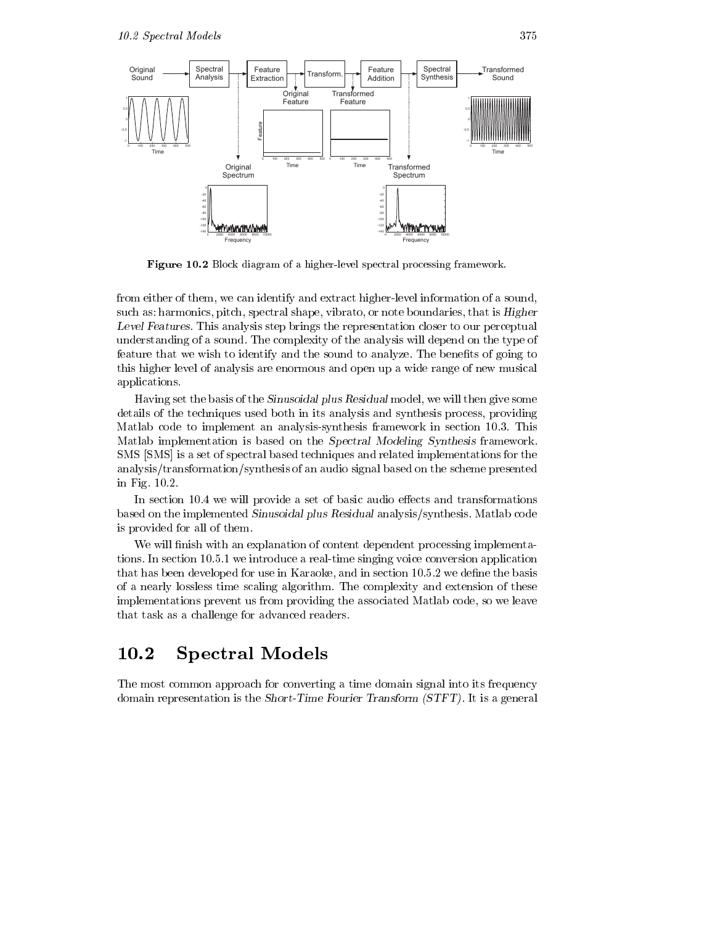

 $\blacksquare$  . The second complete of a might is the specified processing manifest of m

 - - - " - - - 8 -  - - -  - - - -- - - - - - - - - -\$ -3 ence ingive force of chicappine care encrities as can the open applies where receipt of new methods are the co -

 $\mathbf{r}_1, \mathbf{r}_2, \mathbf{r}_3, \mathbf{r}_4, \mathbf{r}_5, \mathbf{r}_6, \mathbf{r}_7, \mathbf{r}_8, \mathbf{r}_9, \mathbf{r}_1, \mathbf{r}_2, \mathbf{r}_3, \mathbf{r}_4, \mathbf{r}_5, \mathbf{r}_7, \mathbf{r}_8, \mathbf{r}_9, \mathbf{r}_9, \mathbf{r}_1, \mathbf{r}_2, \mathbf{r}_3, \mathbf{r}_5, \mathbf{r}_7, \mathbf{r}_8, \mathbf{r}_9, \mathbf{r}_9, \mathbf{r}_1, \mathbf{$ account of the coording and about 500 in 100 willet join with 57 interests become process interest Matlab code to implement an analysis-synthesis framework in section 10.3. This # - -  -  $\alpha$  . The state of  $\alpha$  is the second to the second continue the state to the second interaction of the state of  $\alpha$  $\frac{1}{2}$   $\frac{1}{2}$   $\frac{1}{2}$   $\frac{1}{2}$   $\frac{1}{2}$   $\frac{1}{2}$   $\frac{1}{2}$   $\frac{1}{2}$   $\frac{1}{2}$   $\frac{1}{2}$   $\frac{1}{2}$   $\frac{1}{2}$   $\frac{1}{2}$   $\frac{1}{2}$   $\frac{1}{2}$   $\frac{1}{2}$   $\frac{1}{2}$   $\frac{1}{2}$   $\frac{1}{2}$   $\frac{1}{2}$   $\frac{1}{2}$   $\frac{1}{2}$  in Fig. 10.2.

In section 10.4 we will provide a set of basic audio effects and transformations  $\alpha$  ,  $\alpha$  ,  $\alpha$  ,  $\alpha$  ,  $\alpha$  ,  $\alpha$  ,  $\alpha$  ,  $\alpha$  ,  $\alpha$  ,  $\alpha$  ,  $\alpha$  ,  $\alpha$  ,  $\alpha$  ,  $\alpha$  ,  $\alpha$  ,  $\alpha$  ,  $\alpha$  ,  $\alpha$  ,  $\alpha$  ,  $\alpha$  ,  $\alpha$  ,  $\alpha$  ,  $\alpha$  ,  $\alpha$  ,  $\alpha$  ,  $\alpha$  ,  $\alpha$  ,  $\alpha$  ,  $\alpha$  ,  $\alpha$  ,  $\alpha$  ,  $\alpha$ 10 province 101 am 01 chemi

 $\mathcal{L}$  ,  $\mathcal{L}$  ,  $\mathcal{L}$  is the state of  $\mathcal{L}$  . The state of the state of the state of  $\mathcal{L}$  is the state of  $\mathcal{L}$  and  $\mathcal{L}$  is the state of  $\mathcal{L}$ tions. In section 10.5.1 we introduce a real-time singing voice conversion application that has been developed for use in Karaoke, and in section 10.5.2 we define the basi - - - - - - - - - # 
 - -

## 10.2 **Spectral Models**

 - - - - - - -  $\alpha$  -means representative and  $\rho$  norget remains required in  $\rho$  retails respectively.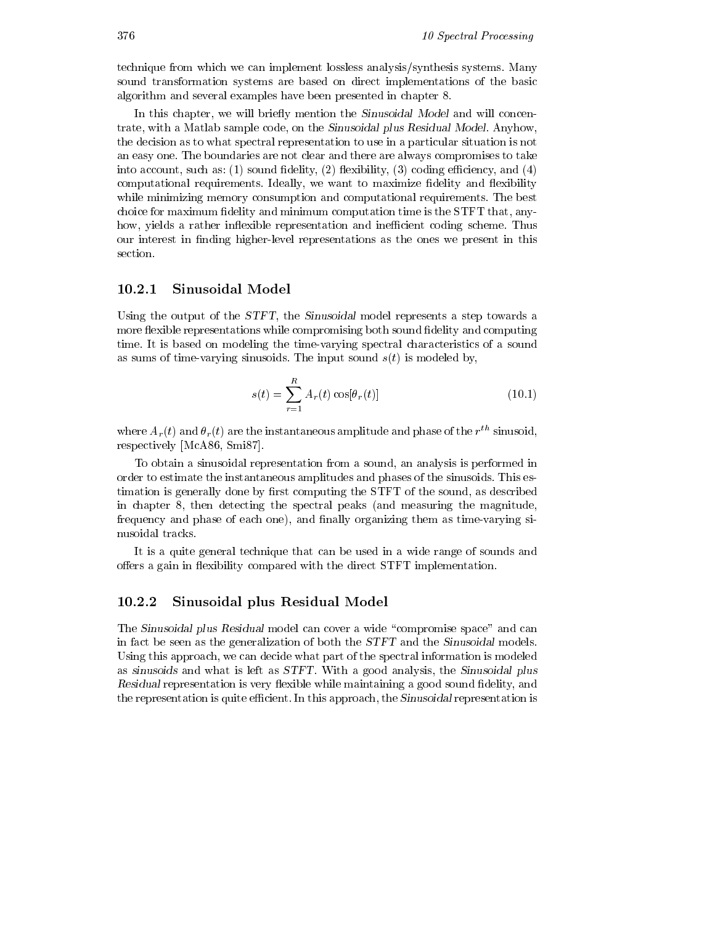technique from which we can implement lossless analysis/synthesis systems. Many sound transformation systems are based on direct implementations of the basic algorithm and several examples have been presented in chapter 8.

In this chapter, we will briefly mention the Sinusoidal Model and will concentrate, with a Matlab sample code, on the Sinusoidal plus Residual Model. Anyhow, the decision as to what spectral representation to use in a particular situation is not an easy one. The boundaries are not clear and there are always compromises to take into account, such as: (1) sound fidelity, (2) flexibility, (3) coding efficiency, and (4) computational requirements. Ideally, we want to maximize fidelity and flexibility while minimizing memory consumption and computational requirements. The best choice for maximum fidelity and minimum computation time is the STFT that, anyhow, yields a rather inflexible representation and inefficient coding scheme. Thus our interest in finding higher-level representations as the ones we present in this section.

#### 10.2.1 Sinusoidal Model

Using the output of the STFT, the Sinusoidal model represents a step towards a more flexible representations while compromising both sound fidelity and computing time. It is based on modeling the time-varying spectral characteristics of a sound as sums of time-varying sinusoids. The input sound  $s(t)$  is modeled by,

$$
s(t) = \sum_{r=1}^{R} A_r(t) \cos[\theta_r(t)]
$$
 (10.1)

where  $A_r(t)$  and  $\theta_r(t)$  are the instantaneous amplitude and phase of the  $r^{th}$  sinusoid, respectively [McA86, Smi87].

To obtain a sinusoidal representation from a sound, an analysis is performed in order to estimate the instantaneous amplitudes and phases of the sinusoids. This estimation is generally done by first computing the STFT of the sound, as described in chapter 8, then detecting the spectral peaks (and measuring the magnitude, frequency and phase of each one), and finally organizing them as time-varying sinusoidal tracks.

It is a quite general technique that can be used in a wide range of sounds and offers a gain in flexibility compared with the direct STFT implementation.

#### Sinusoidal plus Residual Model 10.2.2

The Sinusoidal plus Residual model can cover a wide "compromise space" and can in fact be seen as the generalization of both the STFT and the Sinusoidal models. Using this approach, we can decide what part of the spectral information is modeled as sinusoids and what is left as STFT. With a good analysis, the Sinusoidal plus Residual representation is very flexible while maintaining a good sound fidelity, and the representation is quite efficient. In this approach, the Sinusoidal representation is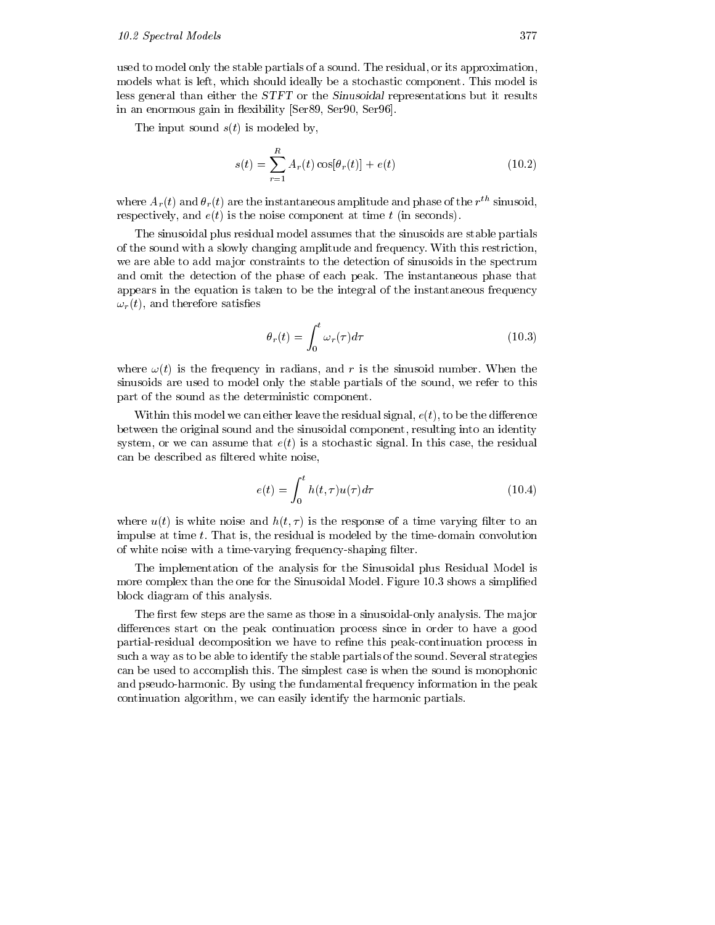used to model only the stable partials of a sound. The residual, or its approximation, models what is left, which should ideally be a stochastic component. This model is less general than either the STFT or the Sinusoidal representations but it results in an enormous gain in flexibility [Ser89, Ser90, Ser96].

The input sound  $s(t)$  is modeled by,

$$
s(t) = \sum_{r=1}^{R} A_r(t) \cos[\theta_r(t)] + e(t)
$$
 (10.2)

where  $A_r(t)$  and  $\theta_r(t)$  are the instantaneous amplitude and phase of the  $r^{th}$  sinusoid. respectively, and  $e(t)$  is the noise component at time t (in seconds).

The sinusoidal plus residual model assumes that the sinusoids are stable partials of the sound with a slowly changing amplitude and frequency. With this restriction, we are able to add major constraints to the detection of sinusoids in the spectrum and omit the detection of the phase of each peak. The instantaneous phase that appears in the equation is taken to be the integral of the instantaneous frequency  $\omega_r(t)$ , and therefore satisfies

$$
\theta_r(t) = \int_0^t \omega_r(\tau) d\tau \tag{10.3}
$$

where  $\omega(t)$  is the frequency in radians, and r is the sinusoid number. When the sinusoids are used to model only the stable partials of the sound, we refer to this part of the sound as the deterministic component.

Within this model we can either leave the residual signal,  $e(t)$ , to be the difference between the original sound and the sinusoidal component, resulting into an identity system, or we can assume that  $e(t)$  is a stochastic signal. In this case, the residual can be described as filtered white noise,

$$
e(t) = \int_0^t h(t, \tau)u(\tau)d\tau
$$
\n(10.4)

where  $u(t)$  is white noise and  $h(t, \tau)$  is the response of a time varying filter to an impulse at time t. That is, the residual is modeled by the time-domain convolution of white noise with a time-varying frequency-shaping filter.

The implementation of the analysis for the Sinusoidal plus Residual Model is more complex than the one for the Sinusoidal Model. Figure 10.3 shows a simplified block diagram of this analysis.

The first few steps are the same as those in a sinusoidal-only analysis. The major differences start on the peak continuation process since in order to have a good partial-residual decomposition we have to refine this peak-continuation process in such a way as to be able to identify the stable partials of the sound. Several strategies can be used to accomplish this. The simplest case is when the sound is monophonic and pseudo-harmonic. By using the fundamental frequency information in the peak continuation algorithm, we can easily identify the harmonic partials.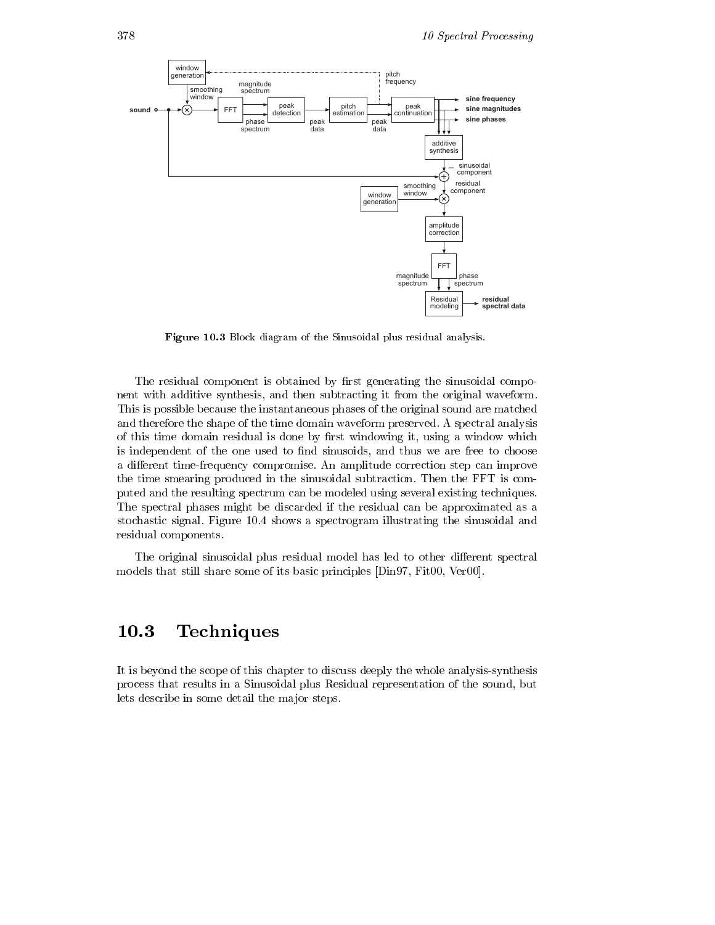

- Agus o fore biour drogram or the sings-state pide reduction of the second second second second second second

 --  -  3 - - - " -- - - -  - -   --- - -  $\alpha$  . The state of the strong contribution of  $\alpha$  such that  $\alpha$  is the state  $\alpha$  . The state of  $\alpha$  is the state of  $\alpha$  $\alpha$  and  $\alpha$  into  $\alpha$  international to  $\alpha$  and  $\alpha$  is the set of the  $\alpha$  in  $\alpha$  in  $\alpha$  is a set of  $\alpha$  --- - 3- - w will can character the complete complete the complete and corrected to the coop complete the coop - - -  - - && " - - -  - - the specified phosphere implies we allocated it che foste and complete approximately on to stochastic signal. Figure 10.4 shows a spectrogram illustrating the sinusoidal and roord don't component of

 $\blacksquare$  . The contract of the contract of the contract of the contract of the contract of the contract of the contract of the contract of the contract of the contract of the contract of the contract of the contract of the  - :D -/, & (( E((;

## 10.3

to in a closic city and hooks of eight city heat to discusse deeply the minute commission alternative to the process that results in a simulation prost weather representative is the second of  $\frac{1}{2}$ 1000 GODDING IN DOME GODDIN 0110 MICH 00 DDD.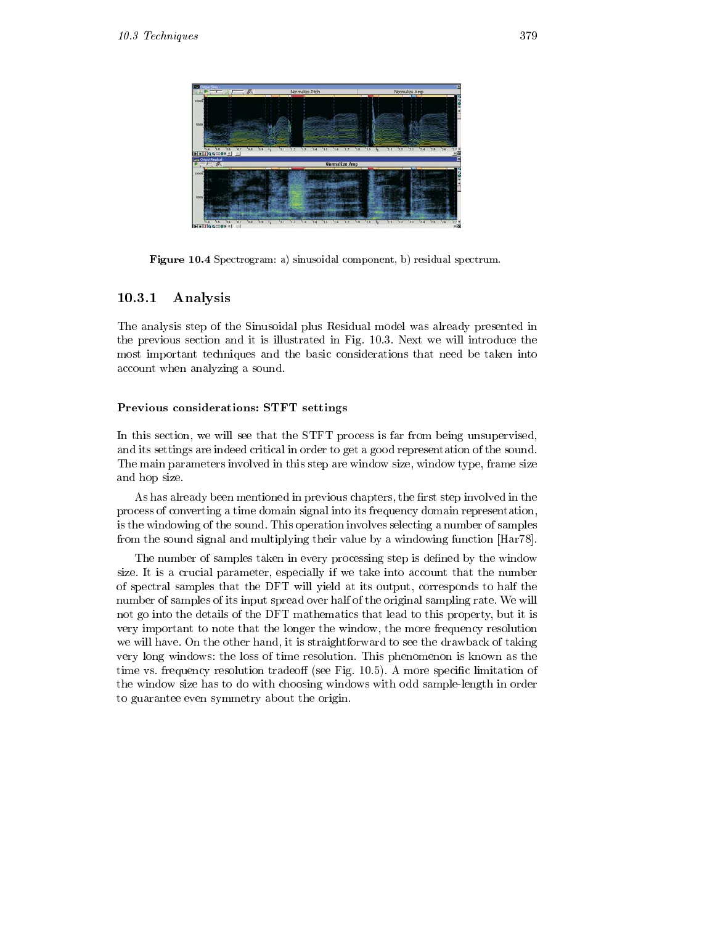

Figure 10.4 Spectrogram: a) sinusoidal component, b) residual spectrum.

#### 10.3.1 Analysis

The analysis step of the Sinusoidal plus Residual model was already presented in the previous section and it is illustrated in Fig. 10.3. Next we will introduce the most important techniques and the basic considerations that need be taken into account when analyzing a sound.

## Previous considerations: STFT settings

In this section, we will see that the STFT process is far from being unsupervised, and its settings are indeed critical in order to get a good representation of the sound. The main parameters involved in this step are window size, window type, frame size and hop size.

As has already been mentioned in previous chapters, the first step involved in the process of converting a time domain signal into its frequency domain representation, is the windowing of the sound. This operation involves selecting a number of samples from the sound signal and multiplying their value by a windowing function [Har78].

The number of samples taken in every processing step is defined by the window size. It is a crucial parameter, especially if we take into account that the number of spectral samples that the DFT will yield at its output, corresponds to half the number of samples of its input spread over half of the original sampling rate. We will not go into the details of the DFT mathematics that lead to this property, but it is very important to note that the longer the window, the more frequency resolution we will have. On the other hand, it is straightforward to see the drawback of taking very long windows: the loss of time resolution. This phenomenon is known as the time vs. frequency resolution tradeoff (see Fig. 10.5). A more specific limitation of the window size has to do with choosing windows with odd sample-length in order to guarantee even symmetry about the origin.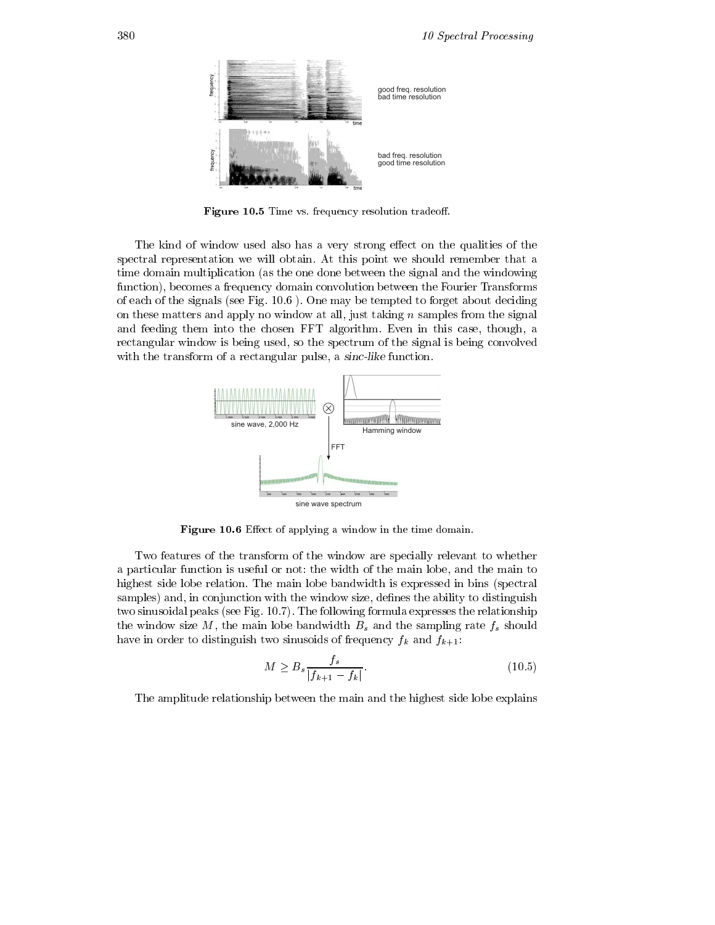

r igare roto rune to negativi resolution craditativ

the miles of willies who who has a very second circuity of the second specification of the - -  - 5 -   $\frac{1}{2}$  . The contract of  $\frac{1}{2}$  and  $\frac{1}{2}$  and  $\frac{1}{2}$  and  $\frac{1}{2}$  and  $\frac{1}{2}$  and  $\frac{1}{2}$  and  $\frac{1}{2}$  . There is the  $\frac{1}{2}$  - -)  - - - - - & of each of the signals (see Fig.  $10.6$  ). One may be tempted to forget about deciding  $\alpha$  -  $\alpha$  -  $\alpha$  -  $\alpha$  -  $\alpha$  -  $\alpha$  -  $\alpha$  -  $\alpha$  -  $\alpha$  -  $\alpha$  -  $\alpha$  -  $\alpha$  -  $\alpha$  -  $\alpha$  -  $\alpha$  -  $\alpha$  -  $\alpha$  -  $\alpha$  -  $\alpha$  -  $\alpha$  -  $\alpha$  -  $\alpha$  -  $\alpha$  -  $\alpha$  -  $\alpha$  -  $\alpha$  -  $\alpha$  -  $\alpha$  -  $\alpha$  -  $\alpha$  -  $\alpha$  -  $\alpha$ - - - - && 1- - - -  - -  - where the transferred of the collection possible to the manufacture of the second of the second of the second of the second of the second of the second of the second of the second of the second of the second of the second



- !  - 

 - - a parametrization is aborat of flow and where the computer and the computer of and the first the co  - -  - -  - % ) - - -- - - \$ 3-  two sinusoidal peaks (see Fig. 10.7). The following formula expresses the relationship  $\frac{1}{2}$  . The state is the mean fost search rath by the state strip in  $\alpha$  is the arc strip in  $\alpha$  $\mathbf{r}$  and  $\mathbf{r}$  are the contractional contraction of  $\mathbf{r}$  and  $\mathbf{r}$  and  $\mathbf{r}$  and  $\mathbf{r}$ 

$$
M \ge B_s \frac{f_s}{|f_{k+1} - f_k|}.\tag{10.5}
$$

the campaign received containing week can allow the care and inglied stay from the complete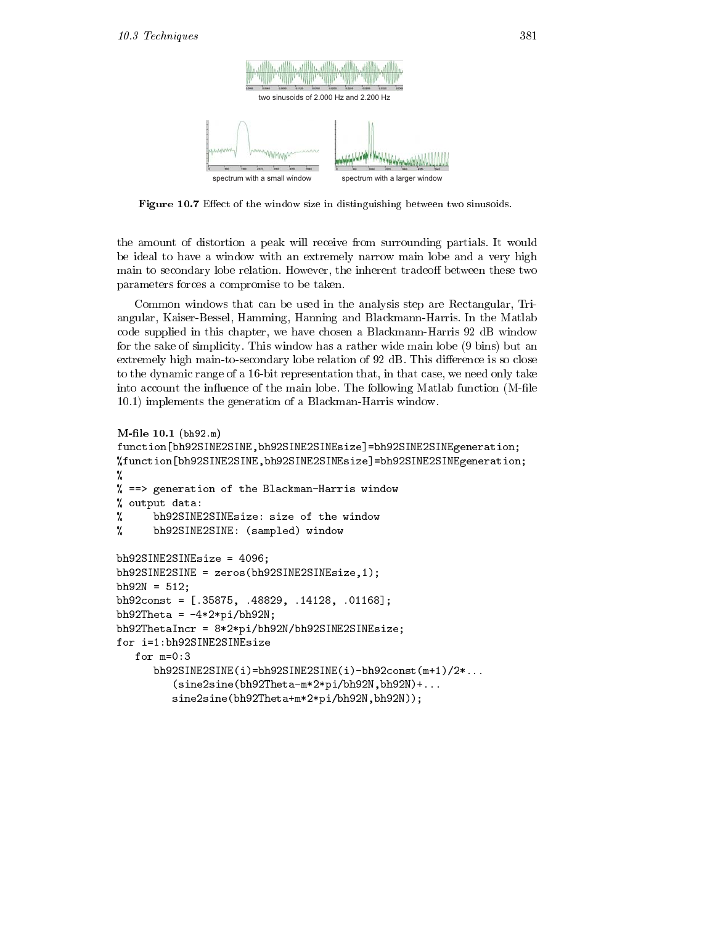

Figure 10.7 Effect of the window size in distinguishing between two sinusoids.

the amount of distortion a peak will receive from surrounding partials. It would be ideal to have a window with an extremely narrow main lobe and a very high main to secondary lobe relation. However, the inherent tradeoff between these two parameters forces a compromise to be taken.

Common windows that can be used in the analysis step are Rectangular, Triangular, Kaiser-Bessel, Hamming, Hanning and Blackmann-Harris. In the Matlab code supplied in this chapter, we have chosen a Blackmann-Harris 92 dB window for the sake of simplicity. This window has a rather wide main lobe (9 bins) but an extremely high main-to-secondary lobe relation of 92 dB. This difference is so close to the dynamic range of a 16-bit representation that, in that case, we need only take into account the influence of the main lobe. The following Matlab function (M-file 10.1) implements the generation of a Blackman-Harris window.

```
M-file 10.1 (bh92.m)
function[bh92SINE2SINE,bh92SINE2SINEsize]=bh92SINE2SINEgeneration;
%function[bh92SINE2SINE,bh92SINE2SINEsize]=bh92SINE2SINEgeneration;
\%% ==> generation of the Blackman-Harris window
% output data:
%
      bh92SINE2SINEsize: size of the window
%
      bh92SINE2SINE: (sampled) window
bh92SINE2SINEsize = 4096;bh92SINE2SINE = zeros(bh92SINE2SINEsize, 1);bh92N = 512:
bh92const = [0.35875, 0.48829, 0.14128, 0.01168];
bh92Theta = -4*2*pi/bh92N;bh92ThetaIncr = 8*2*pi/bh92N/bh92SINE2SINEsize;for i=1:bh92SINE2SINEsize
   for m=0:3bh92SINE2SINE(i)=bh92SINE2SINE(i)-bh92const(m+1)/2*...(sine2sine(bh92Theta-m*2*pi/bh92N,bh92N)+...sine2sine(bh92Theta+m*2*pi/bh92N,bh92N));
```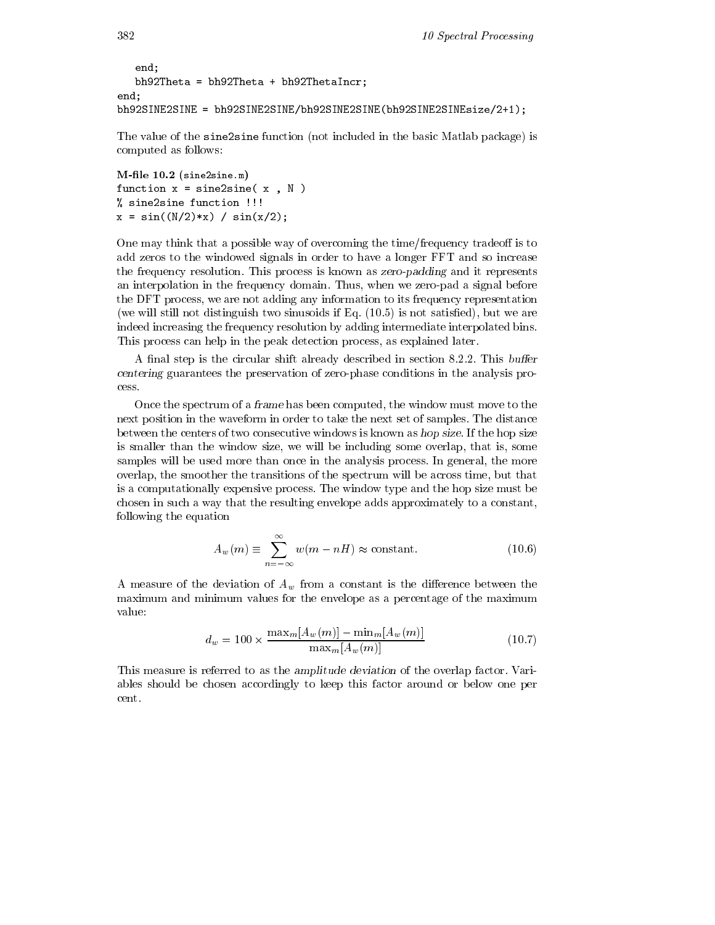```
end:bh92Theta = bh92Theta + bh92ThetaIncr;
end:bh92SINE2SINE = bh92SINE2SINE/bh92SINE2SINE(bh92SINE2SINE2SINEsize/2+1);
```
The value of the sine2sine function (not included in the basic Matlab package) is computed as follows:

```
M-file 10.2 (sine2sine.m)
function x = sine2sine(x, N)% sine2sine function !!!
x = sin((N/2) * x) / sin(x/2);
```
One may think that a possible way of overcoming the time/frequency tradeoff is to add zeros to the windowed signals in order to have a longer FFT and so increase the frequency resolution. This process is known as zero-padding and it represents an interpolation in the frequency domain. Thus, when we zero-pad a signal before the DFT process, we are not adding any information to its frequency representation (we will still not distinguish two sinusoids if Eq.  $(10.5)$  is not satisfied), but we are indeed increasing the frequency resolution by adding intermediate interpolated bins. This process can help in the peak detection process, as explained later.

A final step is the circular shift already described in section 8.2.2. This buffer centering guarantees the preservation of zero-phase conditions in the analysis process.

Once the spectrum of a frame has been computed, the window must move to the next position in the waveform in order to take the next set of samples. The distance between the centers of two consecutive windows is known as *hop size*. If the hop size is smaller than the window size, we will be including some overlap, that is, some samples will be used more than once in the analysis process. In general, the more overlap, the smoother the transitions of the spectrum will be across time, but that is a computationally expensive process. The window type and the hop size must be chosen in such a way that the resulting envelope adds approximately to a constant, following the equation

$$
A_w(m) \equiv \sum_{n=-\infty}^{\infty} w(m - nH) \approx \text{constant.}
$$
 (10.6)

A measure of the deviation of  $A_w$  from a constant is the difference between the maximum and minimum values for the envelope as a percentage of the maximum value:

$$
d_w = 100 \times \frac{\max_{m} [A_w(m)] - \min_{m} [A_w(m)]}{\max_{m} [A_w(m)]}
$$
(10.7)

This measure is referred to as the amplitude deviation of the overlap factor. Variables should be chosen accordingly to keep this factor around or below one per cent.

382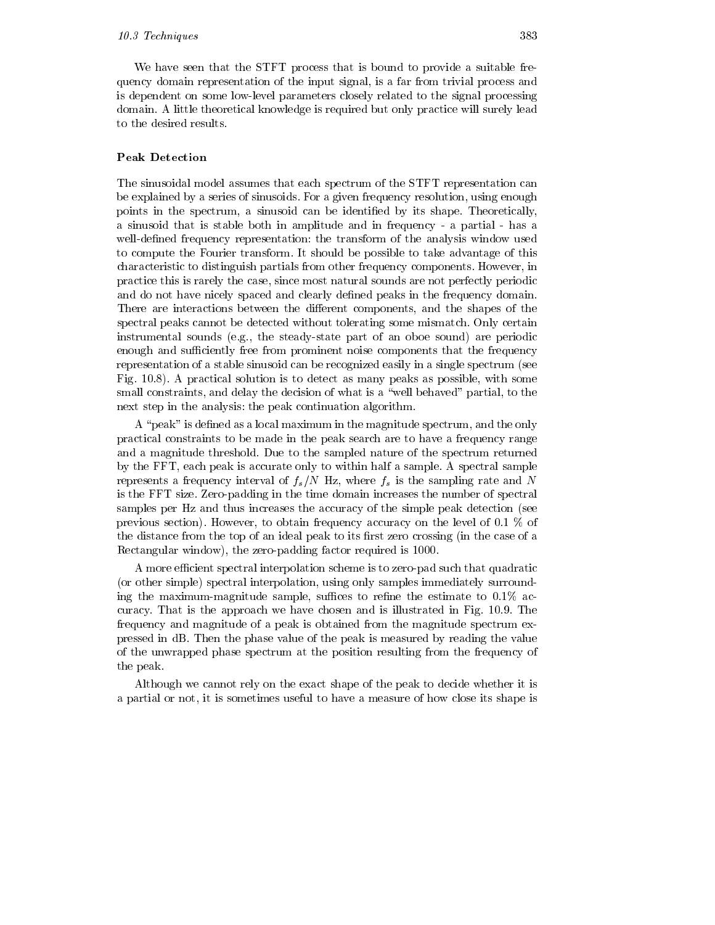We have seen that the STFT process that is bound to provide a suitable frequency domain representation of the input signal, is a far from trivial process and is dependent on some low-level parameters closely related to the signal processing domain. A little theoretical knowledge is required but only practice will surely lead to the desired results.

## **Peak Detection**

The sinusoidal model assumes that each spectrum of the STFT representation can be explained by a series of sinusoids. For a given frequency resolution, using enough points in the spectrum, a sinusoid can be identified by its shape. Theoretically, a sinusoid that is stable both in amplitude and in frequency - a partial - has a well-defined frequency representation: the transform of the analysis window used to compute the Fourier transform. It should be possible to take advantage of this characteristic to distinguish partials from other frequency components. However, in practice this is rarely the case, since most natural sounds are not perfectly periodic and do not have nicely spaced and clearly defined peaks in the frequency domain. There are interactions between the different components, and the shapes of the spectral peaks cannot be detected without tolerating some mismatch. Only certain instrumental sounds (e.g., the steady-state part of an oboe sound) are periodic enough and sufficiently free from prominent noise components that the frequency representation of a stable sinusoid can be recognized easily in a single spectrum (see Fig. 10.8). A practical solution is to detect as many peaks as possible, with some small constraints, and delay the decision of what is a "well behaved" partial, to the next step in the analysis: the peak continuation algorithm.

A "peak" is defined as a local maximum in the magnitude spectrum, and the only practical constraints to be made in the peak search are to have a frequency range and a magnitude threshold. Due to the sampled nature of the spectrum returned by the FFT, each peak is accurate only to within half a sample. A spectral sample represents a frequency interval of  $f_s/N$  Hz, where  $f_s$  is the sampling rate and N is the FFT size. Zero-padding in the time domain increases the number of spectral samples per Hz and thus increases the accuracy of the simple peak detection (see previous section). However, to obtain frequency accuracy on the level of 0.1  $\%$  of the distance from the top of an ideal peak to its first zero crossing (in the case of a Rectangular window), the zero-padding factor required is 1000.

A more efficient spectral interpolation scheme is to zero-pad such that quadratic (or other simple) spectral interpolation, using only samples immediately surrounding the maximum-magnitude sample, suffices to refine the estimate to  $0.1\%$  accuracy. That is the approach we have chosen and is illustrated in Fig. 10.9. The frequency and magnitude of a peak is obtained from the magnitude spectrum expressed in dB. Then the phase value of the peak is measured by reading the value of the unwrapped phase spectrum at the position resulting from the frequency of the peak.

Although we cannot rely on the exact shape of the peak to decide whether it is a partial or not, it is sometimes useful to have a measure of how close its shape is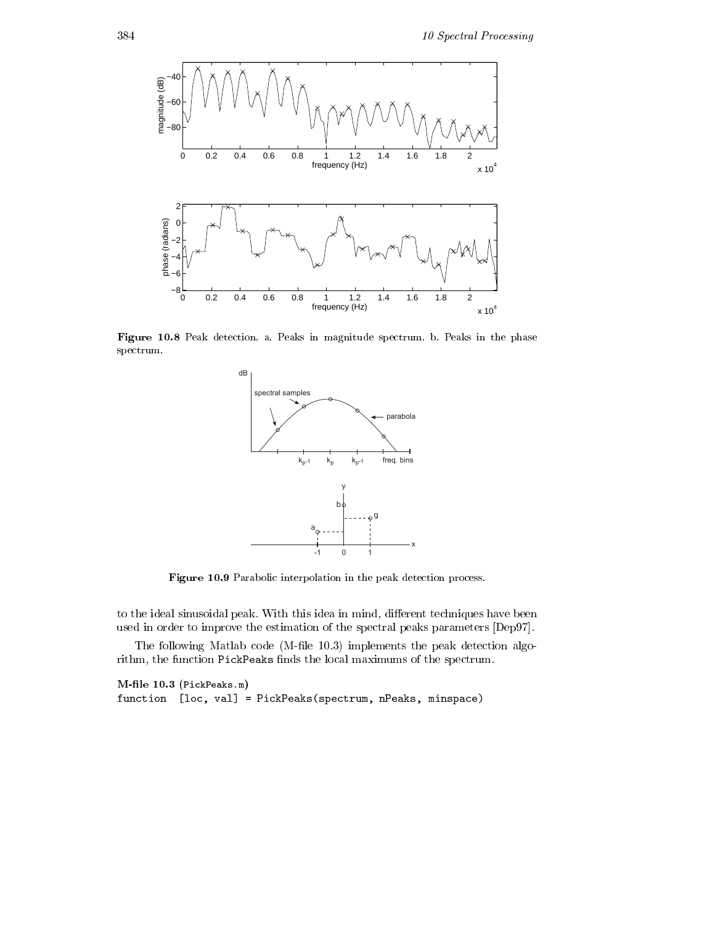

- # # # 



r radio role radiabano metrologicion in eno possi decedente processi

 - 
 2 - - - - -- - 
 :D/,;

The following Matlab code (M-file  $10.3$ ) implements the peak detection algo- - - 88 3- 

 $\cdots$   $\cdots$   $\cdots$   $\cdots$ function [loc, val] = PickPeaks(spectrum, nPeaks, minspace)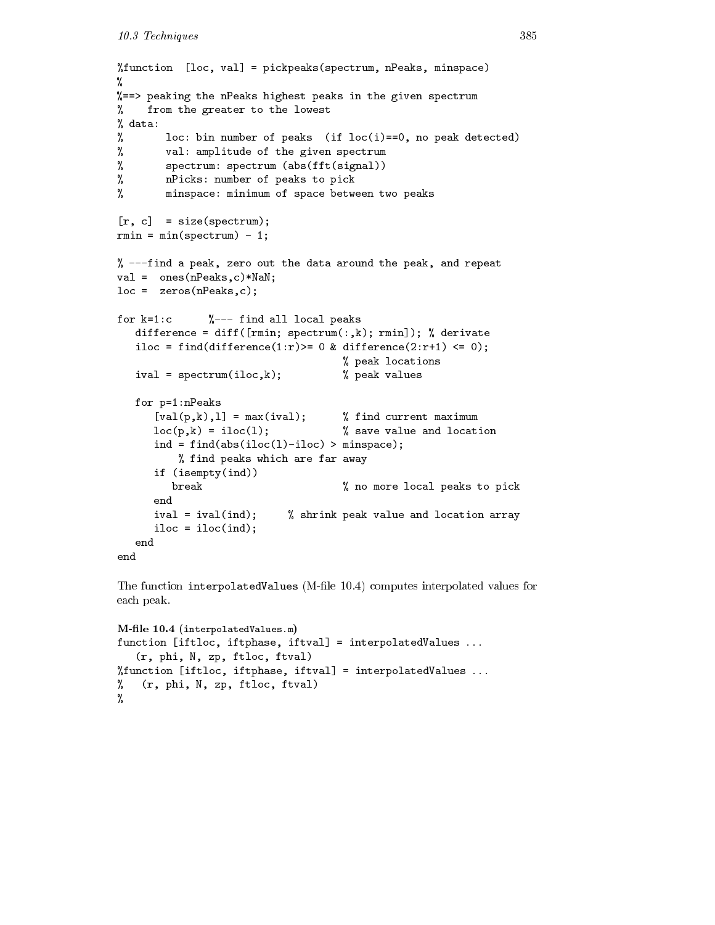```
"function [loc, val] = pickpeaks (spectrum, nPeaks, minspace)
%
%==> peaking the nPeaks highest peaks in the given spectrum
%
    from the greater to the lowest
% data:
\%loc: bin number of peaks (if loc(i) == 0, no peak detected)
%
        val: amplitude of the given spectrum
%
        spectrum: spectrum (abs(fft(signal))
%
        nPicks: number of peaks to pick
        minspace: minimum of space between two peaks
%
[r, c] = size(spectrum);rmin = min(spectrum) - 1;% ---find a peak, zero out the data around the peak, and repeat
val = ones(nPeaks, c) * NaN;loc = zeros(nPeaks, c);for k=1:c%--- find all local peaks
   difference = diff([rmin; spectrum(:,k); rmin]); % derivate
   iloc = find(difference(1:r)>= 0 & difference(2:r+1) <= 0);
                                     % peak locations
   ival = spectrum(iloc, k);% peak values
   for p=1:nPeaks
      [val(p, k), 1] = max(ival);% find current maximum
      loc(p, k) = iloc(1);% save value and location
      ind = find(abs(iloc(1)-iloc) > minspace);
          % find peaks which are far away
      if (isempty(ind))
         break
                                     % no more local peaks to pick
      endival = ival(ind);% shrink peak value and location array
      iloc = iloc(ind);end
end
```
The function interpolated Values (M-file 10.4) computes interpolated values for each peak.

```
M-file 10.4 (interpolatedValues.m)
function [iftloc, iftphase, iftval] = interpolatedValues ...
   (r, phi, N, zp, ftloc, ftval)
"function [iftloc, iftphase, iftval] = interpolatedValues ...
%
   (r, phi, N, zp, ftloc, ftval)
%
```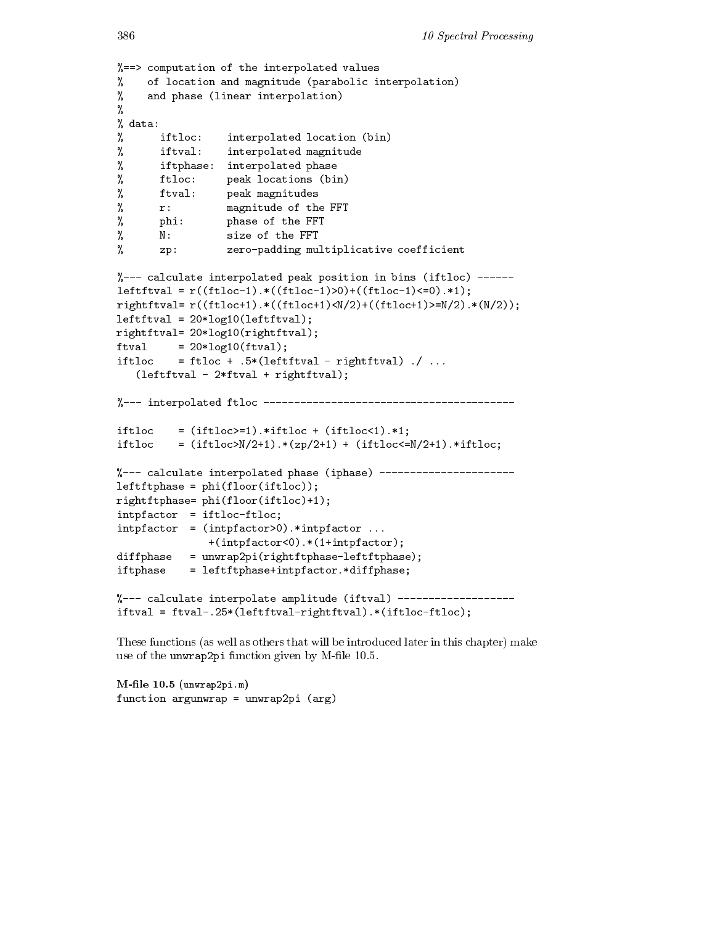```
%==> computation of the interpolated values
     of location and magnitude (parabolic interpolation)
%
\%and phase (linear interpolation)
%
% data:
\%iftloc: interpolated location (bin)
     iftval: interpolated magnitude
%
     iftphase: interpolated phase
%
%
      ftloc: peak locations (bin)
     ftval: peak magnitudes
%
      r: magnitude of the FFT<br>phi: phase of the FFT<br>N: size of the FFT
%
     \mathbf{r}:
%
%
      N:size of the FFT
%
               zero-padding multiplicative coefficient
      zp:%--- calculate interpolated peak position in bins (iftloc) ------
leftural = r((ftloc-1)*( (ftloc-1) > 0) + ((ftloc-1) < 0) * 1);rightftval=r((ftloc+1)*( (ftloc+1) < N/2) + ((ftloc+1) > N/2) . * (N/2));leftural = 20 * log10 (leftEval);rightftval= 20*log10(rightftval);
ftval
        = 20*log10(ftval);iftloc = ftloc + .5*(lefttual - rightftval) ./ ...
   (leftftval - 2*ftval + rightftval);
= (ittloc>=1).*iftloc + (iftloc<1).*1;iftloc
iftloc
         = (ittloc>N/2+1). * (zp/2+1) + (ittloc<=N/2+1). *iftloc;
%--- calculate interpolated phase (iphase) ----------------------
leftthase = phi(floor(itloc));rightftphase= phi(floor(iftloc)+1);
intpfactor = iftloc-ftloc;intpfactor = (intpfactor>0) .*intpfactor ...+(intpfactor<0). *(1+intpfactor);
           = unwrap2pi(rightftphase-leftftphase);
diffphase
iftphase
           = leftftphase+intpfactor.*diffphase;
%--- calculate interpolate amplitude (iftval) -------------------
iftval = ftval-.25*(leftftval-rightftval).*(iftloc-ftloc);
```
These functions (as well as others that will be introduced later in this chapter) make use of the unwrap2pi function given by M-file 10.5.

 $M$ -file 10.5 (unwrap2pi.m) function  $argunwrap = unwrap2pi (arg)$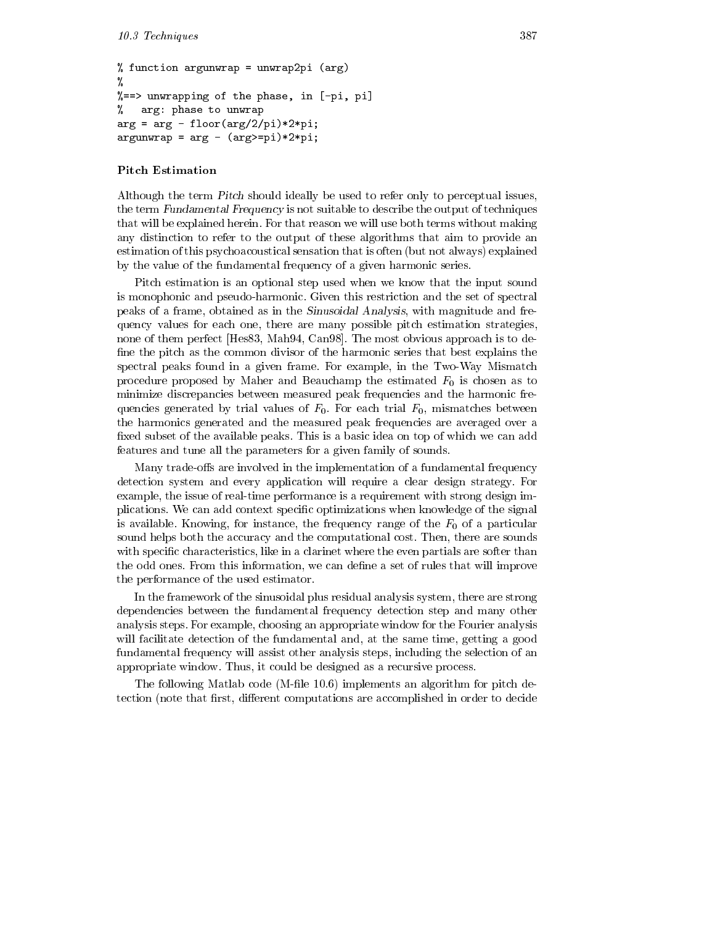```
% function argunwrap = unwrap2pi (arg)
%
%==> unwrapping of the phase, in [-pi, pi]
    arg: phase to unwrap
%
arg = arg - floor(arg/2/pi) * 2 * pi;argunwrap = arg - (arg>=pi) * 2 * pi;
```
## **Pitch Estimation**

Although the term *Pitch* should ideally be used to refer only to perceptual issues, the term Fundamental Frequency is not suitable to describe the output of techniques that will be explained herein. For that reason we will use both terms without making any distinction to refer to the output of these algorithms that aim to provide an estimation of this psychoacoustical sensation that is often (but not always) explained by the value of the fundamental frequency of a given harmonic series.

Pitch estimation is an optional step used when we know that the input sound is monophonic and pseudo-harmonic. Given this restriction and the set of spectral peaks of a frame, obtained as in the Sinusoidal Analysis, with magnitude and frequency values for each one, there are many possible pitch estimation strategies, none of them perfect [Hes83, Mah94, Can98]. The most obvious approach is to define the pitch as the common divisor of the harmonic series that best explains the spectral peaks found in a given frame. For example, in the Two-Way Mismatch procedure proposed by Maher and Beauchamp the estimated  $F_0$  is chosen as to minimize discrepancies between measured peak frequencies and the harmonic frequencies generated by trial values of  $F_0$ . For each trial  $F_0$ , mismatches between the harmonics generated and the measured peak frequencies are averaged over a fixed subset of the available peaks. This is a basic idea on top of which we can add features and tune all the parameters for a given family of sounds.

Many trade-offs are involved in the implementation of a fundamental frequency detection system and every application will require a clear design strategy. For example, the issue of real-time performance is a requirement with strong design implications. We can add context specific optimizations when knowledge of the signal is available. Knowing, for instance, the frequency range of the  $F_0$  of a particular sound helps both the accuracy and the computational cost. Then, there are sounds with specific characteristics, like in a clarinet where the even partials are softer than the odd ones. From this information, we can define a set of rules that will improve the performance of the used estimator.

In the framework of the sinusoidal plus residual analysis system, there are strong dependencies between the fundamental frequency detection step and many other analysis steps. For example, choosing an appropriate window for the Fourier analysis will facilitate detection of the fundamental and, at the same time, getting a good fundamental frequency will assist other analysis steps, including the selection of an appropriate window. Thus, it could be designed as a recursive process.

The following Matlab code (M-file 10.6) implements an algorithm for pitch detection (note that first, different computations are accomplished in order to decide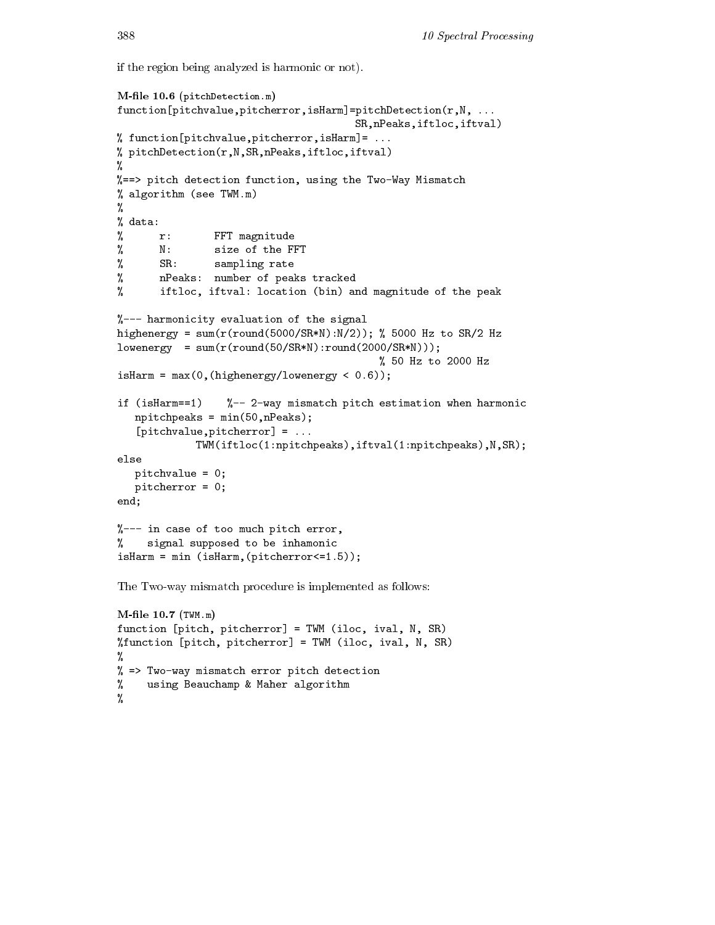if the region being analyzed is harmonic or not).

```
M-file 10.6 (pitchDetection.m)
function [pitchvalue, pitcherror, is Harm] = pitch Detection (r, N, ...SR, nPeaks, iftloc, iftval)
% function[pitchvalue,pitcherror,isHarm] = ...
% pitchDetection(r, N, SR, nPeaks, iftloc, if tval)
% == > pitch detection function, using the Two-Way Mismatch
% algorithm (see TWM.m)
%
% data:
%
     \mathbf{r}:
                FFT magnitude
\%N:size of the FFT
%
      SR:sampling rate
      nPeaks: number of peaks tracked
%
%
       iftloc, iftval: location (bin) and magnitude of the peak
%--- harmonicity evaluation of the signal
highenergy = sum(r(round(5000/SR*N):N/2)); % 5000 Hz to SR/2 Hz
lowerogy = sum(r(round(50/SR*N):round(2000/SR*N));% 50 Hz to 2000 Hz
isHarm = max(0, (higher energy/lower) < 0.6);
if (isHarm==1)
                  %-- 2-way mismatch pitch estimation when harmonic
   npitchpeaks = min(50, nPeaks);[pitchvalue,pitcherror] = ...TWM(iftloc(1:npitchpeaks),iftval(1:npitchpeaks), N, SR);
else
   pitchvalue = 0;pitcherror = 0;end;
%--- in case of too much pitch error,
     signal supposed to be inhamonic
\%isHarm = min (isHarm, (pitcherror<=1.5));
```
The Two-way mismatch procedure is implemented as follows:

```
M-file 10.7 (TWM.m)
function [pitch, pitcherror] = TWM (iloc, ival, N, SR)
"function [pitch, pitcherror] = TWM (iloc, ival, N, SR)
%
% => Two-way mismatch error pitch detection
%
     using Beauchamp & Maher algorithm
%
```
388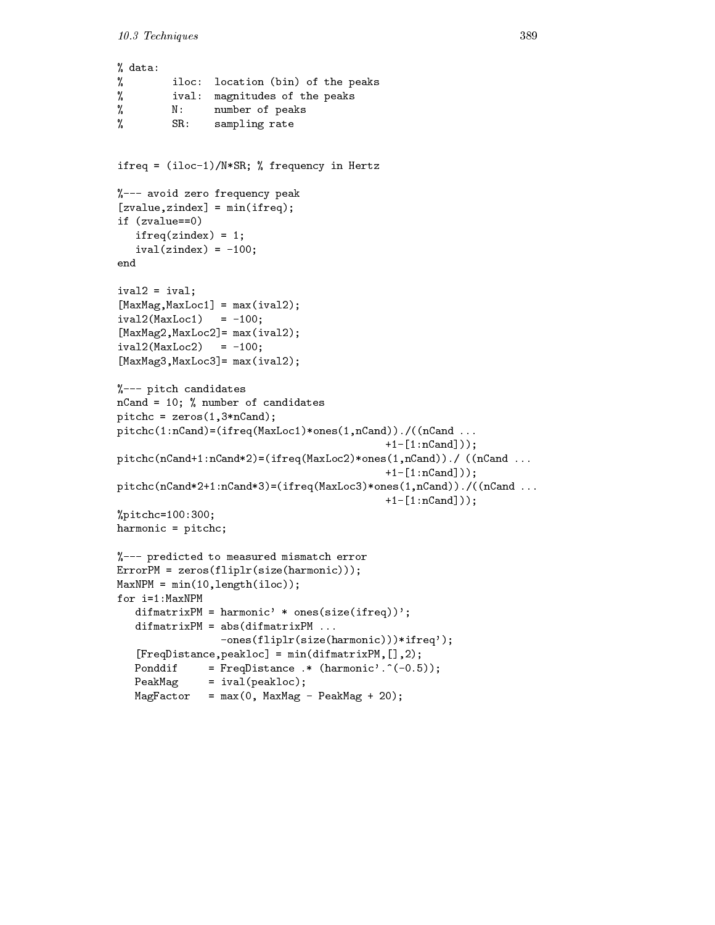```
% data:
\frac{9}{2}iloc: location (bin) of the peaks
\%ival: magnitudes of the peaks
\%N:number of peaks
\%SR:sampling rate
ifreq = (iloc-1)/N*SR; % frequency in Hertz
%--- avoid zero frequency peak
[zvalue,zindex] = min(ifreq);if (zvalue == 0)ifreq(zindex) = 1;ival(zindex) = -100;end
ival2 = ival:
[MaxMag, MaxLoc1] = max(ival2);ival2(MaxLoc1) = -100;[MaxMag2, MaxLoc2] = max(ival2);ival2(MaxLoc2)
               = -100;[MaxMag3, MaxLoc3] = max(ival2);%--- pitch candidates
nCand = 10; % number of candidates
pitchc = zeros(1, 3*nCand);pitchc(1:nCand) = (ifreq(MaxLoc1)*ones(1,nCand))./((nCand...
                                            +1 - [1: nCand]);
pitchc(nCand+1:nCand*2)=(ifreq(MaxLoc2)*ones(1,nCand))./ ((nCand ...
                                            +1 - [1: nCand]);
pitchc(nCand*2+1:nCand*3) = (ifreq(MaxLoc3)*ones(1, nCand))./((nCand...
                                            +1 - [1: nCand]);
%pitchc=100:300;
harmonic = pitchc;%--- predicted to measured mismatch error
ErrorPM = zeros(fliplr(size(harmonic)));
MaxNPM = min(10, length(iloc));for i=1:MaxNPM
   diffmatrixPM = harmonic' * ones(size(ifreq))';diffmatrixPM = abs(difmatrixPM ...-ones(fliplr(size(harmonic)))*ifreq');
   [FreqDistance, peakloc] = min(difmatrixPM, [], 2);
   Ponddif = FreqDistance .* (harmonic'.^(-0.5));PeakMag
              = ival(peakloc);
   MagFactor = max(0, MaxMag - PeakMag + 20);
```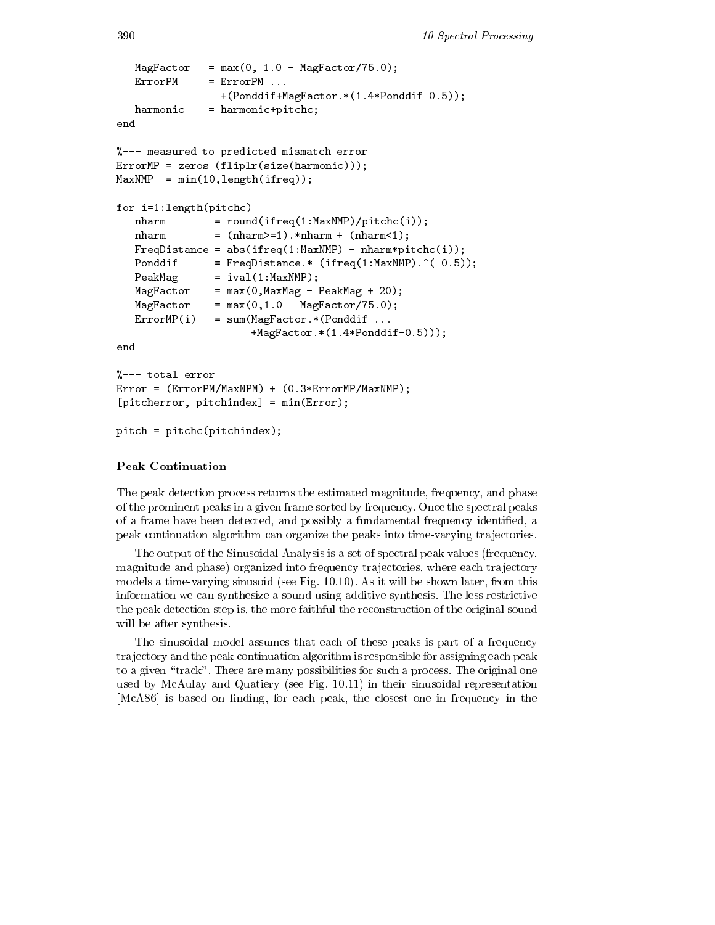```
MagFactor
               = max(0, 1.0 - Magnetic(75.0));ErrorPM
               = ErrorPM ...
                 +(Ponddif+MagFactor.*(1.4*Ponddif-0.5));
               = harmonic+pitchc;
   harmonic
end
%--- measured to predicted mismatch error
ErrorMP = zeros (fliplr(size(harmonic)));
MaxMMP = min(10, length(ifreq));for i=1:length(pitchc)
   nharm
               = round(ifreq(1:MaxNMP)/pitchc(i));
   nharm
               = (nharm>=1) .*nharm + (nharm<1);FreqDistance = abs(ifreq(1:MaxNMP) - nharm*pitchc(i));= FreqDistance.* (ifreq(1:MaxMMP).^(-0.5));Ponddif
               = ival(1:MaxNMP);
  PeakMag
               = max(0, MaxMag - PeakMag + 20);MagFactor
   MagFactor
               = max(0, 1.0 - Magneticr/75.0);ErrorMP(i)= sum(MagFactor.*(Ponddif ...
                      +MagFactor. *(1.4*Ponddif-0.5)));
end
%--- total error
Error = (ErrorPM/MaxNPM) + (0.3*ErrorMP/MaxNMP);
[pitcherror, pitchindex] = min(Error);pitch = pitchc(pitchindex);
```
## **Peak Continuation**

The peak detection process returns the estimated magnitude, frequency, and phase of the prominent peaks in a given frame sorted by frequency. Once the spectral peaks of a frame have been detected, and possibly a fundamental frequency identified, a peak continuation algorithm can organize the peaks into time-varying trajectories.

The output of the Sinusoidal Analysis is a set of spectral peak values (frequency, magnitude and phase) organized into frequency trajectories, where each trajectory models a time-varying sinusoid (see Fig. 10.10). As it will be shown later, from this information we can synthesize a sound using additive synthesis. The less restrictive the peak detection step is, the more faithful the reconstruction of the original sound will be after synthesis.

The sinusoidal model assumes that each of these peaks is part of a frequency trajectory and the peak continuation algorithm is responsible for assigning each peak to a given "track". There are many possibilities for such a process. The original one used by McAulay and Quatiery (see Fig. 10.11) in their sinusoidal representation [McA86] is based on finding, for each peak, the closest one in frequency in the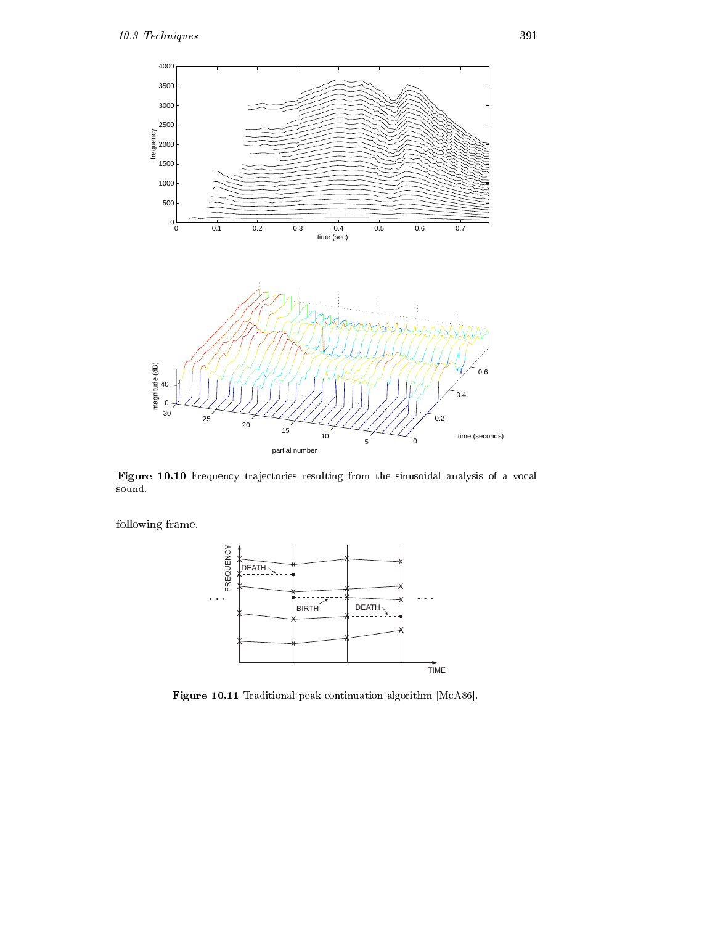

Figure 10.10 Frequency trajectories resulting from the sinusoidal analysis of a vocal sound.

following frame.



Figure 10.11 Traditional peak continuation algorithm [McA86].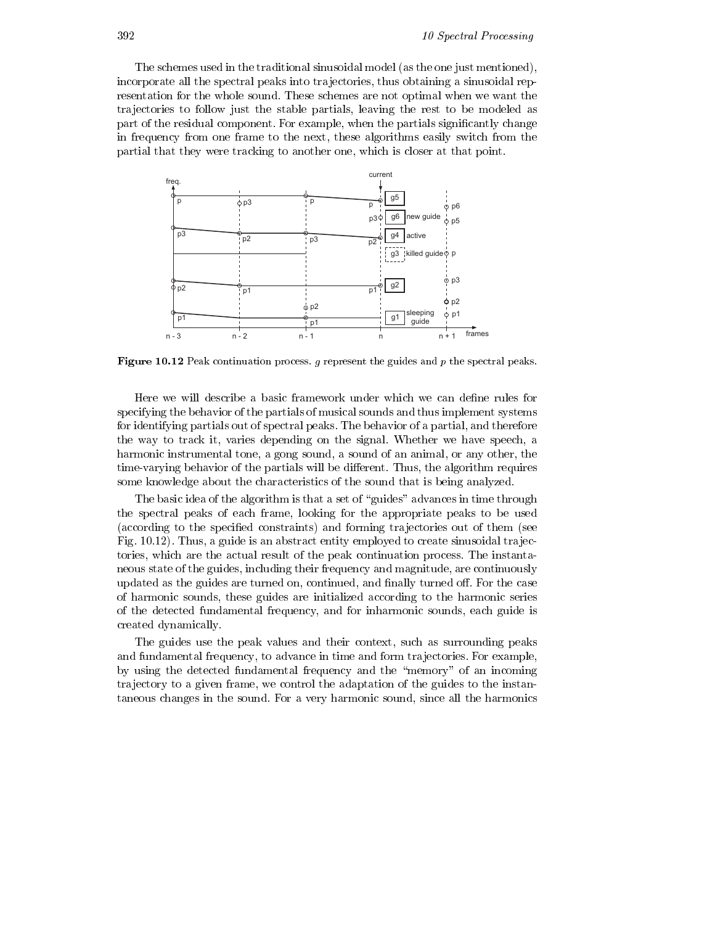t in sales and when in the statement will as statement in any and the site of pass intermediately  $\frac{1}{2}$  . The contract of  $\frac{1}{2}$  ,  $\frac{1}{2}$  ,  $\frac{1}{2}$  ,  $\frac{1}{2}$  ,  $\frac{1}{2}$  ,  $\frac{1}{2}$  ,  $\frac{1}{2}$  ,  $\frac{1}{2}$  ,  $\frac{1}{2}$  ,  $\frac{1}{2}$  ,  $\frac{1}{2}$  ,  $\frac{1}{2}$  ,  $\frac{1}{2}$  ,  $\frac{1}{2}$  ,  $\frac{1}{2}$  ,  $\frac{1}{2}$  , , accessive the core are nowher the content of the content of the content of the second component of the compo exageded to this a large the state particle, for the state of the state of the state of  $\mu$  are  $\mu$  -  $\mu$  -  $\mu$  -  $\mu$  -  $\mu$  -  $\mu$  -  $\mu$  -  $\mu$  -  $\mu$  -  $\mu$  -  $\mu$  -  $\mu$  -  $\mu$  -  $\mu$  -  $\mu$  -  $\mu$  -  $\mu$  -  $\mu$  -  $\mu$  -  $\mu$  -  $\mu$  -  $\mu$  -  $\mu$  -  $\mu$  -  $\mu$  -  $\mu$  -  $\mu$  -  $\mu$  -  $\mu$  -  $\mu$  -  $\$  $\cdots$  . The set of the second contract the second of the second complex second the second contract of the second second second second second second second second second second second second second second second second sec  $P$  . The state of  $P$  is a statement to expect the strip is the store of the strip  $P$  strip  $P$ 



 $\blacksquare$  .  $\blacksquare$  .  $\blacksquare$  .  $\blacksquare$  .  $\blacksquare$  .  $\blacksquare$  .  $\blacksquare$  .  $\blacksquare$  .  $\blacksquare$  .  $\blacksquare$  .  $\blacksquare$  .  $\blacksquare$  .  $\blacksquare$  .  $\blacksquare$  .  $\blacksquare$  .  $\blacksquare$  .  $\blacksquare$  .  $\blacksquare$  .  $\blacksquare$  .  $\blacksquare$  .  $\blacksquare$  .  $\blacksquare$  .  $\blacksquare$  .  $\blacksquare$  .  $\blacksquare$ 

 -  - - -  $\sim$  . The contract state of the contract produce  $\sim$  . The position is the state state  $\sim$   $\sim$   $\sim$   $\sim$   $\sim$   $\sim$  - - - - 2 - -- - - - - - - - " -   - 
-  -  - -\$

the sesse incorporate experience is there erser of plantes and the since the sesse of  $\sim$  -  % - 3 - -) - - % Fig. 10.12). Thus, a guide is an abstract entity employed to create sinusoidal trajeccorrest since who can wecum results of the power continuous process. Into historical  $\mathbf{r}$  . The second of the gradient  $\mathbf{r}$  is the second  $\mathbf{r}$  of  $\mathbf{r}$  and  $\mathbf{r}$  and  $\mathbf{r}$  and  $\mathbf{r}$  and  $\mathbf{r}$  and  $\mathbf{r}$  and  $\mathbf{r}$  and  $\mathbf{r}$  and  $\mathbf{r}$  and  $\mathbf{r}$  and  $\mathbf{r}$  and  $\mathbf{$  $\alpha$  ,  $\alpha$  ,  $\alpha$  ,  $\alpha$  ,  $\alpha$  ,  $\alpha$  ,  $\alpha$  ,  $\alpha$  ,  $\alpha$  ,  $\alpha$  ,  $\alpha$  ,  $\alpha$  ,  $\alpha$  ,  $\alpha$  ,  $\alpha$  ,  $\alpha$  ,  $\alpha$  ,  $\alpha$  ,  $\alpha$  ,  $\alpha$  ,  $\alpha$  ,  $\alpha$  ,  $\alpha$  ,  $\alpha$  ,  $\alpha$  ,  $\alpha$  ,  $\alpha$  ,  $\alpha$  ,  $\alpha$  ,  $\alpha$  ,  $\alpha$  ,  $\alpha$  - - - \$ - - -- - - -- - -

 $\mathbf{A}$  . The set of the set of the set of the set of the set of the set of the set of the set of the set of the set of the set of the set of the set of the set of the set of the set of the set of the set of the set of t - -- - - - - &  - -- - - @A - - except to a complete the complete the complete of the Action to the model - - - - & - - - -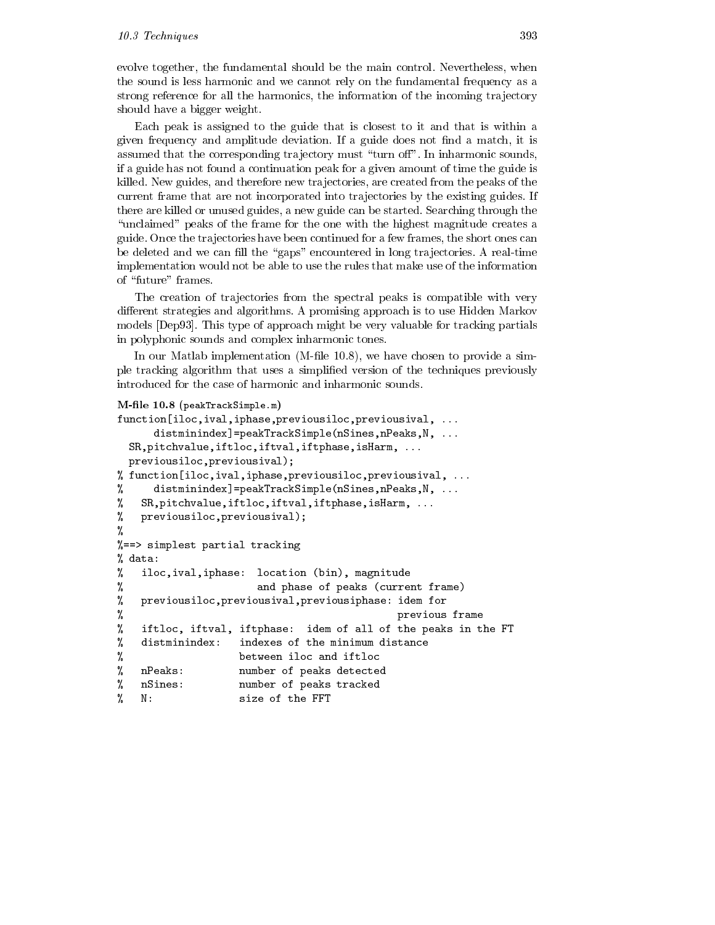evolve together, the fundamental should be the main control. Nevertheless, when the sound is less harmonic and we cannot rely on the fundamental frequency as a strong reference for all the harmonics, the information of the incoming trajectory should have a bigger weight.

Each peak is assigned to the guide that is closest to it and that is within a given frequency and amplitude deviation. If a guide does not find a match, it is assumed that the corresponding trajectory must "turn off". In inharmonic sounds, if a guide has not found a continuation peak for a given amount of time the guide is killed. New guides, and therefore new trajectories, are created from the peaks of the current frame that are not incorporated into trajectories by the existing guides. If there are killed or unused guides, a new guide can be started. Searching through the "unclaimed" peaks of the frame for the one with the highest magnitude creates a guide. Once the trajectories have been continued for a few frames, the short ones can be deleted and we can fill the "gaps" encountered in long trajectories. A real-time implementation would not be able to use the rules that make use of the information of "future" frames.

The creation of trajectories from the spectral peaks is compatible with very different strategies and algorithms. A promising approach is to use Hidden Markov models [Dep93]. This type of approach might be very valuable for tracking partials in polyphonic sounds and complex inharmonic tones.

In our Matlab implementation (M-file 10.8), we have chosen to provide a simple tracking algorithm that uses a simplified version of the techniques previously introduced for the case of harmonic and inharmonic sounds.

```
M-file 10.8 (peakTrackSimple.m)
```

```
function[iloc,ival,iphase,previousiloc,previousival, ...
      distminindex] = peakTraceSimple(nSines, nPeaks, N, ...SR, pitchvalue, iftloc, iftval, iftphase, isHarm, ...
  previousiloc, previousival);
% function[iloc,ival,iphase,previousiloc,previousival, ...
%
      distminindex] = peakTraceSimple(nSines, nPeaks, N, ...%
    SR, pitchvalue, iftloc, iftval, iftphase, isHarm, ...
%
    previousiloc, previousival);
%
% == > simplest partial tracking
% data:
%
    iloc, ival, iphase: location (bin), magnitude
%
                        and phase of peaks (current frame)
%
    previousiloc, previousival, previousiphase: idem for
%
                                                previous frame
%
    iftloc, iftval, iftphase: idem of all of the peaks in the FT
\%distminindex:
                     indexes of the minimum distance
%
                     between iloc and iftloc
%
                     number of peaks detected
    nPeaks:
%
    nSines:
                     number of peaks tracked
%
    N:size of the FFT
```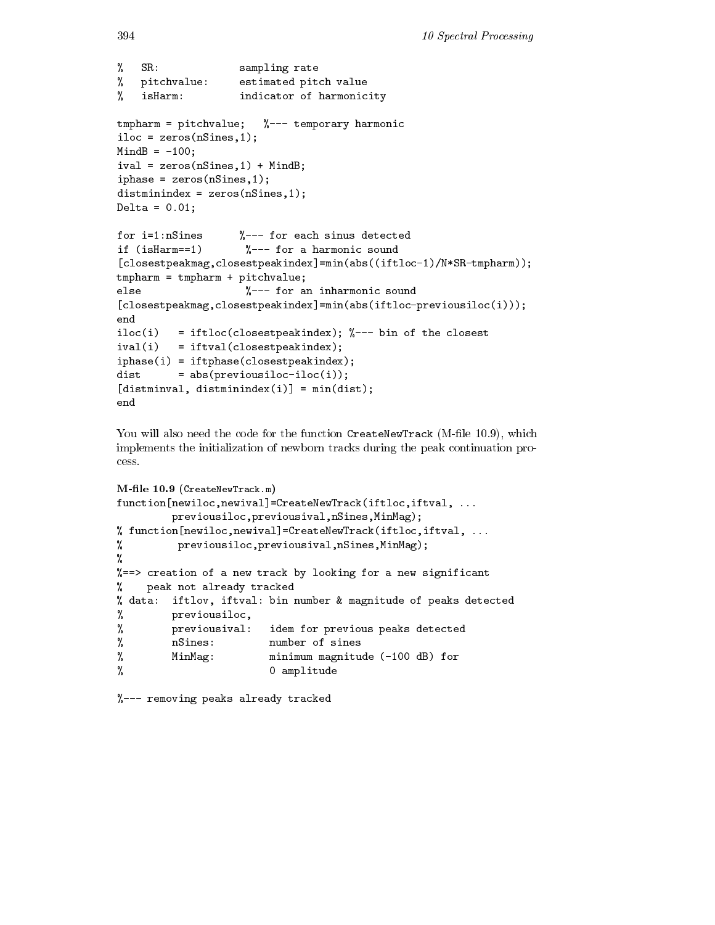```
%
    SR:sampling rate
%
    pitchvalue:
                    estimated pitch value
\frac{9}{2}isHarm:
                   indicator of harmonicity
tmpharm = pitchvalue;
                        %--- temporary harmonic
iloc = zeros(nSines, 1);MindB = -100;ival = zeros(nSines, 1) + MindB;iphase = zeros(nSines, 1);distminindex = zeros(nSines, 1);Delta = 0.01;
for i=1:nSines
                    %--- for each sinus detected
if (isHarm==1)
                     %--- for a harmonic sound
[closestpeakmag, closestpeakindex]=min(abs((iftloc-1)/N*SR-tmpharm));
tmpharm = tmpharm + pitchvalue;
                     %--- for an inharmonic sound
else
[closestepakmag, closestpeakindex]=min(abs(iftloc-previousiloc(i)));
end
iloc(i)= iftloc(closestpeakindex); %--- bin of the closest
ival(i) = iftval(closestpeakindex);iphase(i) = if tphase (closest peak index);= abs(previousiloc-iloc(i));dist
[distribution value, distribution function] = min(dist);end
```
You will also need the code for the function CreateNewTrack (M-file 10.9), which implements the initialization of newborn tracks during the peak continuation process.

```
M-file 10.9 (CreateNewTrack.m)
function[newiloc,newival]=CreateNewTrack(iftloc,iftval, ...
         previousiloc, previousival, nSines, MinMag);
% function [newiloc, newival] = CreateNewTrack (iftloc, iftval, ...
          previousiloc, previousival, nSines, MinMag);
%
%
%==> creation of a new track by looking for a new significant
     peak not already tracked
\%% data: iftlov, iftval: bin number & magnitude of peaks detected
         previousiloc,
%
%
         previousival:
                         idem for previous peaks detected
                         number of sines
%
         nSines:
%
                         minimum magnitude (-100 dB) for
         MinMag:
%
                          0 amplitude
```
%--- removing peaks already tracked

394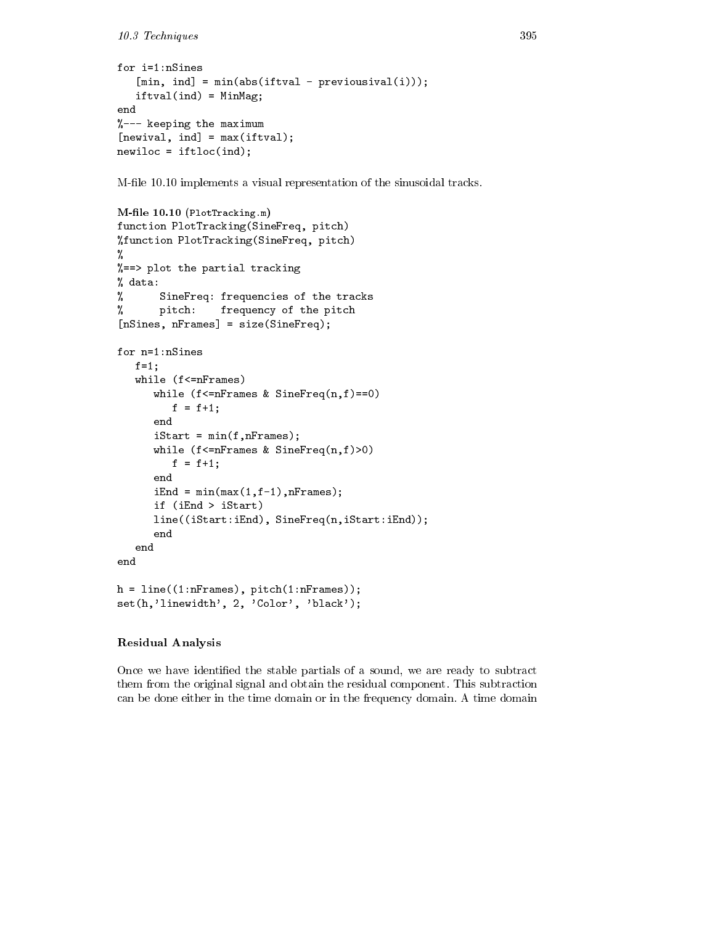10.3 Techniques

```
for i=1:nSines
   [\min, ind] = \min(abs(iftval - previousival(i)));
   iftval(ind) = MinMag;end
%--- keeping the maximum
[newival, ind] = max(iftval);
newiloc = iftloc(ind);
```
M-file 10.10 implements a visual representation of the sinusoidal tracks.

```
M-file 10.10 (PlotTracking.m)
function PlotTracking(SineFreq, pitch)
"function PlotTracking (SineFreq, pitch)
%
% == > plot the partial tracking
% data:
%
       SineFreq: frequencies of the tracks
\%pitch:
                 frequency of the pitch
[nSines, nFrames] = size(SineFreq);for n=1:nSinesf = 1;while (f <= nFrames)
      while (f \leq nFrames & SineFreq(n, f) == 0)f = f+1;endiStart = min(f, nFrames);while (f \leq nFrames & SineFreq(n, f) > 0)
         f = f+1;end
      iEnd = min(max(1, f-1), nFrames);if (iEnd > iStart)
      line((iStart:iEnd), SineFreq(n,iStart:iEnd));
      end
   end
end
h = line((1:nFrames), pitch(1:nFrames));set(h,'linewidth', 2, 'Color', 'black');
```
## **Residual Analysis**

Once we have identified the stable partials of a sound, we are ready to subtract them from the original signal and obtain the residual component. This subtraction can be done either in the time domain or in the frequency domain. A time domain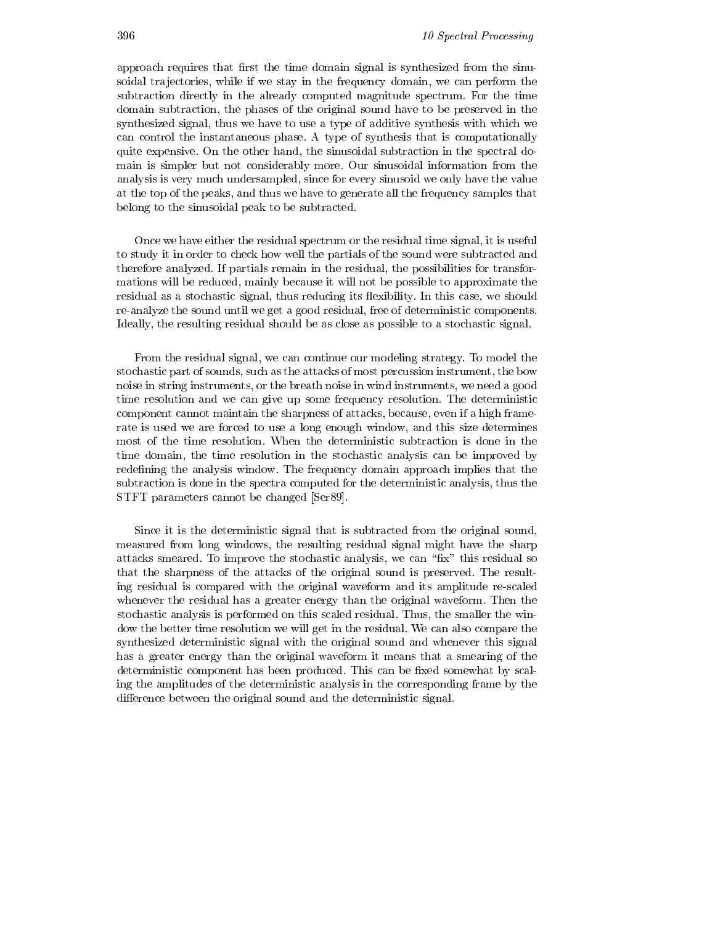approach requires that first the time domain signal is synthesized from the sinusoidal trajectories, while if we stay in the frequency domain, we can perform the subtraction directly in the already computed magnitude spectrum. For the time domain subtraction, the phases of the original sound have to be preserved in the synthesized signal, thus we have to use a type of additive synthesis with which we can control the instantaneous phase. A type of synthesis that is computationally quite expensive. On the other hand, the sinusoidal subtraction in the spectral domain is simpler but not considerably more. Our sinusoidal information from the analysis is very much undersampled, since for every sinusoid we only have the value at the top of the peaks, and thus we have to generate all the frequency samples that belong to the sinusoidal peak to be subtracted.

Once we have either the residual spectrum or the residual time signal, it is useful to study it in order to check how well the partials of the sound were subtracted and therefore analyzed. If partials remain in the residual, the possibilities for transformations will be reduced, mainly because it will not be possible to approximate the residual as a stochastic signal, thus reducing its flexibility. In this case, we should re-analyze the sound until we get a good residual, free of deterministic components. Ideally, the resulting residual should be as close as possible to a stochastic signal.

From the residual signal, we can continue our modeling strategy. To model the stochastic part of sounds, such as the attacks of most percussion instrument, the bow noise in string instruments, or the breath noise in wind instruments, we need a good time resolution and we can give up some frequency resolution. The deterministic component cannot maintain the sharpness of attacks, because, even if a high framerate is used we are forced to use a long enough window, and this size determines most of the time resolution. When the deterministic subtraction is done in the time domain, the time resolution in the stochastic analysis can be improved by redefining the analysis window. The frequency domain approach implies that the subtraction is done in the spectra computed for the deterministic analysis, thus the STFT parameters cannot be changed [Ser89].

Since it is the deterministic signal that is subtracted from the original sound, measured from long windows, the resulting residual signal might have the sharp attacks smeared. To improve the stochastic analysis, we can "fix" this residual so that the sharpness of the attacks of the original sound is preserved. The resulting residual is compared with the original waveform and its amplitude re-scaled whenever the residual has a greater energy than the original waveform. Then the stochastic analysis is performed on this scaled residual. Thus, the smaller the window the better time resolution we will get in the residual. We can also compare the synthesized deterministic signal with the original sound and whenever this signal has a greater energy than the original waveform it means that a smearing of the deterministic component has been produced. This can be fixed somewhat by scaling the amplitudes of the deterministic analysis in the corresponding frame by the difference between the original sound and the deterministic signal.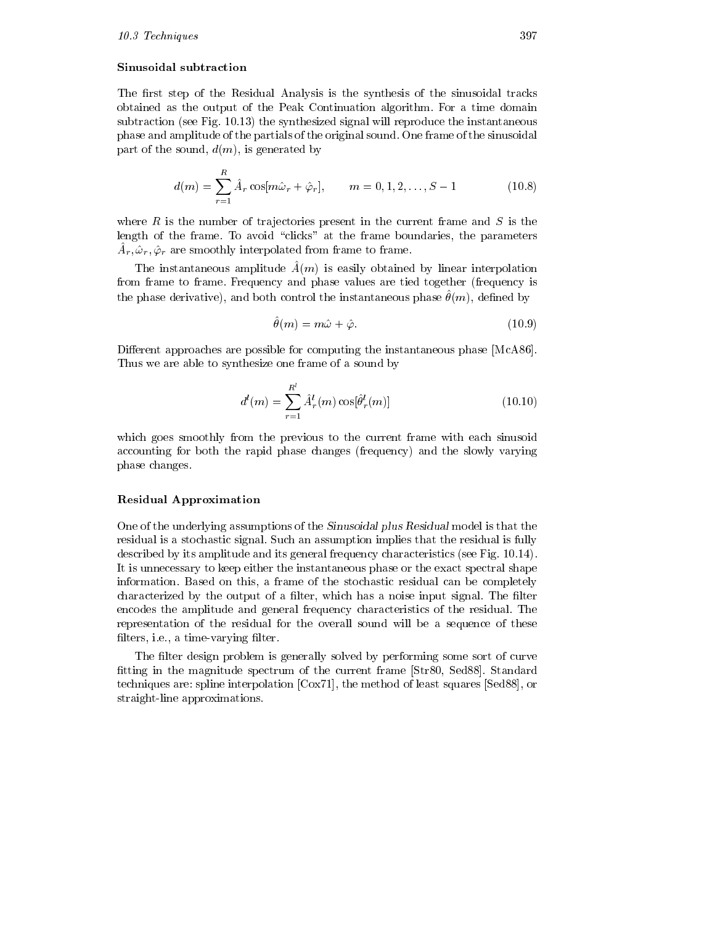## Sinusoidal subtraction

The first step of the Residual Analysis is the synthesis of the sinusoidal tracks obtained as the output of the Peak Continuation algorithm. For a time domain subtraction (see Fig. 10.13) the synthesized signal will reproduce the instantaneous phase and amplitude of the partials of the original sound. One frame of the sinusoidal part of the sound,  $d(m)$ , is generated by

$$
d(m) = \sum_{r=1}^{R} \hat{A}_r \cos[m\hat{\omega}_r + \hat{\varphi}_r], \qquad m = 0, 1, 2, \dots, S - 1
$$
 (10.8)

where R is the number of trajectories present in the current frame and S is the length of the frame. To avoid "clicks" at the frame boundaries, the parameters  $\hat{A}_r, \hat{\omega}_r, \hat{\varphi}_r$  are smoothly interpolated from frame to frame.

The instantaneous amplitude  $\hat{A}(m)$  is easily obtained by linear interpolation from frame to frame. Frequency and phase values are tied together (frequency is the phase derivative), and both control the instantaneous phase  $\hat{\theta}(m)$ , defined by

$$
\hat{\theta}(m) = m\hat{\omega} + \hat{\varphi}.\tag{10.9}
$$

Different approaches are possible for computing the instantaneous phase [McA86]. Thus we are able to synthesize one frame of a sound by

$$
d^{l}(m) = \sum_{r=1}^{R^{l}} \hat{A}_{r}^{l}(m) \cos[\hat{\theta}_{r}^{l}(m)]
$$
 (10.10)

which goes smoothly from the previous to the current frame with each sinusoid accounting for both the rapid phase changes (frequency) and the slowly varying phase changes.

## **Residual Approximation**

One of the underlying assumptions of the Sinusoidal plus Residual model is that the residual is a stochastic signal. Such an assumption implies that the residual is fully described by its amplitude and its general frequency characteristics (see Fig. 10.14). It is unnecessary to keep either the instantaneous phase or the exact spectral shape information. Based on this, a frame of the stochastic residual can be completely characterized by the output of a filter, which has a noise input signal. The filter encodes the amplitude and general frequency characteristics of the residual. The representation of the residual for the overall sound will be a sequence of these filters, i.e., a time-varying filter.

The filter design problem is generally solved by performing some sort of curve fitting in the magnitude spectrum of the current frame [Str80, Sed88]. Standard techniques are: spline interpolation  $\lbrack \text{Cox71}\rbrack$ , the method of least squares  $\lbrack \text{Sed88}\rbrack$ , or straight-line approximations.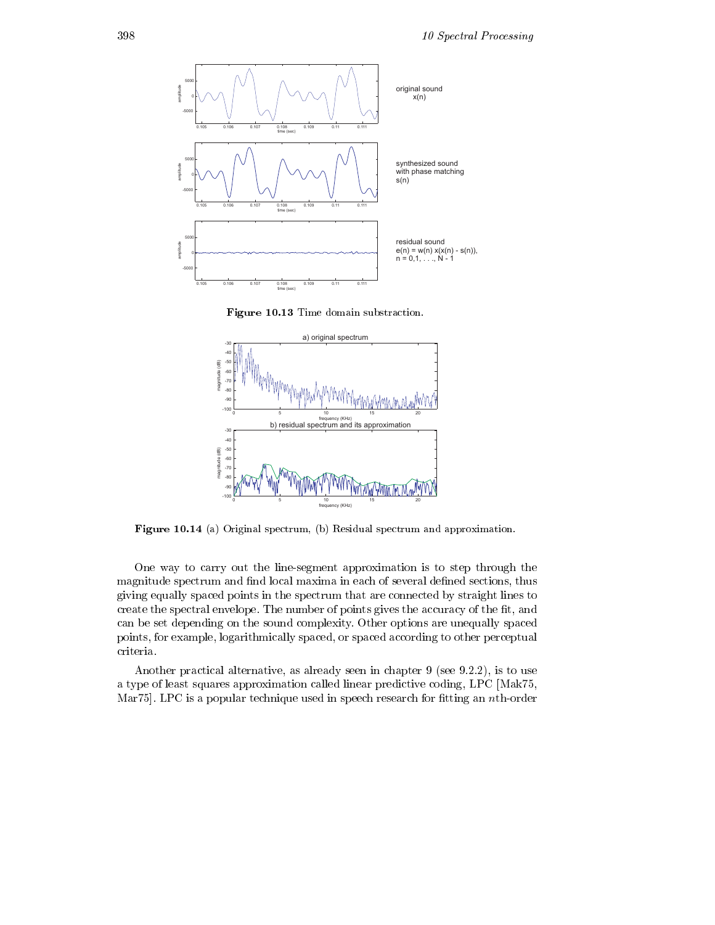

- 



 $\blacksquare$  .  $\blacksquare$  .  $\blacksquare$  .  $\blacksquare$  .  $\blacksquare$  . The second and opposite the whole complete the second contract to  $\blacksquare$ 

4- -"- - - - 3- - 3- - - - - --  - - - - 3 - -  - - - - 4 - politics for example, logarithments, spaced, or spaced according to outer perceptual

 $\mathbf{1}$  . The second of the state  $\mathbf{1}$  and  $\mathbf{1}$  and  $\mathbf{1}$  are  $\mathbf{1}$  and  $\mathbf{1}$  and  $\mathbf{1}$  are  $\mathbf{1}$  and  $\mathbf{1}$  and  $\mathbf{1}$  are  $\mathbf{1}$  and  $\mathbf{1}$  and  $\mathbf{1}$  are  $\mathbf{1}$  and  $\mathbf{1}$  and  $\mathbf$  - - - N0G :#
,9  $\cdots$ ,  $\cdots$ ,  $\cdots$ ,  $\cdots$ ,  $\cdots$ ,  $\cdots$ ,  $\cdots$ ,  $\cdots$ ,  $\cdots$ ,  $\cdots$ ,  $\cdots$ ,  $\cdots$ ,  $\cdots$ ,  $\cdots$ ,  $\cdots$ ,  $\cdots$ ,  $\cdots$ ,  $\cdots$ ,  $\cdots$ ,  $\cdots$ ,  $\cdots$ ,  $\cdots$ ,  $\cdots$ ,  $\cdots$ ,  $\cdots$ ,  $\cdots$ ,  $\cdots$ ,  $\cdots$ ,  $\cdots$ ,  $\cdots$ ,  $\cdots$ ,  $\cdots$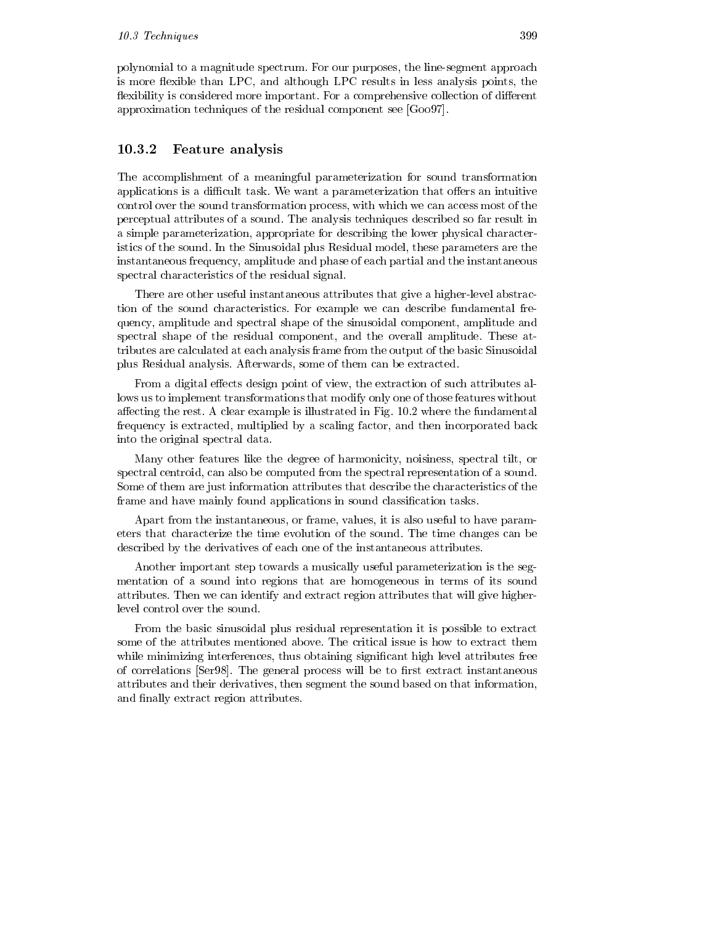polynomial to a magnitude spectrum. For our purposes, the line-segment approach is more flexible than LPC, and although LPC results in less analysis points, the flexibility is considered more important. For a comprehensive collection of different approximation techniques of the residual component see [Goo97].

#### 10.3.2 **Feature analysis**

The accomplishment of a meaningful parameterization for sound transformation applications is a difficult task. We want a parameterization that offers an intuitive control over the sound transformation process, with which we can access most of the perceptual attributes of a sound. The analysis techniques described so far result in a simple parameterization, appropriate for describing the lower physical characteristics of the sound. In the Sinusoidal plus Residual model, these parameters are the instantaneous frequency, amplitude and phase of each partial and the instantaneous spectral characteristics of the residual signal.

There are other useful instantaneous attributes that give a higher-level abstraction of the sound characteristics. For example we can describe fundamental frequency, amplitude and spectral shape of the sinusoidal component, amplitude and spectral shape of the residual component, and the overall amplitude. These attributes are calculated at each analysis frame from the output of the basic Sinusoidal plus Residual analysis. Afterwards, some of them can be extracted.

From a digital effects design point of view, the extraction of such attributes allows us to implement transformations that modify only one of those features without affecting the rest. A clear example is illustrated in Fig. 10.2 where the fundamental frequency is extracted, multiplied by a scaling factor, and then incorporated back into the original spectral data.

Many other features like the degree of harmonicity, noisiness, spectral tilt, or spectral centroid, can also be computed from the spectral representation of a sound. Some of them are just information attributes that describe the characteristics of the frame and have mainly found applications in sound classification tasks.

Apart from the instantaneous, or frame, values, it is also useful to have parameters that characterize the time evolution of the sound. The time changes can be described by the derivatives of each one of the instantaneous attributes.

Another important step towards a musically useful parameterization is the segmentation of a sound into regions that are homogeneous in terms of its sound attributes. Then we can identify and extract region attributes that will give higherlevel control over the sound.

From the basic sinusoidal plus residual representation it is possible to extract some of the attributes mentioned above. The critical issue is how to extract them while minimizing interferences, thus obtaining significant high level attributes free of correlations [Ser98]. The general process will be to first extract instantaneous attributes and their derivatives, then segment the sound based on that information, and finally extract region attributes.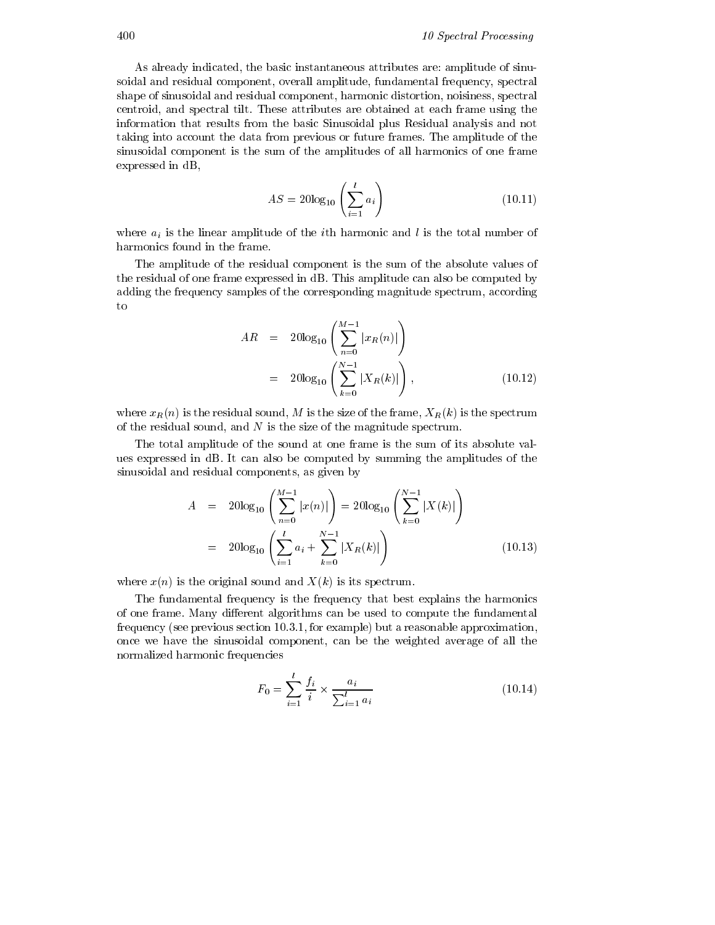As already indicated, the basic instantaneous attributes are: amplitude of sinusoidal and residual component, overall amplitude, fundamental frequency, spectral shape of sinusoidal and residual component, harmonic distortion, noisiness, spectral centroid, and spectral tilt. These attributes are obtained at each frame using the information that results from the basic Sinusoidal plus Residual analysis and not taking into account the data from previous or future frames. The amplitude of the sinusoidal component is the sum of the amplitudes of all harmonics of one frame expressed in dB,

$$
AS = 20\log_{10}\left(\sum_{i=1}^{l} a_i\right) \tag{10.11}
$$

where  $a_i$  is the linear amplitude of the *i*th harmonic and *l* is the total number of harmonics found in the frame.

The amplitude of the residual component is the sum of the absolute values of the residual of one frame expressed in dB. This amplitude can also be computed by adding the frequency samples of the corresponding magnitude spectrum, according to

$$
AR = 20\log_{10}\left(\sum_{n=0}^{M-1} |x_R(n)|\right)
$$
  
= 
$$
20\log_{10}\left(\sum_{k=0}^{N-1} |X_R(k)|\right),
$$
 (10.12)

where  $x_R(n)$  is the residual sound, M is the size of the frame,  $X_R(k)$  is the spectrum of the residual sound, and  $N$  is the size of the magnitude spectrum.

The total amplitude of the sound at one frame is the sum of its absolute values expressed in dB. It can also be computed by summing the amplitudes of the sinusoidal and residual components, as given by

$$
A = 20\log_{10}\left(\sum_{n=0}^{M-1} |x(n)|\right) = 20\log_{10}\left(\sum_{k=0}^{N-1} |X(k)|\right)
$$
  
= 
$$
20\log_{10}\left(\sum_{i=1}^{l} a_i + \sum_{k=0}^{N-1} |X_R(k)|\right)
$$
(10.13)

where  $x(n)$  is the original sound and  $X(k)$  is its spectrum.

The fundamental frequency is the frequency that best explains the harmonics of one frame. Many different algorithms can be used to compute the fundamental frequency (see previous section  $10.3.1$ , for example) but a reasonable approximation, once we have the sinusoidal component, can be the weighted average of all the normalized harmonic frequencies

$$
F_0 = \sum_{i=1}^{l} \frac{f_i}{i} \times \frac{a_i}{\sum_{i=1}^{l} a_i}
$$
 (10.14)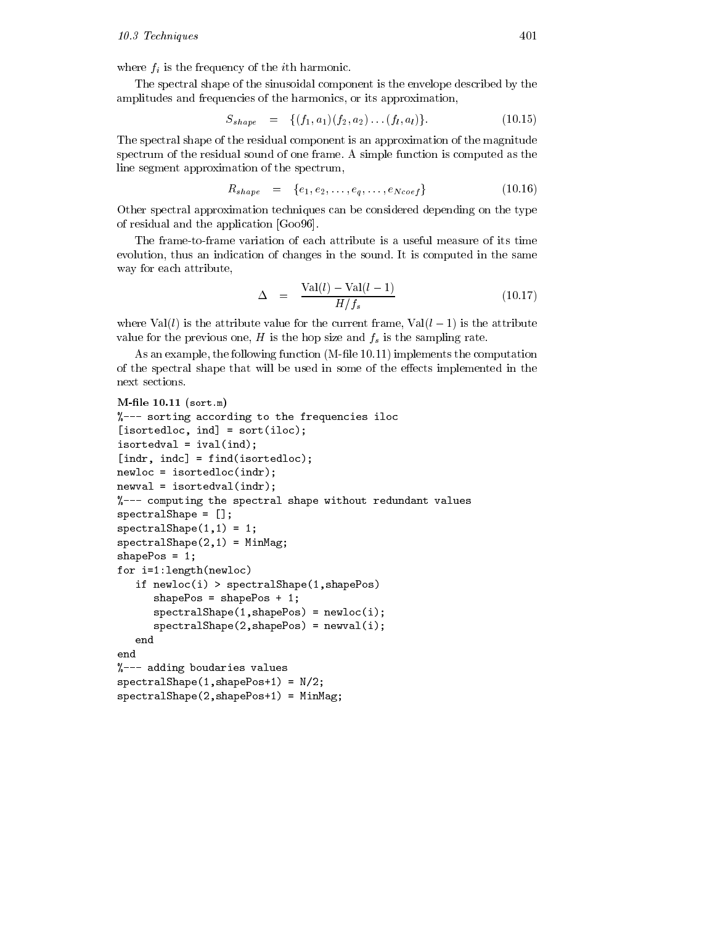where  $f_i$  is the frequency of the *i*th harmonic.

The spectral shape of the sinusoidal component is the envelope described by the amplitudes and frequencies of the harmonics, or its approximation,

$$
S_{shape} = \{(f_1, a_1)(f_2, a_2) \dots (f_l, a_l)\}.
$$
 (10.15)

The spectral shape of the residual component is an approximation of the magnitude spectrum of the residual sound of one frame. A simple function is computed as the line segment approximation of the spectrum,

$$
R_{shape} = \{e_1, e_2, \dots, e_q, \dots, e_{Ncoef}\}
$$
 (10.16)

Other spectral approximation techniques can be considered depending on the type of residual and the application [Goo96].

The frame-to-frame variation of each attribute is a useful measure of its time evolution, thus an indication of changes in the sound. It is computed in the same way for each attribute,

$$
\Delta = \frac{\text{Val}(l) - \text{Val}(l-1)}{H/f_s} \tag{10.17}
$$

where  $Val(l)$  is the attribute value for the current frame,  $Val(l-1)$  is the attribute value for the previous one,  $H$  is the hop size and  $f_s$  is the sampling rate.

As an example, the following function (M-file 10.11) implements the computation of the spectral shape that will be used in some of the effects implemented in the next sections.

```
M-file 10.11 (sort.m)
%--- sorting according to the frequencies iloc
[isortedloc, ind] = sort(iloc);isortedval = ival(ind);[indr, indc] = find(isortedloc);newloc = isortedloc(int);
newval = isortedval(int);
%--- computing the spectral shape without redundant values
spectralShape = [];
spectralShape(1,1) = 1;spectralShape(2,1) = MinMag;shapePos = 1;
for i=1:length(newloc)
   if newloc(i) > spectralShape(1,shapePos)
      shapePos = shapePos + 1;
      spectralShape(1, shapePos) = newloc(i);spectralShape(2, shapePos) = newval(i);endend
%--- adding boudaries values
spectralShape(1, shapePost1) = N/2;spectralShape(2, shapePos+1) = MinMag;
```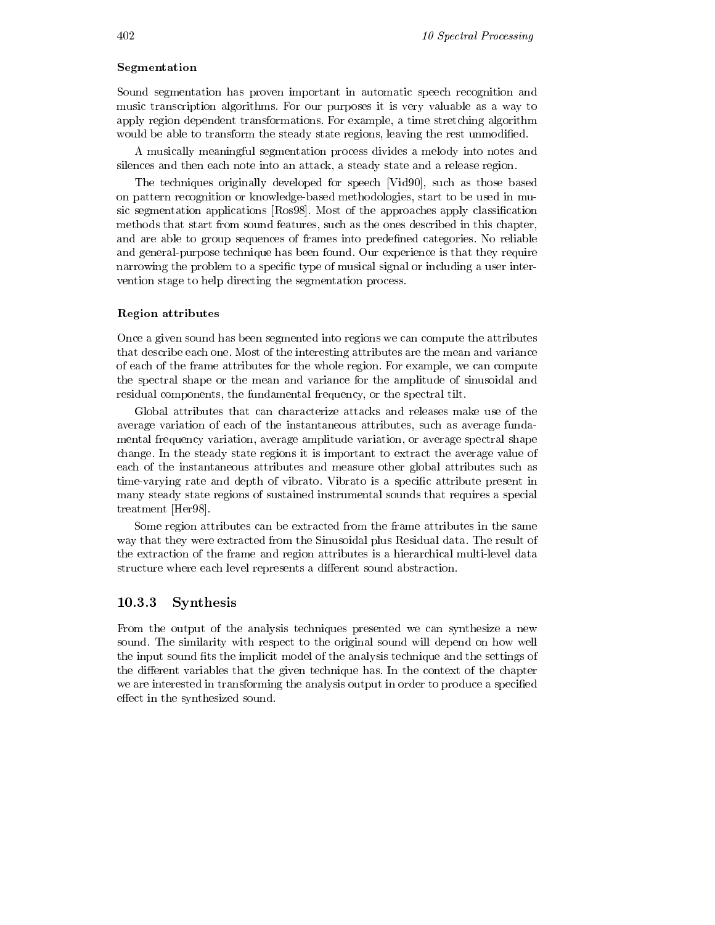## Segmentation

Sound segmentation has proven important in automatic speech recognition and music transcription algorithms. For our purposes it is very valuable as a way to apply region dependent transformations. For example, a time stretching algorithm would be able to transform the steady state regions, leaving the rest unmodified.

A musically meaningful segmentation process divides a melody into notes and silences and then each note into an attack, a steady state and a release region.

The techniques originally developed for speech [Vid90], such as those based on pattern recognition or knowledge-based methodologies, start to be used in music segmentation applications [Ros98]. Most of the approaches apply classification methods that start from sound features, such as the ones described in this chapter, and are able to group sequences of frames into predefined categories. No reliable and general-purpose technique has been found. Our experience is that they require narrowing the problem to a specific type of musical signal or including a user intervention stage to help directing the segmentation process.

## **Region attributes**

Once a given sound has been segmented into regions we can compute the attributes that describe each one. Most of the interesting attributes are the mean and variance of each of the frame attributes for the whole region. For example, we can compute the spectral shape or the mean and variance for the amplitude of sinusoidal and residual components, the fundamental frequency, or the spectral tilt.

Global attributes that can characterize attacks and releases make use of the average variation of each of the instantaneous attributes, such as average fundamental frequency variation, average amplitude variation, or average spectral shape change. In the steady state regions it is important to extract the average value of each of the instantaneous attributes and measure other global attributes such as time-varying rate and depth of vibrato. Vibrato is a specific attribute present in many steady state regions of sustained instrumental sounds that requires a special treatment [Her98].

Some region attributes can be extracted from the frame attributes in the same way that they were extracted from the Sinusoidal plus Residual data. The result of the extraction of the frame and region attributes is a hierarchical multi-level data structure where each level represents a different sound abstraction.

#### 10.3.3 **Synthesis**

From the output of the analysis techniques presented we can synthesize a new sound. The similarity with respect to the original sound will depend on how well the input sound fits the implicit model of the analysis technique and the settings of the different variables that the given technique has. In the context of the chapter we are interested in transforming the analysis output in order to produce a specified effect in the synthesized sound.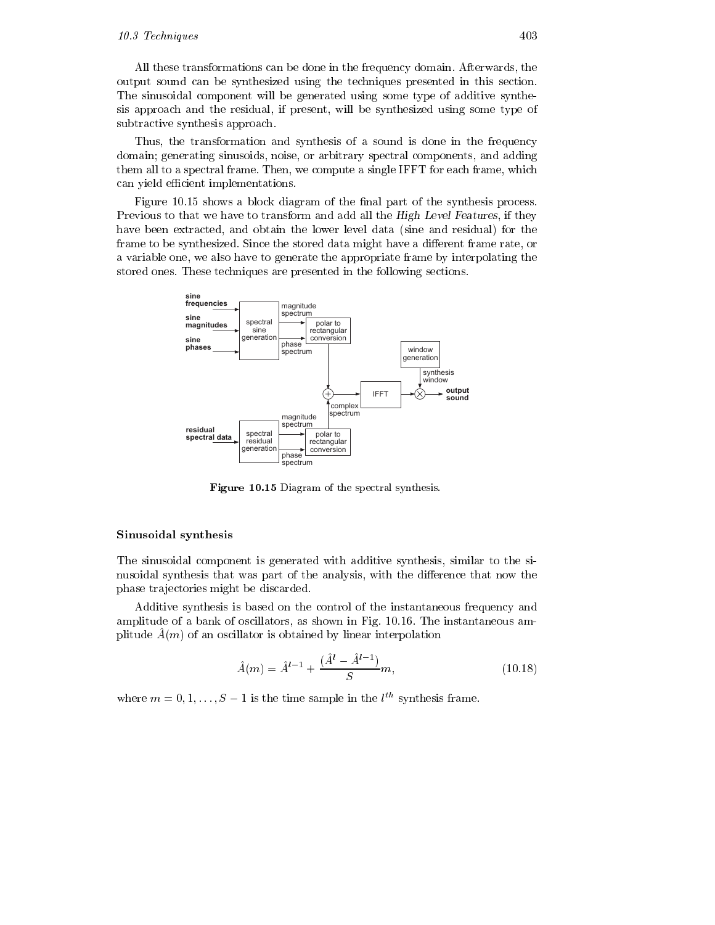## 10.3 Techniques

All these transformations can be done in the frequency domain. Afterwards, the output sound can be synthesized using the techniques presented in this section. The sinusoidal component will be generated using some type of additive synthesis approach and the residual, if present, will be synthesized using some type of subtractive synthesis approach.

Thus, the transformation and synthesis of a sound is done in the frequency domain; generating sinusoids, noise, or arbitrary spectral components, and adding them all to a spectral frame. Then, we compute a single IFFT for each frame, which can yield efficient implementations.

Figure 10.15 shows a block diagram of the final part of the synthesis process. Previous to that we have to transform and add all the High Level Features, if they have been extracted, and obtain the lower level data (sine and residual) for the frame to be synthesized. Since the stored data might have a different frame rate, or a variable one, we also have to generate the appropriate frame by interpolating the stored ones. These techniques are presented in the following sections.



Figure 10.15 Diagram of the spectral synthesis.

## Sinusoidal synthesis

The sinusoidal component is generated with additive synthesis, similar to the sinusoidal synthesis that was part of the analysis, with the difference that now the phase trajectories might be discarded.

Additive synthesis is based on the control of the instantaneous frequency and amplitude of a bank of oscillators, as shown in Fig. 10.16. The instantaneous amplitude  $\hat{A}(m)$  of an oscillator is obtained by linear interpolation

$$
\hat{A}(m) = \hat{A}^{l-1} + \frac{(\hat{A}^l - \hat{A}^{l-1})}{S}m,
$$
\n(10.18)

where  $m = 0, 1, ..., S - 1$  is the time sample in the  $l^{th}$  synthesis frame.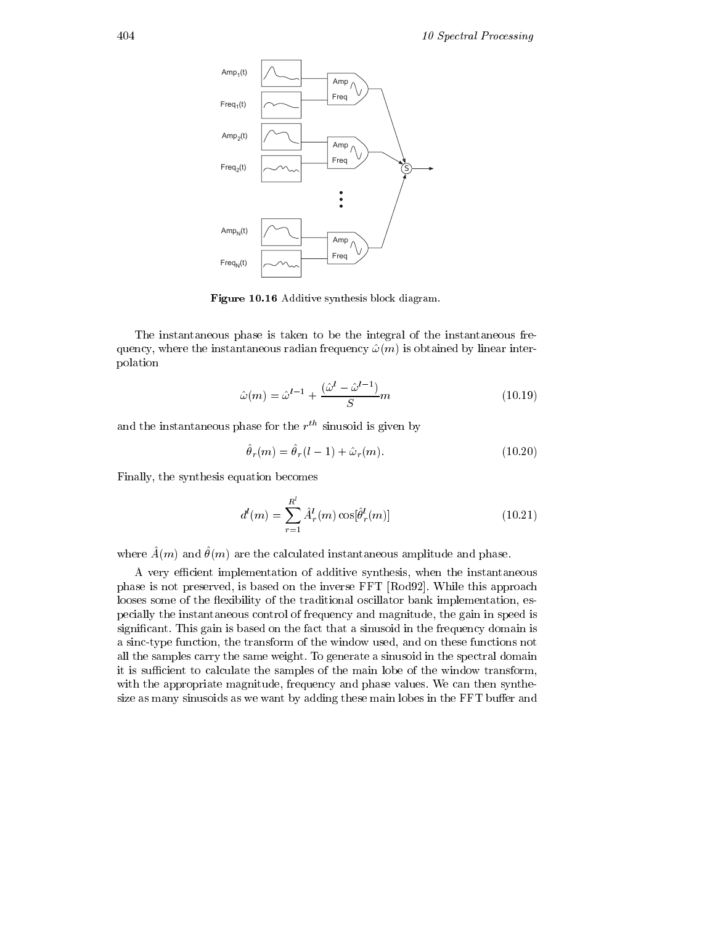

Figure 10.16 Additive synthesis block diagram.

The instantaneous phase is taken to be the integral of the instantaneous frequency, where the instantaneous radian frequency  $\hat{\omega}(m)$  is obtained by linear interpolation

$$
\hat{\omega}(m) = \hat{\omega}^{l-1} + \frac{(\hat{\omega}^l - \hat{\omega}^{l-1})}{S}m
$$
\n(10.19)

and the instantaneous phase for the  $r^{th}$  sinusoid is given by

$$
\hat{\theta}_r(m) = \hat{\theta}_r(l-1) + \hat{\omega}_r(m). \tag{10.20}
$$

Finally, the synthesis equation becomes

$$
d^{l}(m) = \sum_{r=1}^{R^{l}} \hat{A}_{r}^{l}(m) \cos[\hat{\theta}_{r}^{l}(m)]
$$
 (10.21)

where  $\hat{A}(m)$  and  $\hat{\theta}(m)$  are the calculated instantaneous amplitude and phase.

A very efficient implementation of additive synthesis, when the instantaneous phase is not preserved, is based on the inverse FFT [Rod92]. While this approach looses some of the flexibility of the traditional oscillator bank implementation, especially the instantaneous control of frequency and magnitude, the gain in speed is significant. This gain is based on the fact that a sinusoid in the frequency domain is a sinc-type function, the transform of the window used, and on these functions not all the samples carry the same weight. To generate a sinusoid in the spectral domain it is sufficient to calculate the samples of the main lobe of the window transform, with the appropriate magnitude, frequency and phase values. We can then synthesize as many sinusoids as we want by adding these main lobes in the FFT buffer and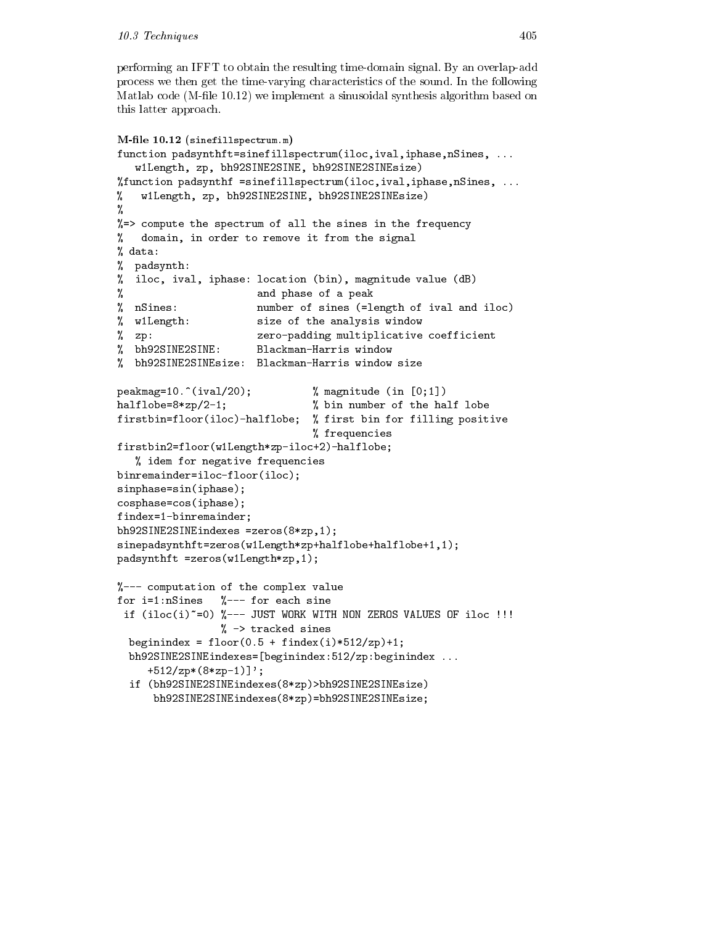performing an IFFT to obtain the resulting time-domain signal. By an overlap-add process we then get the time-varying characteristics of the sound. In the following Matlab code (M-file 10.12) we implement a sinusoidal synthesis algorithm based on this latter approach.

```
M-file 10.12 (sinefillspectrum.m)
function padsynthft=sinefillspectrum(iloc,ival,iphase,nSines, ...
   w1Length, zp, bh92SINE2SINE, bh92SINE2SINEsize)
"function padsynthf =sinefillspectrum(iloc, ival, iphase, nSines, ...
   w1Length, zp, bh92SINE2SINE, bh92SINE2SINEsize)
%
%
%=> compute the spectrum of all the sines in the frequency
% domain, in order to remove it from the signal
% data:
% padsynth:
% iloc, ival, iphase: location (bin), magnitude value (dB)
%
                       and phase of a peak
% nSines:
                       number of sines (=length of ival and iloc)
% w1Length:
                      size of the analysis window
\% zp:
                       zero-padding multiplicative coefficient
% bh92SINE2SINE:
                      Blackman-Harris window
% bh92SINE2SINEsize: Blackman-Harris window size
peakmag=10.^(ival/20);% magnitude (in [0;1])
                                % bin number of the half lobe
halflobe=8*zp/2-1;firstbin=floor(iloc)-halflobe; % first bin for filling positive
                                % frequencies
firstbin2=floor(w1Length*zp-iloc+2)-halflobe;
   % idem for negative frequencies
binremainder=iloc-floor(iloc);
sinphase=sin(iphase);cosphase = cos(iphase);findex=1-binremainder;
bh92SINE2SINEindexes = zeros(8*zp, 1);sinepadsynthft=zeros(w1Length*zp+halflobe+halflobe+1,1);
padsynthft =zeros(w1Length*zp,1);
%--- computation of the complex value
for i=1:nSines %--- for each sine
 if (iloc(i) =0) % --- JUST WORK WITH NON ZEROS VALUES OF iloc !!!
                % -> tracked sines
  beginindex = floor(0.5 + findex(i)*512/zp)+1;bh92SINE2SINEindexes=[beginindex:512/zp:beginindex ...
     +512/zp*(8*zp-1)];
  if (bh92SINE2SINEindexes(8*zp)>bh92SINE2SINEsize)
      bh92SINE2SINEindexes(8*zp)=bh92SINE2SINEsize;
```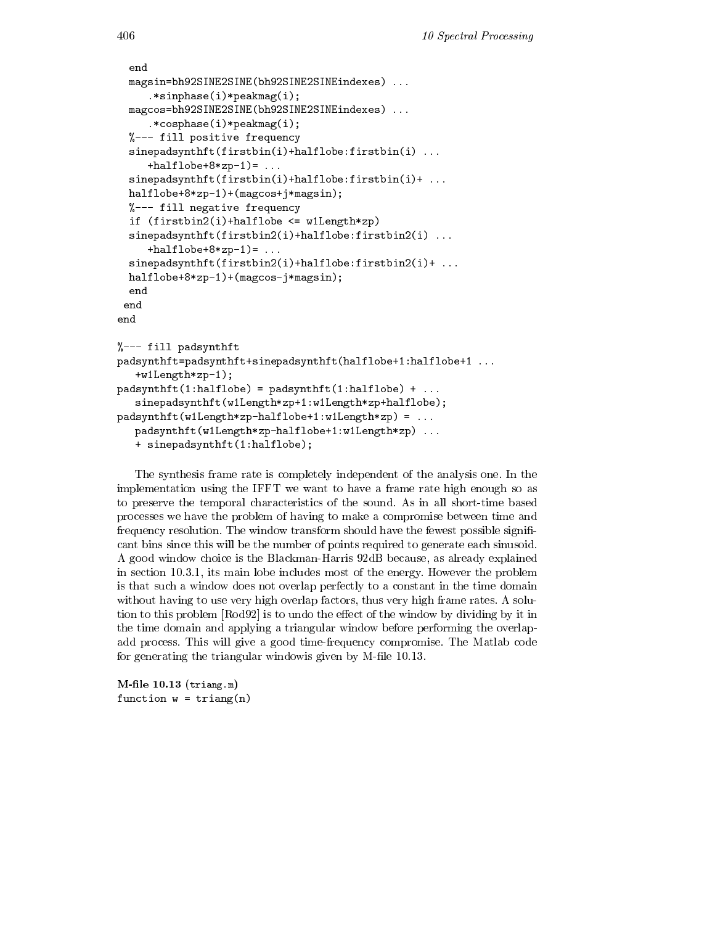```
end
  magsin=bh92SINE2SINE(bh92SINE2SINEindexes) ...
     .*sinphase(i)*peakmag(i);magcos=bh92SINE2SINE(bh92SINE2SINEindexes) ...
     .* \coshase(i)* \text{peakmag}(i);%--- fill positive frequency
  sinepadsynthft(firstbin(i)+halflobe:firstbin(i) ...
     +halflobe+8*zp-1)= ...
  sinepadsynthft(firstbin(i)+halflobe:firstbin(i)+...halflobe+8*zp-1)+(magcos+j*magsin);%--- fill negative frequency
  if (firstbin2(i) + halflobe \leq w1Length*zp)sinepadsynthft(firstbin2(i)+halflobe:firstbin2(i) ...
     +halflobe+8*zp-1)= ...
  sinepadsynthft(firstbin2(i)+halflobe:firstbin2(i)+ ...
  halflobe+8*zp-1)+(magcos-j*magsin);end
 end
And
%--- fill padsynthft
padsynthft=padsynthft+sinepadsynthft(halflobe+1:halflobe+1 ...
   +w1Length*zp-1);padsynthft(1:halflobe) = padsynthft(1:halflobe) + ...sinepadsynthft(w1Length*zp+1:w1Length*zp+halflobe);
padsynthft(w1Length*zp-halflobe+1:w1Length*zp) = ...padsynthft(w1Length*zp-halflobe+1:w1Length*zp) ...
   + sinepadsynthft(1:halflobe);
```
The synthesis frame rate is completely independent of the analysis one. In the implementation using the IFFT we want to have a frame rate high enough so as to preserve the temporal characteristics of the sound. As in all short-time based processes we have the problem of having to make a compromise between time and frequency resolution. The window transform should have the fewest possible significant bins since this will be the number of points required to generate each sinusoid. A good window choice is the Blackman-Harris 92dB because, as already explained in section 10.3.1, its main lobe includes most of the energy. However the problem is that such a window does not overlap perfectly to a constant in the time domain without having to use very high overlap factors, thus very high frame rates. A solution to this problem [Rod92] is to undo the effect of the window by dividing by it in the time domain and applying a triangular window before performing the overlapadd process. This will give a good time-frequency compromise. The Matlab code for generating the triangular windowis given by M-file 10.13.

M-file  $10.13$  (triang.m) function  $w = \text{triangle}(n)$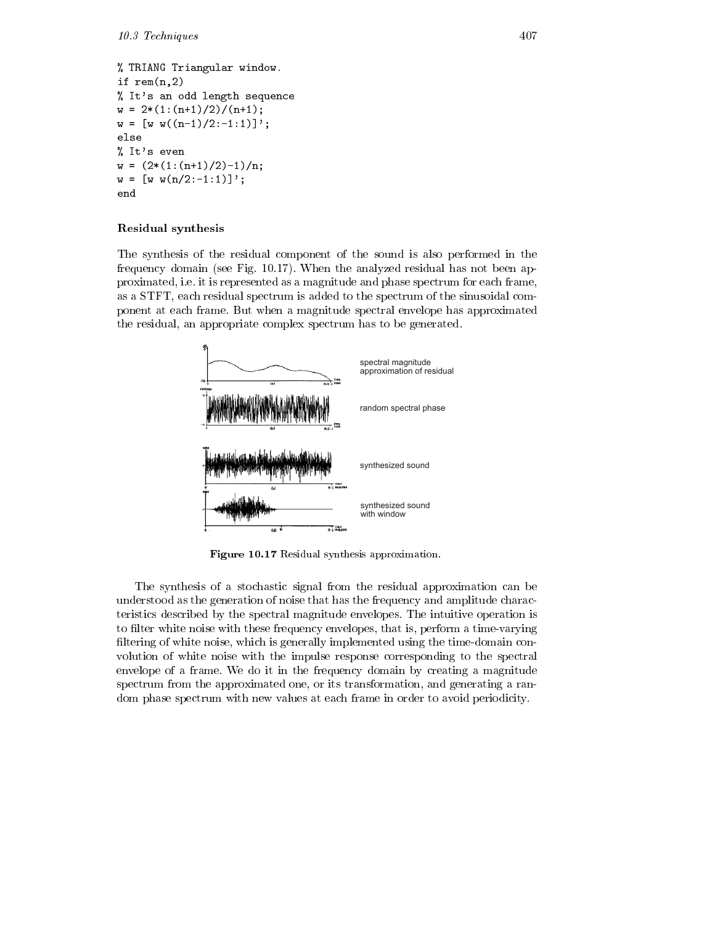```
 2@NP 2-
 #$#.
if rem(n,2)\alpha = \alpha = \alpha = \alpha = \alpha = \alpha = \alpha = \alpha = \alpha = \alpha = \alpha = \alpha = \alpha = \alpha = \alpha = \alpha = \alpha = \alpha = \alpha = \alpha = \alpha = \alpha = \alpha = \alpha = \alpha = \alpha = \alpha = \alpha = \alpha = \alpha = \alpha = \alphaw = 2*(1:(n+1)/2)/(n+1);
w = [w w ((n-1)/2:-1:1)];
else
% It's even
w = (2*(1:(n+1)/2)-1)/n;w = [w w(n/2:-1:1)]';
end
```
## 

- Although the contract of the contract of the contract of the contract of the contract of the contract of the contract of the contract of the contract of the contract of the contract of the contract of the contract of the frequency domain (see Fig. 10.17). When the analyzed residual has not been ap- $\mu$  -  $\mu$  -  $\mu$  -  $\mu$  -  $\mu$  -  $\mu$  -  $\mu$  -  $\mu$  -  $\mu$  -  $\mu$  -  $\mu$  -  $\mu$  -  $\mu$  -  $\mu$  -  $\mu$  -  $\mu$  -  $\mu$  -  $\mu$  -  $\mu$  -  $\mu$  -  $\mu$  -  $\mu$  -  $\mu$  -  $\mu$  -  $\mu$  -  $\mu$  -  $\mu$  -  $\mu$  -  $\mu$  -  $\mu$  -  $\mu$  -  $\mu$  6& - "  $\mu$  . The contract  $\mu$  and  $\mu$  and  $\mu$  measured the contract of  $\mu$  and  $\mu$  and  $\mu$  and  $\mu$  and  $\mu$ -  -



 $\blacksquare$  . The contracted by introduced by  $\blacksquare$ 

 - - - -   $\frac{1}{2}$  . The state of the state of the state of the state  $\frac{1}{2}$  ,  $\frac{1}{2}$  ,  $\frac{1}{2}$  ,  $\frac{1}{2}$  ,  $\frac{1}{2}$  ,  $\frac{1}{2}$  ,  $\frac{1}{2}$  ,  $\frac{1}{2}$  ,  $\frac{1}{2}$  ,  $\frac{1}{2}$  ,  $\frac{1}{2}$  ,  $\frac{1}{2}$  ,  $\frac{1}{2}$  ,  $\frac{$    - - - - 3 - - - " - 3 - - - - - " - -" - - - - - - 2 - - -  - - - - - - - - -" acin prime opeer and with now now we catholically in order to avoid believe portfoliotic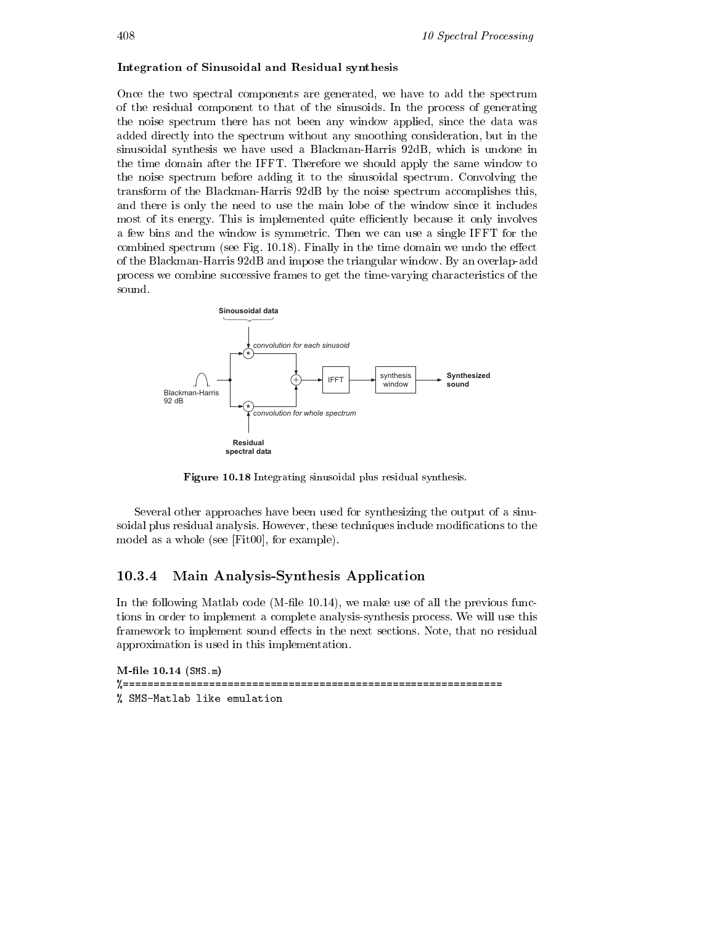## Integration of Sinusoidal and Residual synthesis

Once the two spectral components are generated, we have to add the spectrum of the residual component to that of the sinusoids. In the process of generating the noise spectrum there has not been any window applied, since the data was added directly into the spectrum without any smoothing consideration, but in the sinusoidal synthesis we have used a Blackman-Harris 92dB, which is undone in the time domain after the IFFT. Therefore we should apply the same window to the noise spectrum before adding it to the sinusoidal spectrum. Convolving the transform of the Blackman-Harris 92dB by the noise spectrum accomplishes this, and there is only the need to use the main lobe of the window since it includes most of its energy. This is implemented quite efficiently because it only involves a few bins and the window is symmetric. Then we can use a single IFFT for the combined spectrum (see Fig. 10.18). Finally in the time domain we undo the effect of the Blackman-Harris 92dB and impose the triangular window. By an overlap-add process we combine successive frames to get the time-varying characteristics of the sound.



Figure 10.18 Integrating sinusoidal plus residual synthesis.

Several other approaches have been used for synthesizing the output of a sinusoidal plus residual analysis. However, these techniques include modifications to the model as a whole (see [Fit00], for example).

#### 10.3.4 Main Analysis-Synthesis Application

In the following Matlab code (M-file 10.14), we make use of all the previous functions in order to implement a complete analysis-synthesis process. We will use this framework to implement sound effects in the next sections. Note, that no residual approximation is used in this implementation.

```
M-file 10.14 (SMS.m)
% SMS-Matlab like emulation
```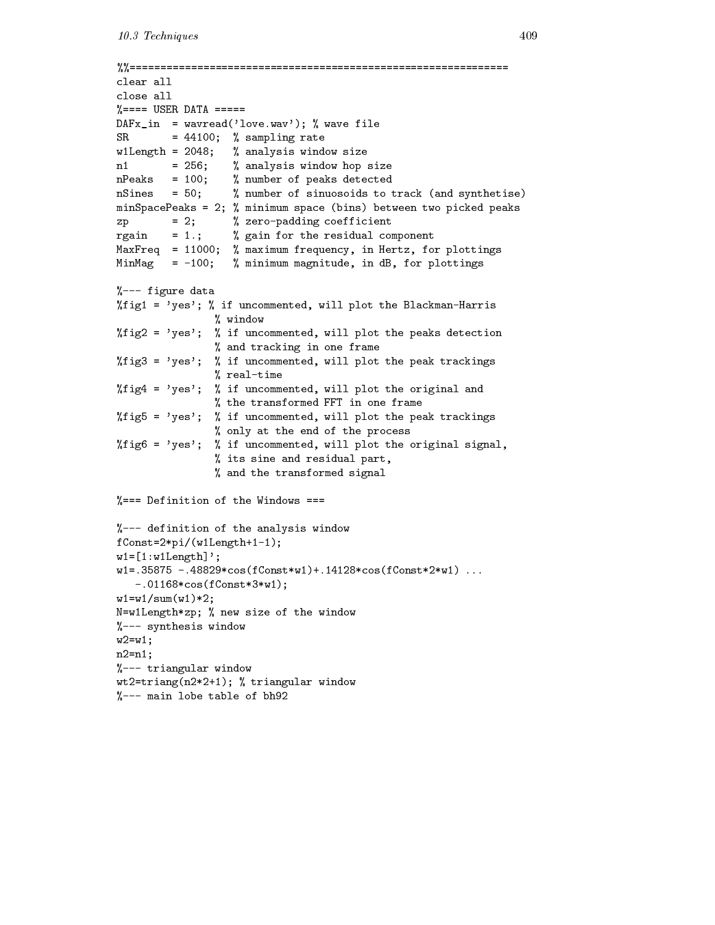```
clear all
close all
\text{\%} == \text{=} = \text{USER DATA} == \text{=}DAFx_in = wavread('love.wav'); % wave file
SR = 44100; % sampling rate
wlLength = 2048; % analysis window size
n1= 256;% analysis window hop size
nPeaks = 100; % number of peaks detected
nSines = 50;% number of sinuosoids to track (and synthetise)
minSpacePeaks = 2; % minimum space (bins) between two picked peaks
        = 2; % zero-padding coefficient<br>= 1.; % gain for the residual component
zp
rgain
MaxFreq = 11000; % maximum frequency, in Hertz, for plottings
MinMag = -100; % minimum magnitude, in dB, for plottings
%--- figure data
"fig1 = 'yes'; ", if uncommented, will plot the Blackman-Harris
               % window
%fig2 = 'yes'; % if uncommented, will plot the peaks detection
               % and tracking in one frame
%fig3 = 'yes'; % if uncommented, will plot the peak trackings
               % real-time
%fig4 = 'yes'; % if uncommented, will plot the original and
               % the transformed FFT in one frame
%fig5 = 'yes'; % if uncommented, will plot the peak trackings
               % only at the end of the process
"fig6 = 'yes'; ", if uncommented, will plot the original signal,
               % its sine and residual part,
               % and the transformed signal
% == Definition of the Windows ===
%--- definition of the analysis window
fConst=2*pi/(w1Length+1-1);w1 = [1:w1Length];
w1 = .35875 - .48829 * cos(fConst *w1) + .14128 * cos(fConst * 2 *w1) ...-.01168 * cos(fConst * 3 * w1);w1 = w1 / sum(w1) * 2;N=w1Length*zp; % new size of the window
%--- synthesis window
w2 = w1;n2 = n1;%--- triangular window
wt2=triang(n2*2+1); % triangular window
%--- main lobe table of bh92
```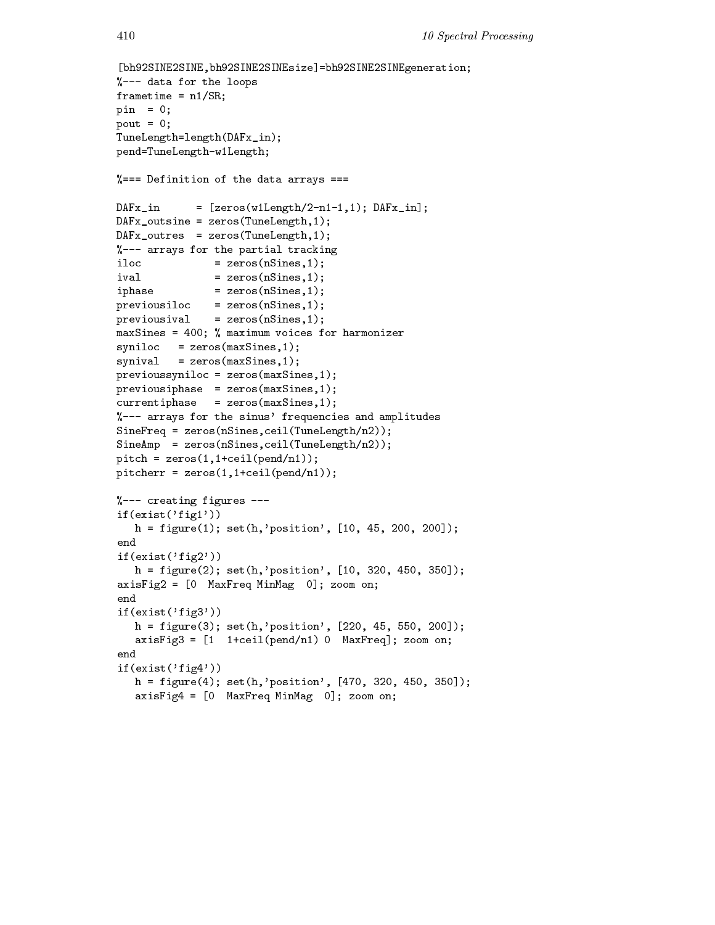```
[bh92SINE2SINE, bh92SINE2SINEsize]=bh92SINE2SINEgeneration;
%--- data for the loops
frametime = n1/SR;
pin = 0;pout = 0;
TuneLength=length(DAFx_in);
pend=TuneLength-w1Length;
% === Definition of the data arrays ===
           = [zeros(w1Length/2-n1-1,1); DAFx_in];
DAFx_in\texttt{DAFx\_outside} = \texttt{zeros}(\texttt{TuneLength}, 1);\texttt{DAFx\_outres} = \texttt{zeros}(\texttt{TuneLength}, 1);%--- arrays for the partial tracking
iloc
               = zeros(nSines,1);
ival
               = zeros(nSines,1);
i iphase = zeros(nSines,1);
previousiloc = zeros(nSines, 1);previouslyal = zeros(nSines, 1);maxSines = 400; % maximum voices for harmonizer
syniloc = zeros(maxSines, 1);synival = zeros(maxSines, 1);previoussyniloc = zeros(maxSines, 1);previousiphase = zeros(maxSines, 1);currentiphase = zeros(maxSines, 1);%--- arrays for the sinus' frequencies and amplitudes
SineFreq = zeros(nSines,ceil(TuneLength/n2));SineAmp = zeros(nSines,ceil(TuneLength/n2));pitch = zeros(1, 1+ceil(pend/n1));pitcherr = zeros(1, 1+ceil(pend/n1));%--- creating figures ---
if(exist('fig1'))h = figure(1); set(h, 'position', [10, 45, 200, 200]);end
if(exist('fig2'))h = figure(2); set(h, 'position', [10, 320, 450, 350]);axisFig2 = [0 MaxFreq MinMag 0]; zoom on;
_{\mathrm{end}}if(exist('fig3'))h = figure(3); set(h, 'position', [220, 45, 550, 200]);axisFig3 = [1 1+ceil(pend/n1) 0 MaxFreq]; zoom on;
end
if(exist('fig4'))h = figure(4); set(h, 'position', [470, 320, 450, 350]);axisFig4 = [0 MaxFreq MinMag 0]; zoom on;
```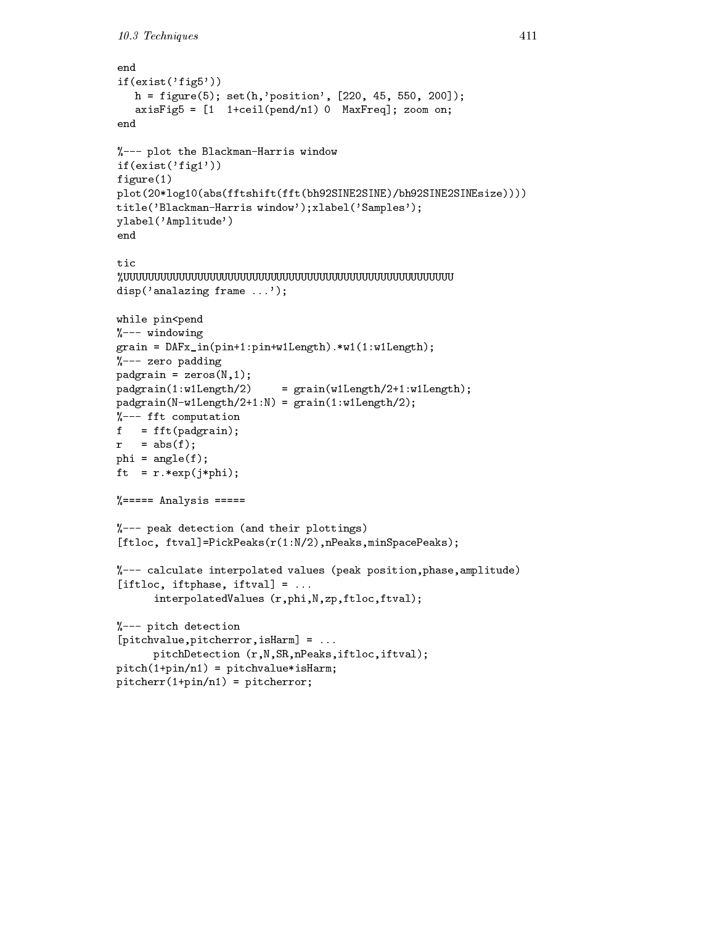```
10.3 Techniques
```

```
end
if(exist('fig5'))h = figure(5); set(h, 'position', [220, 45, 550, 200]);axisFig5 = [1 1+ceil(pend/n1) 0 MaxFreq]; zoom on;
end
%--- plot the Blackman-Harris window
if(exist('fig1'))figure(1)plot(20*log10(abs(fftshift(fft(bh92SINE2SINE)/bh92SINE2SINEsize))))
title('Blackman-Harris window'); xlabel('Samples');
ylabel('Amplitude')
end
tic
disp('analazing frame ...');
while pin<pend
%--- windowing
grain = DAFx_in(pin+1:pin+w1Length).*w1(1:w1Length);%--- zero padding
padgrain = zeros(N,1);padgrain(1:w1Length/2)
                        = grain(w1Length/2+1:w1Length);
padgrain(N-w1Length/2+1:N) = grain(1:w1Length/2);%--- fft computation
f = fft(padgrain);r = abs(f);phi = angle(f);ft = r.*exp(j*phi);% == == Analysis = = = = =
%--- peak detection (and their plottings)
[ftloc, ftval]=PickPeaks(r(1:N/2),nPeaks,minSpacePeaks);
%--- calculate interpolated values (peak position, phase, amplitude)
[iftloc, iftphase, iftval] = ...interpolatedValues (r,phi, N, zp, ftloc, ftval);
%--- pitch detection
[pitchvalue, pitcherror, isHarm] = ...pitchDetection (r, N, SR, nPeaks, iftloc, iftval);
pitch(1+pin/n1) = pitchvalue*isHarm;pitcherr(1+pin/n1) = pitcherror;
```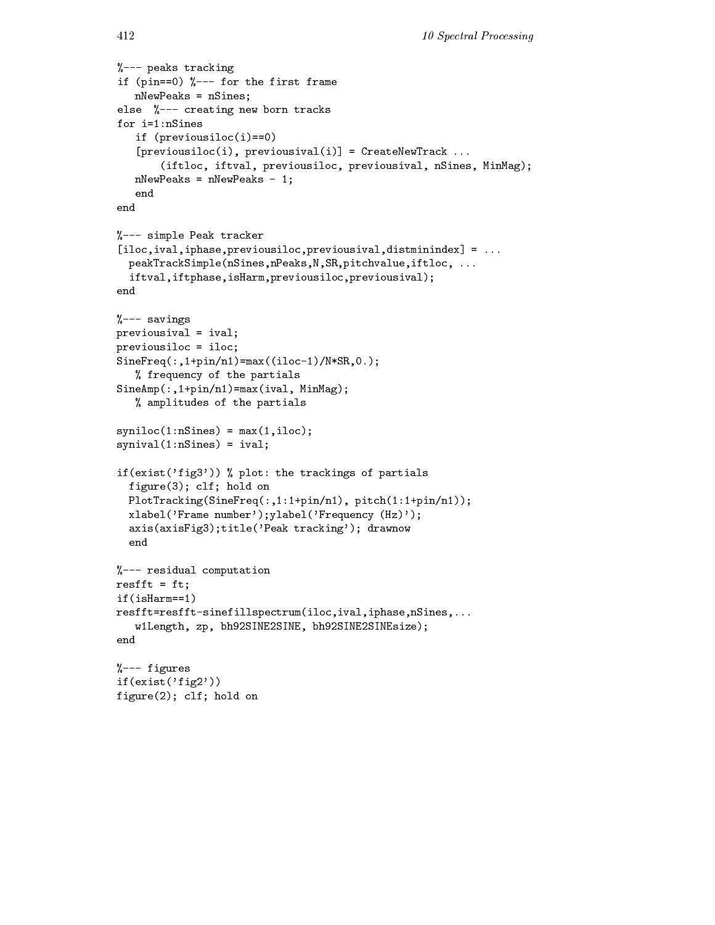```
%--- peaks tracking
if (pin==0) %--- for the first frame
   nNewPeaks = nSines;else %--- creating new born tracks
for i=1:nSinesif (previousiloc(i)=0)[previousiloc(i), previousival(i)] = CreateNewTrack ...(iftloc, iftval, previousiloc, previousival, nSines, MinMag);
   nNewPeaks = nNewPeaks - 1;
   end
end
%--- simple Peak tracker
[1loc, ival, iphase, previous iloc, previousival, distributioned] = ...peakTrackSimple(nSines,nPeaks,N,SR,pitchvalue,iftloc, ...
  iftval, iftphase, isHarm, previousiloc, previousival);
end
%--- savings
previouslyal = ival;previousiloc = iloc;SineFreq(:,1+pin/n1)=max((iloc-1)/N*SR,0.);
   % frequency of the partials
SineAmp(:,1+pin/n1)=max(ival, MinMag);% amplitudes of the partials
syniloc(1:nSines) = max(1,iloc);synival(1:nSines) = ival;if(exist('fig3')) % plot: the trackings of partials
  figure(3); clf; hold on
  Plottracting(SineFreq(:, 1:1+pin/n1), pitch(1:1+pin/n1));xlabel('Frame number'); ylabel('Frequency (Hz)');
  axis(axisFig3); title('Peak tracking'); drawnow
  end
%--- residual computation
restft = ft;if (isHarm==1)resfft=resfft-sinefillspectrum(iloc,ival,iphase,nSines,...
   w1Length, zp, bh92SINE2SINE, bh92SINE2SINEsize);
end
%--- figures
if(exist('fig2'))figure(2); c1f; hold on
```
412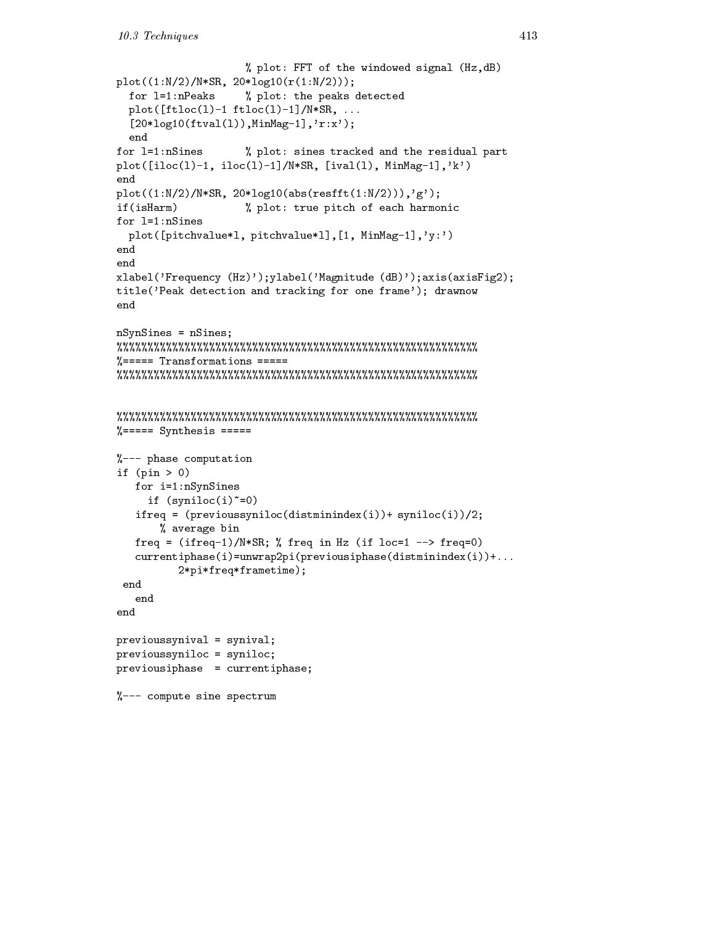```
% plot: FFT of the windowed signal (Hz,dB)
plot((1:N/2)/N*SR, 20*log10(r(1:N/2)));
 for l=1:nPeaks% plot: the peaks detected
 plot([ftloc(1)-1ftloc(1)-1]/N*SR, ...[20*log10(ftval(l)), MinMag-1], 'r:x');end
                  % plot: sines tracked and the residual part
for 1=1:nSines
plot([iloc(1)-1, iloc(1)-1]/N*SR, [ival(1), MinMag-1], 'k')end
plot((1:N/2)/N*SR, 20*log10(abs(resfft(1:N/2))), 'g');if(isHarm)
                  % plot: true pitch of each harmonic
for 1=1:nSines
 plot([pitchvalue*1, pitchvalue*1], [1, MinMag-1],'y:')
_{\mathrm{end}}end
xlabel('Frequency (Hz)'); ylabel('Magnitude (dB)'); axis(axisFig2);
title('Peak detection and tracking for one frame'); drawnow
end
nSynSines = nSines;\frac{9}{6} ===== Transformations =====
% == ==  Synthesis = = = = =
%--- phase computation
if (pin > 0)for i=1:nSynSines
    if (syniloc(i)"=0)
  ifreq = (previoussyniloc(distminindex(i)) + syniloc(i))/2;% average bin
  freq = (ifreq-1)/N*SR; % freq in Hz (if loc=1 --> freq=0)
  currentiphase(i)=unwrap2pi (previousiphase (distminindex(i))+...2*pi*freq*frametime);endendend
previously~~ = synival;
previoussyniloc = syniloc;
previousiphase = currentiphase;
%--- compute sine spectrum
```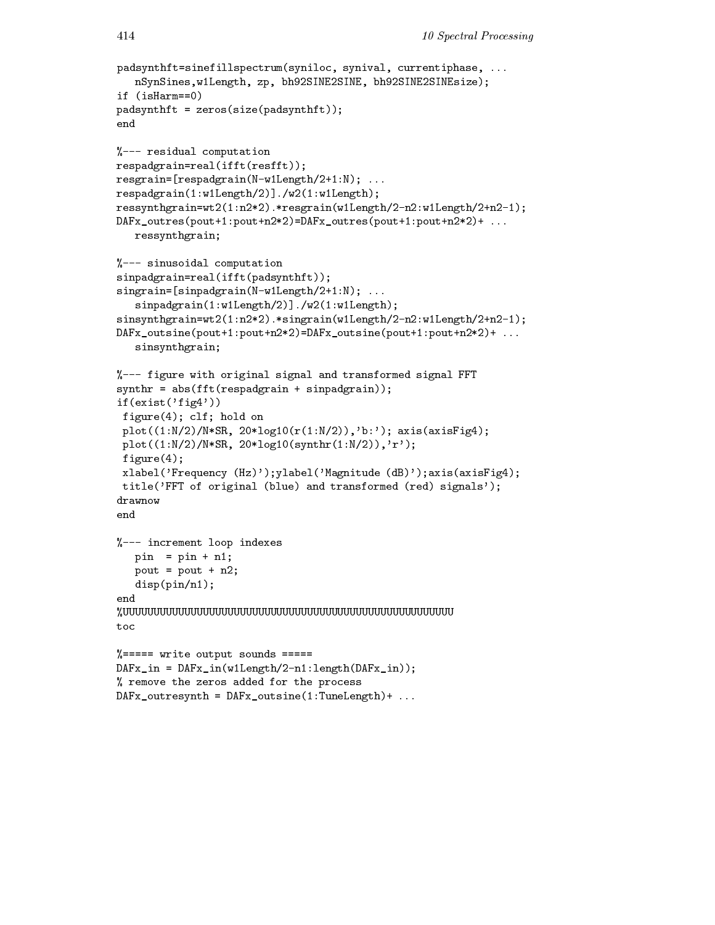```
padsynthft=sinefillspectrum(syniloc, synival, currentiphase, ...
   nSynSines, w1Length, zp, bh92SINE2SINE, bh92SINE2SINEsize);
if (isHarm==0)
padsynthft = zeros(size(padsynthft));end
%--- residual computation
respadgrain=real(ifft(resfft));
resgrain=[respadgrain(N-w1Length/2+1:N); ...respadgrain(1:w1Length/2)]./w2(1:w1Length);
ressynthgrain=wt2(1:n2*2).*resgrain(w1Length/2-n2:w1Length/2+n2-1);
\text{DAFx}\_\text{outres}(\text{pout+1:pout+n2*2})=\text{DAFx}\_\text{outres}(\text{pout+1:pout+n2*2})+\ \dotsressynthgrain;
%--- sinusoidal computation
sinpadgrain=real(ifft(padsynthft));
singular[sinpadgrain(N-w1Length/2+1:N); ...]sinpadgrain(1:w1Length/2)]./w2(1:w1Length);
sinsynthgrain = wt2(1:n2*2). *singrain(w1Length/2-n2:w1Length/2+n2-1);
DAFx_outsine(pout+1:pout+n2*2)=DAFx_outsine(pout+1:pout+n2*2)+ ...
   sinsynthgrain;
%--- figure with original signal and transformed signal FFT
synthr = abs(fft(respadgrain + sinpadgrain));if(exist('fig4'))figure(4); c1f; hold onplot((1:N/2)/N*SR, 20*log10(r(1:N/2)), 'b:'); axis(axisFig4);plot((1:N/2)/N*SR, 20*log10(synthr(1:N/2)), 'r');figure(4);
 xlabel('Frequency (Hz)'); ylabel('Magnitude (dB)'); axis(axisFig4);
 title('FFT of original (blue) and transformed (red) signals');
drawnow
end
%--- increment loop indexes
  pin = pin + n1;pout = pout + n2;
   disp(pin/n1);end
toc
% ===== write output sounds =====
\texttt{DAFx}\_in = \texttt{DAFx}\_in(\texttt{w1Length}/2-n1:\texttt{length}(\texttt{DAFx}\_in));
% remove the zeros added for the process
DAFx_{out}resynth = DAFx_{out}sine(1:TuneLength)+...
```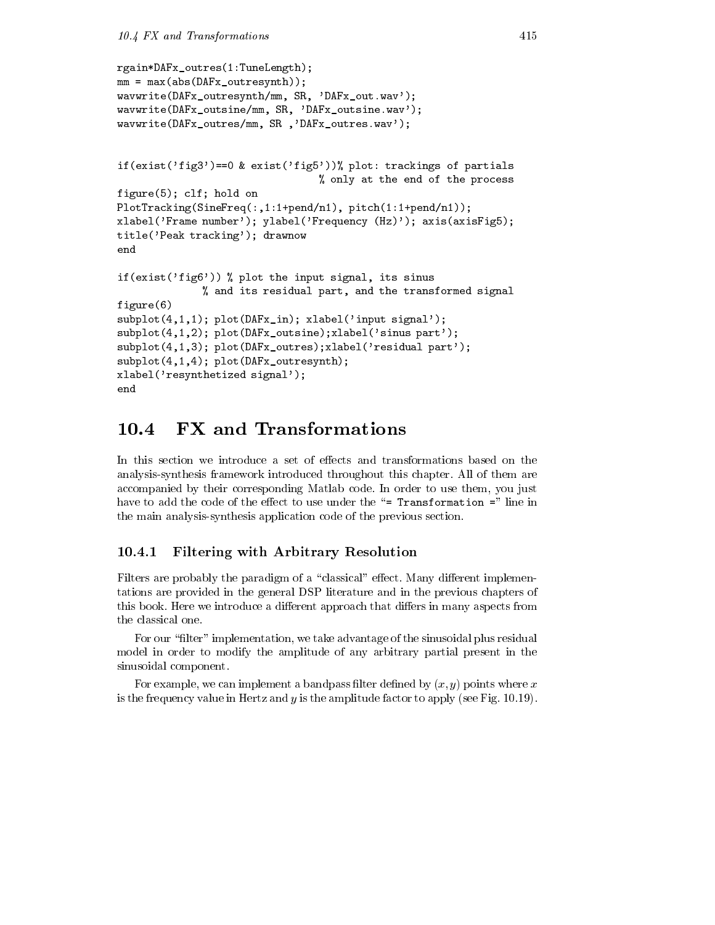```
rgain*DAFx outres(1:TuneLength);
mm = max(abs(DAFx_outresult));
wavwrite(DAFx_outresynth/mm, SR, 'DAFx_out.wav');
wavwrite(DAFx_outsine/mm, SR, 'DAFx_outsine.wav');
wavwrite(DAFx_outres/mm, SR, 'DAFx_outres.wav');
if(exist('fig3') == 0 & exist('fig5'))% plot: trackings of partials
                                  % only at the end of the process
figure(5); c1f; hold onPlotTracking(SineFreq(:,1:1+pend/n1), pitch(1:1+pend/n1));
xlabel('Frame number');    ylabel('Frequency (Hz)');    axis(axisFig5);
title('Peak tracking'); drawnow
end
if(exist('fig6')) % plot the input signal, its sinus
              % and its residual part, and the transformed signal
figure(6)subplot(4,1,1); plot(DAFx_in); xlabel('input signal');
subplot(4,1,2); plot(DAFx_outsine); xlabel('sinus part');
subplot(4,1,3); plot(DAFx_outres); xlabel('residual part');
\text{subplot}(4,1,4); \text{plot}(\text{DAFx\_outresynth});xlabel('resynthetized signal');
end
```
#### $10.4$ **FX** and Transformations

In this section we introduce a set of effects and transformations based on the analysis-synthesis framework introduced throughout this chapter. All of them are accompanied by their corresponding Matlab code. In order to use them, you just have to add the code of the effect to use under the "= Transformation =" line in the main analysis-synthesis application code of the previous section.

#### 10.4.1 **Filtering with Arbitrary Resolution**

Filters are probably the paradigm of a "classical" effect. Many different implementations are provided in the general DSP literature and in the previous chapters of this book. Here we introduce a different approach that differs in many aspects from the classical one.

For our "filter" implementation, we take advantage of the sinusoidal plus residual model in order to modify the amplitude of any arbitrary partial present in the sinusoidal component.

For example, we can implement a bandpass filter defined by  $(x, y)$  points where x is the frequency value in Hertz and  $y$  is the amplitude factor to apply (see Fig. 10.19).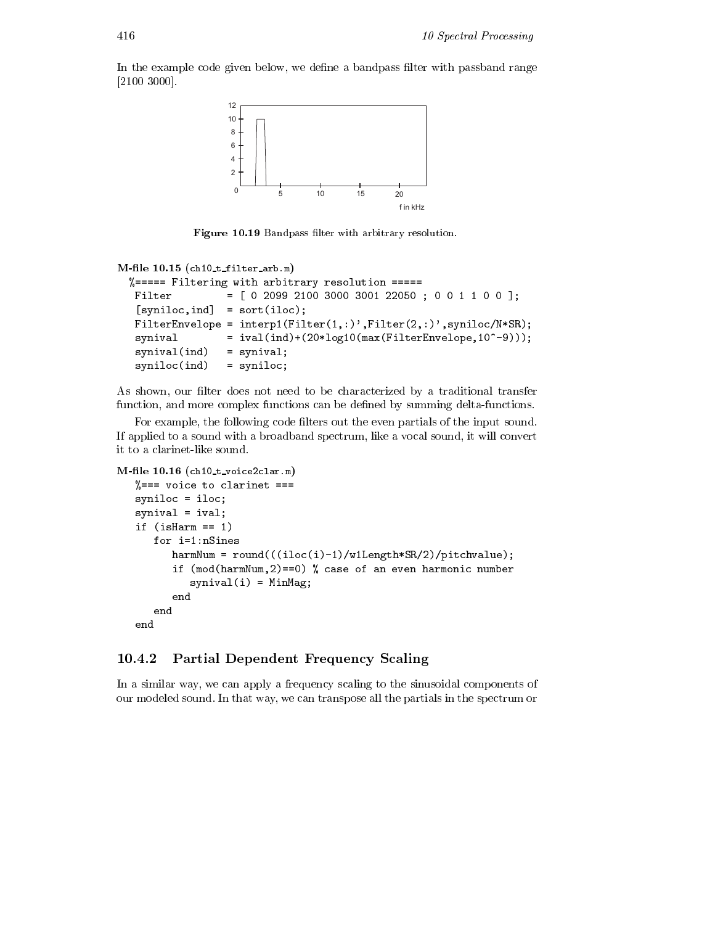In the example code given below, we define a bandpass filter with passband range  $[2100 3000]$ .



Figure 10.19 Bandpass filter with arbitrary resolution.

```
M-file 10.15 (ch10_t_filter_arb.m)
```

```
% ===== Filtering with arbitrary resolution =====
                = [ 0 2099 2100 3000 3001 22050 ; 0 0 1 1 0 0 ];
 Filter
 [syniloc,ind] = sort(iloc);FilterEnvelope = interp1(Filter(1,:)',Filter(2,:)',syniloc/N*SR);
                = ival(ind)+(20*log10(max(FilterEnvelope,10^-9)));
 synival
 synival(ind)
                = synival;
 syniloc(ind)
                = syniloc;
```
As shown, our filter does not need to be characterized by a traditional transfer function, and more complex functions can be defined by summing delta-functions.

For example, the following code filters out the even partials of the input sound. If applied to a sound with a broadband spectrum, like a vocal sound, it will convert it to a clarinet-like sound.

```
M-file 10.16 (ch10_t_voice2clar.m)
   \frac{9}{6} === voice to clarinet ===
   syniloc = iloc;synival = ival;if (isHarm == 1)
      for i=1:nSines
         harmNum = round(((iloc(i)-1)/w1Length*SR/2)/pitchvalue);if (mod (harmNum, 2) == 0) % case of an even harmonic number
             synival(i) = MinMag;end
      end
   end
```
#### 10.4.2 **Partial Dependent Frequency Scaling**

In a similar way, we can apply a frequency scaling to the sinusoidal components of our modeled sound. In that way, we can transpose all the partials in the spectrum or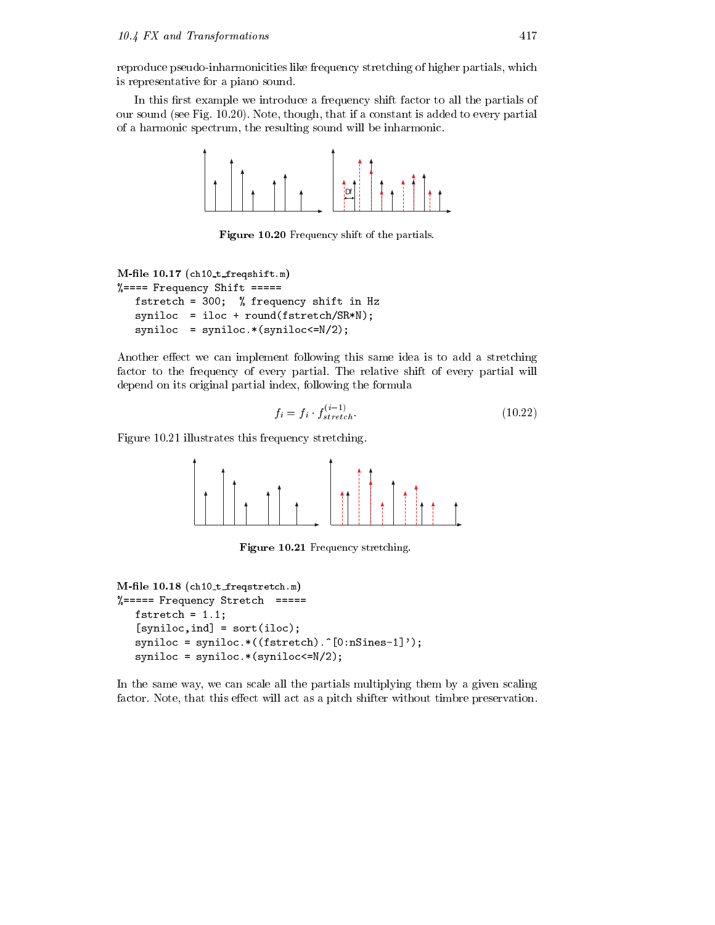reproduce pseudo-inharmonicities like frequency stretching of higher partials, which is representative for a piano sound.

In this first example we introduce a frequency shift factor to all the partials of our sound (see Fig. 10.20). Note, though, that if a constant is added to every partial of a harmonic spectrum, the resulting sound will be inharmonic.



Figure 10.20 Frequency shift of the partials.

```
M-file 10.17 (ch10_t_freqshift.m)
% ==== Frequency Shift =====
   fstretch = 300; % frequency shift in Hz
   syniloc = iloc + round(fstretch/SR*N);syniloc = syniloc.*(syniloc<=N/2);
```
Another effect we can implement following this same idea is to add a stretching factor to the frequency of every partial. The relative shift of every partial will depend on its original partial index, following the formula

$$
f_i = f_i \cdot f_{stretch}^{(i-1)}.\tag{10.22}
$$

Figure 10.21 illustrates this frequency stretching.



Figure 10.21 Frequency stretching.

```
M-file 10.18 (ch10_t_freqstretch.m)
% ===== Frequency Stretch =====
   fstretch = 1.1;
   [syniloc,ind] = sort(iloc);syniloc = syniloc.*((fstretch).^[0:nSines-1]');
   syniloc = syniloc.*(syniloc<=N/2);
```
In the same way, we can scale all the partials multiplying them by a given scaling factor. Note, that this effect will act as a pitch shifter without timbre preservation.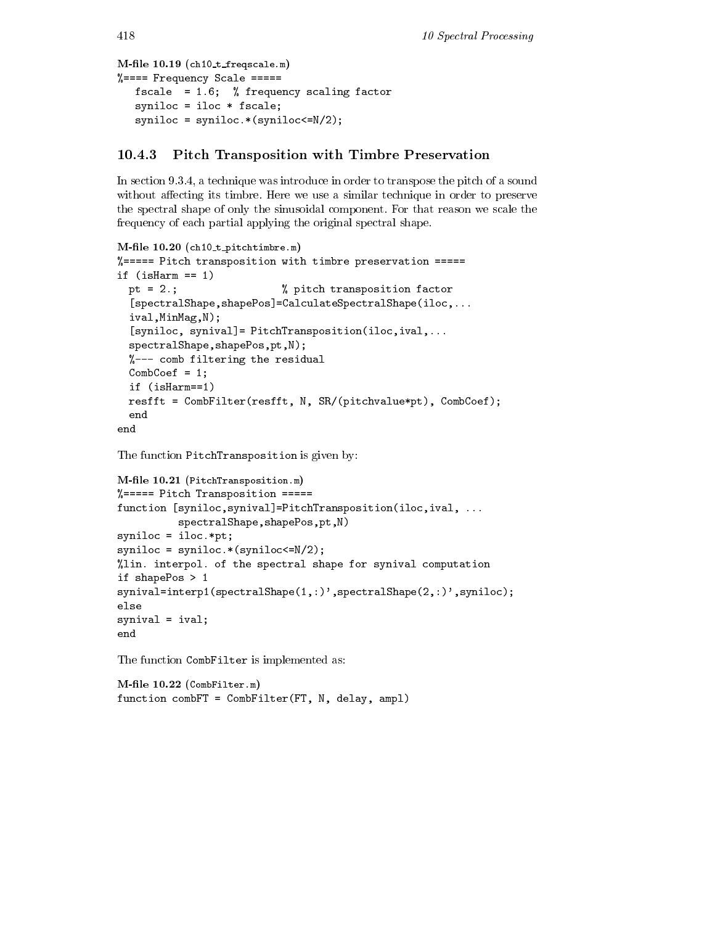```
M-file 10.19 (ch10_t_freqscale.m)
% ==== Frequency Scale =====
   fscale = 1.6; % frequency scaling factor
   syniloc = iloc * fscale;
   syniloc = syniloc.*(syniloc<=N/2);
```
#### **Pitch Transposition with Timbre Preservation** 10.4.3

In section 9.3.4, a technique was introduce in order to transpose the pitch of a sound without affecting its timbre. Here we use a similar technique in order to preserve the spectral shape of only the sinusoidal component. For that reason we scale the frequency of each partial applying the original spectral shape.

```
M-file 10.20 (ch10_t_pitchtimbre.m)
% ===== Pitch transposition with timbre preservation =====
if (islarm == 1)% pitch transposition factor
  pt = 2.;
  [spectralShape, shapePos]=CalculateSpectralShape(iloc,...
  ival, MinMag, N);
  [syniloc, synival] = PitchTransposition(iloc, ival, ...
  spectralShape, shapePos, pt, N);
  %--- comb filtering the residual
  CombCoef = 1;if (isHarm==1)
  resfft = CombFilter(resfft, N, SR/(pitchvalue*pt), CombCoef);
  end
```
end

The function PitchTransposition is given by:

```
M-file 10.21 (PitchTransposition.m)
% ===== Pitch Transposition =====
function [syniloc, synival]=PitchTransposition(iloc, ival, ...
          spectralShape, shapePos, pt, N)
syniloc = iloc.*pt;syniloc = syniloc.*(syniloc<=N/2);%lin. interpol. of the spectral shape for synival computation
if shapePos > 1synival=interpl(spectralShape(1,:)', spectralShape(2,:)', syniloc);
else
synival = ival;end
```
The function CombFilter is implemented as:

```
M-file 10.22 (CombFilter.m)
function combFT = CombFilter (FT, N, delay, ampl)
```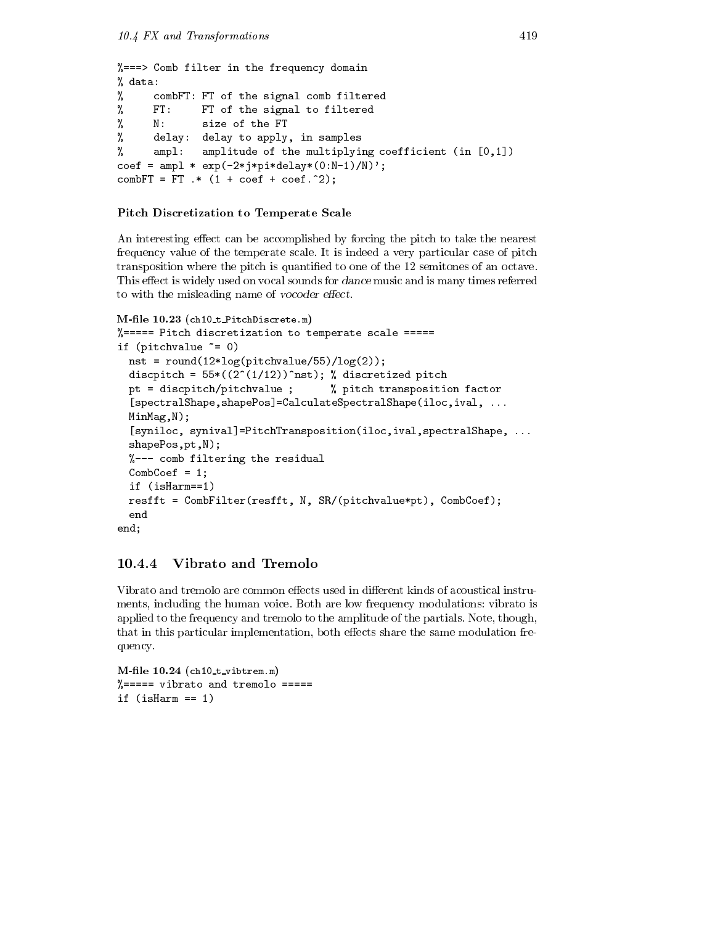```
%===> Comb filter in the frequency domain
% data:
\%combFT: FT of the signal comb filtered
\%FT of the signal to filtered
       FT:%
                size of the FT
       N:%
       delay: delay to apply, in samples
                amplitude of the multiplying coefficient (in [0,1])
%
       amp1:\text{coef} = \text{ampl} * \text{exp}(-2*pi*pi * \text{delay} * (0:N-1)/N)';combFT = FT .* (1 + \text{coef} + \text{coef} \cdot 2);
```
## Pitch Discretization to Temperate Scale

An interesting effect can be accomplished by forcing the pitch to take the nearest frequency value of the temperate scale. It is indeed a very particular case of pitch transposition where the pitch is quantified to one of the 12 semitones of an octave. This effect is widely used on vocal sounds for *dance* music and is many times referred to with the misleading name of vocoder effect.

```
M-file 10.23 (ch10_t_PitchDiscrete.m)
% ===== Pitch discretization to temperate scale =====
if (pitchvalue z = 0)
  nst = round(12*log(pitchvalue/55)/log(2));discpitch = 55*((2^(1/12))^nst); discretized pitch
                                    % pitch transposition factor
  pt = discpitch/pitchvalue ;
  [spectralShape, shapePos]=CalculateSpectralShape(iloc, ival, ...
  MinMag, N);
  [syniloc, synival]=PitchTransposition(iloc, ival, spectralShape, ...
  shapePos,pt,N);%--- comb filtering the residual
  CombCoef = 1;if (isHarm==1)
  resfft = CombFilter(resfft, N, SR/(pitchvalue*pt), CombCoef);
  end
end;
```
#### 10.4.4 Vibrato and Tremolo

Vibrato and tremolo are common effects used in different kinds of acoustical instruments, including the human voice. Both are low frequency modulations: vibrato is applied to the frequency and tremolo to the amplitude of the partials. Note, though, that in this particular implementation, both effects share the same modulation frequency.

```
M-file 10.24 (ch10_t_vibtrem.m)
\frac{9}{6} ===== vibrato and tremolo =====
if (islarm == 1)
```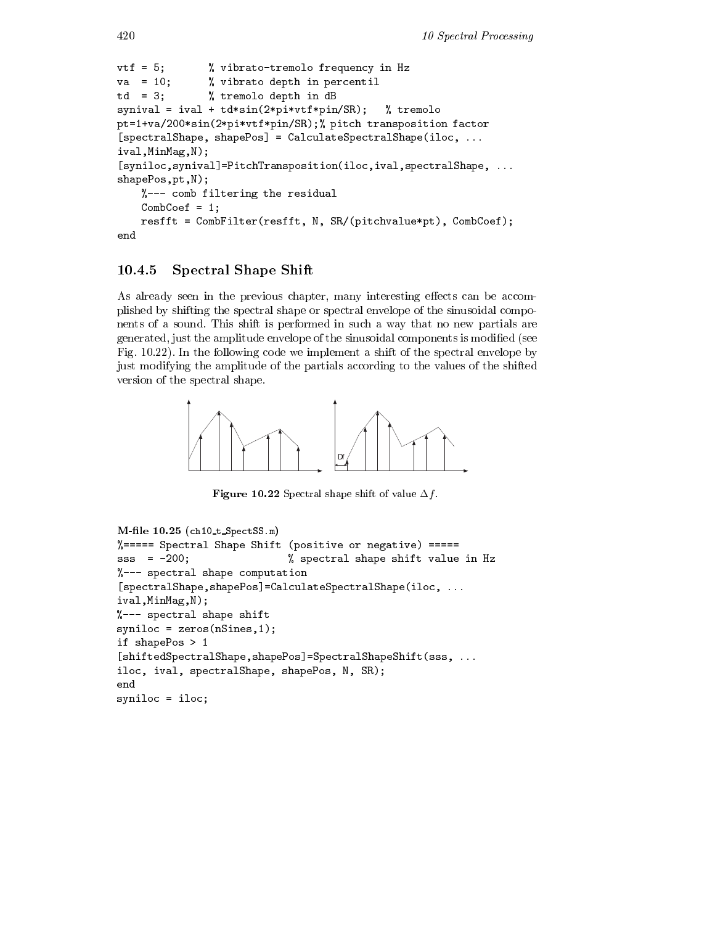```
vtf = 5;
               % vibrato-tremolo frequency in Hz
               % vibrato depth in percentil
va = 10;\text{td} = 3;
               % tremolo depth in dB
synival = ival + td*sin(2*pi*vtf*pin/SR);
                                             % tremolo
pt=1+va/200*sin(2*pi*vtf*pin/SR);% pitch transposition factor
[spectralShape, shapePos] = CalculateSpectralShape(iloc, ...
ival, MinMag, N);
[syniloc, synival]=PitchTransposition(iloc, ival, spectralShape, ...
shapePos,pt,N);%--- comb filtering the residual
    CombCoef = 1;resfft = CombFilter(resfft, N, SR/(pitchvalue*pt), CombCoef);
end
```
#### **Spectral Shape Shift** 10.4.5

As already seen in the previous chapter, many interesting effects can be accomplished by shifting the spectral shape or spectral envelope of the sinusoidal components of a sound. This shift is performed in such a way that no new partials are generated, just the amplitude envelope of the sinusoidal components is modified (see Fig. 10.22). In the following code we implement a shift of the spectral envelope by just modifying the amplitude of the partials according to the values of the shifted version of the spectral shape.



Figure 10.22 Spectral shape shift of value  $\Delta f$ .

```
M-file 10.25 (ch10_t_SpectSS.m)
% ===== Spectral Shape Shift (positive or negative) =====
sss = -200;% spectral shape shift value in Hz
%--- spectral shape computation
[spectralShape, shapePos]=CalculateSpectralShape(iloc, ...
ival, MinMag, N);%--- spectral shape shift
syniloc = zeros(nSines, 1);if shapePos > 1[shiftedSpectralShape, shapePos]=SpectralShapeShift(sss, ...
iloc, ival, spectralShape, shapePos, N, SR);
end
syniloc = iloc;
```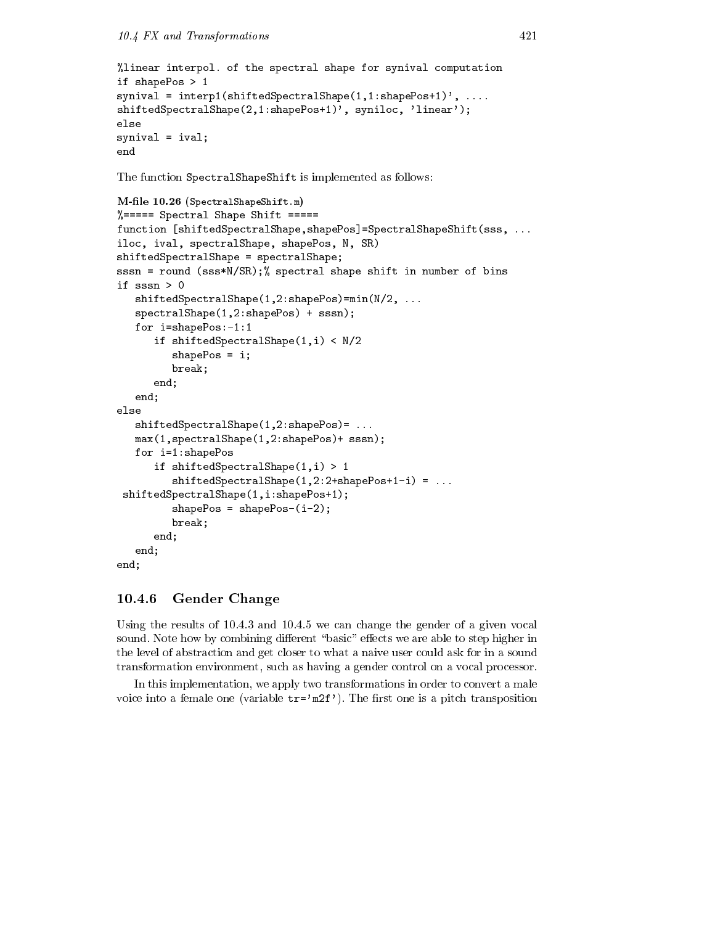```
"linear interpol. of the spectral shape for synival computation
if shapePos > 1synival = interp1(shiftedSpectralShape(1,1:shapePos+1)', ....
shiftedSpectralShape(2,1:shapePos+1)', syniloc, 'linear');
else
synival = ival;end
```
The function SpectralShapeShift is implemented as follows:

```
M-file 10.26 (SpectralShapeShift.m)
\frac{9}{6} ===== Spectral Shape Shift =====
function [shiftedSpectralShape, shapePos]=SpectralShapeShift(sss, ...
iloc, ival, spectralShape, shapePos, N, SR)
shiftedSpectralShape = spectralShape;
sssn = round (sss*N/SR); % spectral shape shift in number of bins
if sssn > 0shiftedSpectra1Shape(1,2:shapePos)=min(N/2, ...spectralShape(1,2:shapePos) + sssn);for i = shapePos:-1:1if shiftedSpectralShape(1,i) < N/2
         shapePos = i;
         break;
      end:
   end;
else
   shiftedSpectra1Shape(1,2:shapePos)=...max(1, spectralShape(1, 2:shapePos) + sssn);for i=1:shapePos
      if shiftedSpectralShape(1,i) > 1shiftedSpectralShape(1,2:2+shapePos+1-i) = ...shiftedSpectralShape(1,i:shapePos+1);
         shapePos = shapePos-(i-2);
         break;
      end;end;
end;
```
#### **Gender Change** 10.4.6

Using the results of  $10.4.3$  and  $10.4.5$  we can change the gender of a given vocal sound. Note how by combining different "basic" effects we are able to step higher in the level of abstraction and get closer to what a naive user could ask for in a sound transformation environment, such as having a gender control on a vocal processor.

In this implementation, we apply two transformations in order to convert a male voice into a female one (variable  $tr='m2f')$ ). The first one is a pitch transposition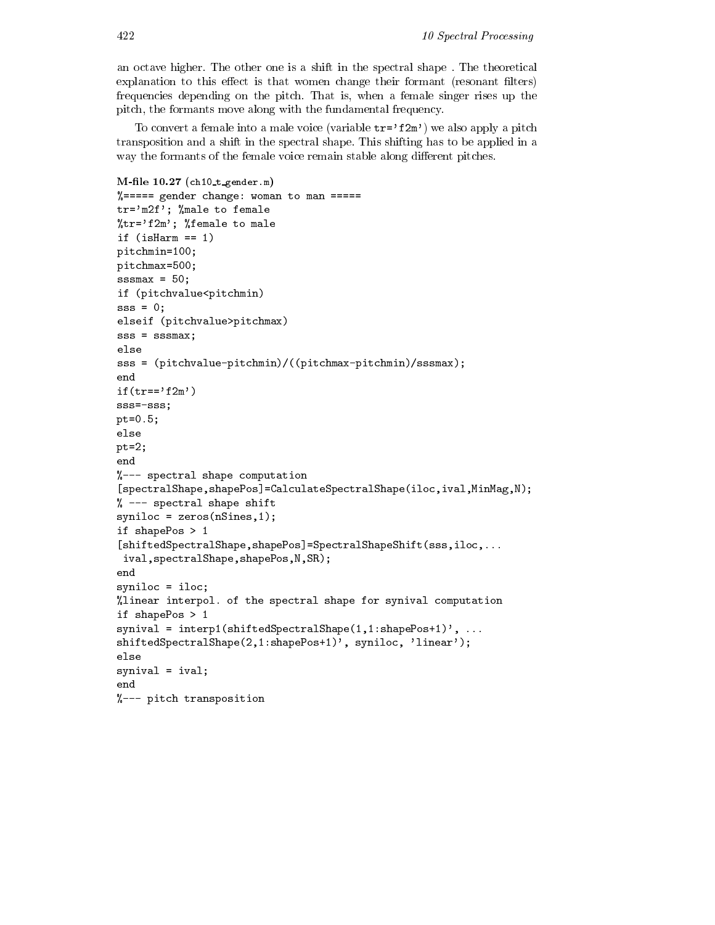an octave higher. The other one is a shift in the spectral shape. The theoretical explanation to this effect is that women change their formant (resonant filters) frequencies depending on the pitch. That is, when a female singer rises up the pitch, the formants move along with the fundamental frequency.

To convert a female into a male voice (variable  $tr='f2m')$  we also apply a pitch transposition and a shift in the spectral shape. This shifting has to be applied in a way the formants of the female voice remain stable along different pitches.

```
M-file 10.27 (ch10_t_gender.m)
\frac{9}{6} ===== gender change: woman to man =====
tr='m2f'; %male to female
%tr='f2m'; %female to maleif (islarm == 1)pitchmin=100;
pitchmax=500;
sssmax = 50;
if (pitchvalue<pitchmin)
sss = 0;elseif (pitchvalue>pitchmax)
sss = sssmax;else
sss = (pitchvalue-pitchmin)/((pitchmax-pitchmin)/sssmax);
end
if (tr=='f2m')sss = -sss;pt=0.5;else
pt=2:
end
%--- spectral shape computation
[spectralShape,shapePos]=CalculateSpectralShape(iloc,ival,MinMag,N);
% --- spectral shape shift
syniloc = zeros(nSines, 1);if shapePos > 1[shiftedSpectralShape,shapePos]=SpectralShapeShift(sss,iloc,...
ival, spectralShape, shapePos, N, SR);
end
syniloc = iloc;"linear interpol. of the spectral shape for synival computation
if shapePos > 1synival = interp1(shiftedSpectralShape(1,1:shapePos+1), ...
shiftedSpectralShape(2,1:shapePos+1)', syniloc, 'linear');
else
synival = ival;end
%--- pitch transposition
```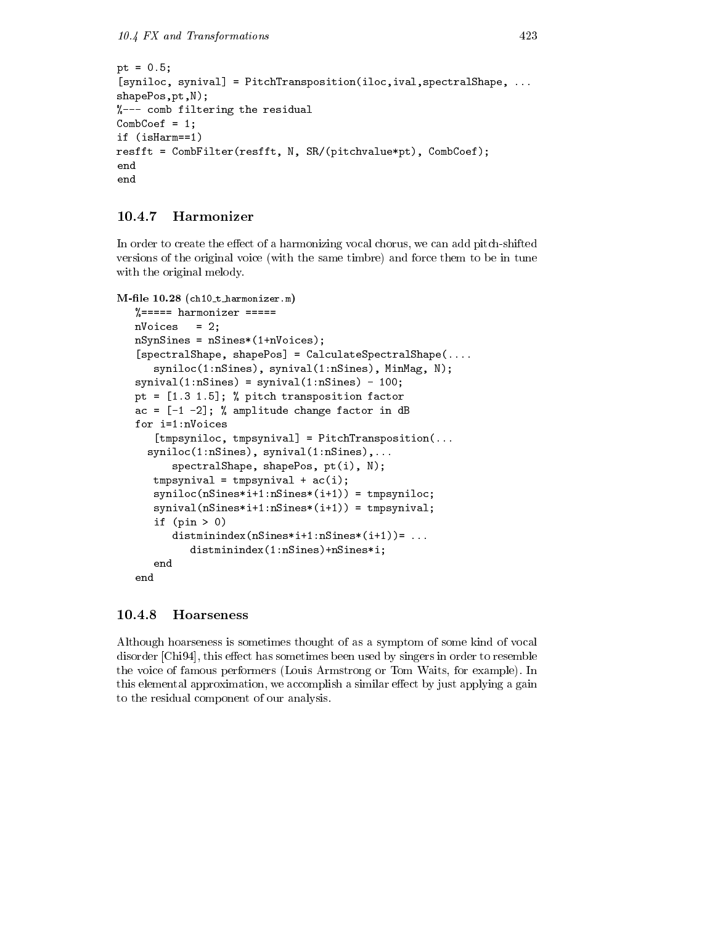```
pt = 0.5;
[syniloc, synival] = PitchTransposition(iloc,ival, spectralShape, ...shapePos,pt,N);%--- comb filtering the residual
CombCoef = 1;if (isHarm==1)
resfft = CombFilter(resfft, N, SR/(pitchvalue*pt), CombCoef);
end
end
```
#### 10.4.7 Harmonizer

In order to create the effect of a harmonizing vocal chorus, we can add pitch-shifted versions of the original voice (with the same timbre) and force them to be in tune with the original melody.

```
M-file 10.28 (ch10_t_harmonizer.m)
   \text{\%} ===== harmonizer =====
   nVoices = 2;nSynSines = nSines*(1+nVoices);[spectralShape, shapePos] = CalculateSpectralShape(....
      syniloc(1:nSines), synival(1:nSines), MinMag, N);
   synival(1:nSines) = synival(1:nSines) - 100;pt = [1.3 1.5]; % pitch transposition factor
   ac = [-1 -2]; % amplitude change factor in dB
   for i=1:nVoices
      [tmpsyniloc, tmpsynival] = PitchTransposition(...
     syniloc(1:nSines), synival(1:nSines), ...
         spectralShape, shapePos, pt(i), N);tmpsynival = tmpsynival + \text{ac}(i);
      syniloc(nSines*i+1:nSines*(i+1)) = tmpsyniloc;
      synival(nSines*i+1:nSines*(i+1)) = tmpsynival;
      if (pin > 0)distminindex(nSines* i+1:nSines*(i+1)) = ...distminindex(1:nSines) + nSines * i;end
   _{\rm end}
```
#### 10.4.8 **Hoarseness**

Although hoarseness is sometimes thought of as a symptom of some kind of vocal disorder [Chi94], this effect has sometimes been used by singers in order to resemble the voice of famous performers (Louis Armstrong or Tom Waits, for example). In this elemental approximation, we accomplish a similar effect by just applying a gain to the residual component of our analysis.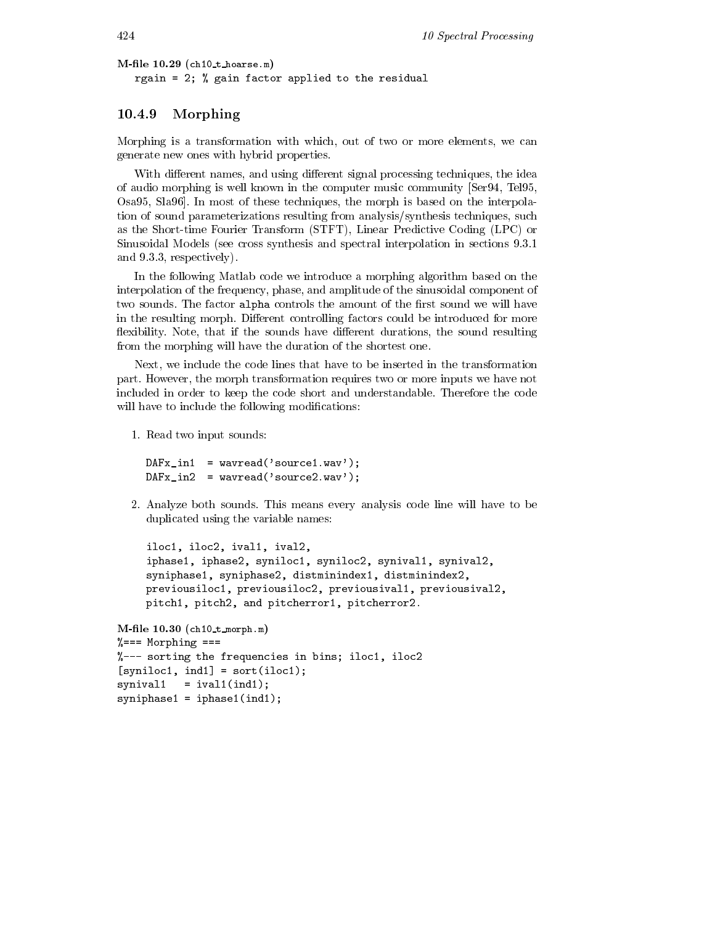```
M-file 10.29 (ch10_t_hoarse.m)
   rgain = 2; % gain factor applied to the residual
```
#### Morphing 10.4.9

Morphing is a transformation with which, out of two or more elements, we can generate new ones with hybrid properties.

With different names, and using different signal processing techniques, the idea of audio morphing is well known in the computer music community [Ser94, Tel95, Osa95, Sla96. In most of these techniques, the morph is based on the interpolation of sound parameterizations resulting from analysis/synthesis techniques, such as the Short-time Fourier Transform (STFT), Linear Predictive Coding (LPC) or Sinusoidal Models (see cross synthesis and spectral interpolation in sections 9.3.1) and  $9.3.3$ , respectively).

In the following Matlab code we introduce a morphing algorithm based on the interpolation of the frequency, phase, and amplitude of the sinusoidal component of two sounds. The factor alpha controls the amount of the first sound we will have in the resulting morph. Different controlling factors could be introduced for more flexibility. Note, that if the sounds have different durations, the sound resulting from the morphing will have the duration of the shortest one.

Next, we include the code lines that have to be inserted in the transformation part. However, the morph transformation requires two or more inputs we have not included in order to keep the code short and understandable. Therefore the code will have to include the following modifications:

1. Read two input sounds:

```
\text{DAFx}\_ \text{in1} = wavread('source1.wav');
\texttt{DAFx}\_in2 = wavread('source2.wav');
```
2. Analyze both sounds. This means every analysis code line will have to be duplicated using the variable names:

```
iloc1, iloc2, ival1, ival2,
iphase1, iphase2, syniloc1, syniloc2, synival1, synival2,
syniphase1, syniphase2, distminindex1, distminindex2,
previousiloc1, previousiloc2, previousival1, previousival2,
pitch1, pitch2, and pitcherror1, pitcherror2.
```

```
M-file 10.30 (ch10_t_morph.m)
\text{N} == \text{Morphism} ==%--- sorting the frequencies in bins; iloc1, iloc2
[syniloc1, ind1] = sort(iloc1);synival1 = ival1(int1);syniphase1 = iphase1 (ind1);
```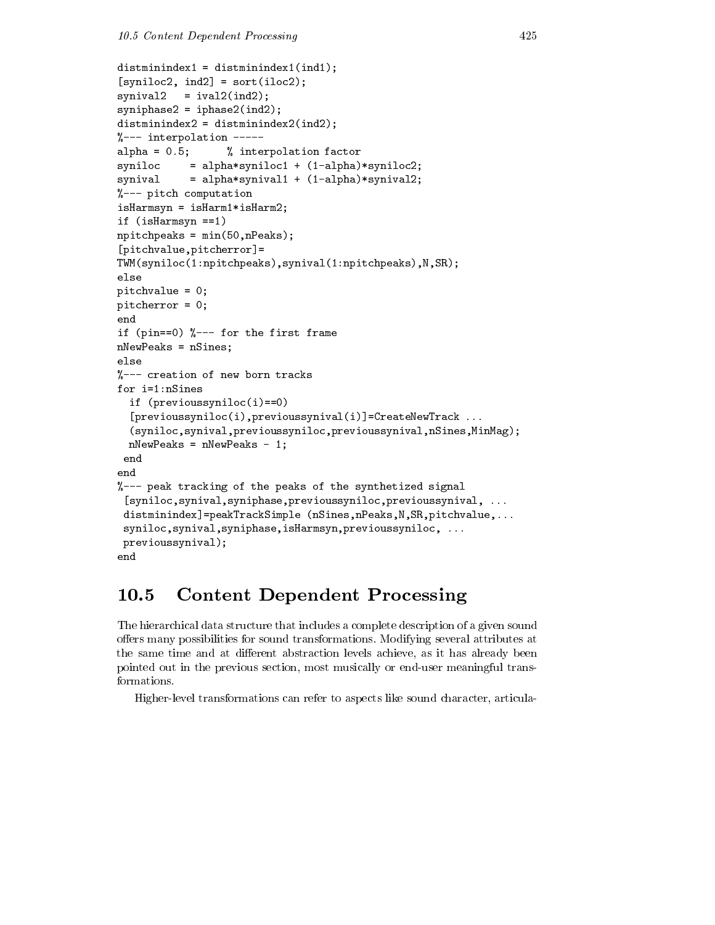```
distminindex1 = distminindex1(int1);[syniloc2, ind2] = sort(iloc2);synival2 = ival2(ind2);syniphase2 = iphase2(ind2);distminindex2 = distminindex2(intold2);%--- interpolation -----
                  % interpolation factor
alpha = 0.5;
syniloc
            = alpha*syniloc1 + (1-a1pha)*syniloc2;synival
            = alpha*synival1 + (1-a1pha)*synival2;%--- pitch computation
isHarmsyn = isHarm1*isHarm2;if (isHarmsyn ==1)
npitchpeaks = min(50, nPeaks);[pitchvalue, pitcherror]=
TWM(syniloc(1:npitchpeaks), synival(1:npitchpeaks), N, SR);
else
pitchvalue = 0;
pitcherror = 0;
end
if (pin==0) %--- for the first frame
nNewPeaks = nSines;else
%--- creation of new born tracks
for i=1:nSinesif (previoussyniloc(i)==0)
  [previoussyniloc(i), previoussynival(i)]=CreateNewTrack ...
  (syniloc, synival, previous syniloc, previous synival, nSines, MinMag);
  nNewPeaks = nNewPeaks - 1;end
and%--- peak tracking of the peaks of the synthetized signal
 [syniloc, synival, syniphase, previous syniloc, previous synival, ...
 distminindex] = peakTraceSimple (nSines, nPeaks, N, SR, pitchvalue, ...syniloc, synival, syniphase, is Harmsyn, previous syniloc, ...
 previoussynival);
end
```
#### **Content Dependent Processing** 10.5

The hierarchical data structure that includes a complete description of a given sound offers many possibilities for sound transformations. Modifying several attributes at the same time and at different abstraction levels achieve, as it has already been pointed out in the previous section, most musically or end-user meaningful transformations.

Higher-level transformations can refer to aspects like sound character, articula-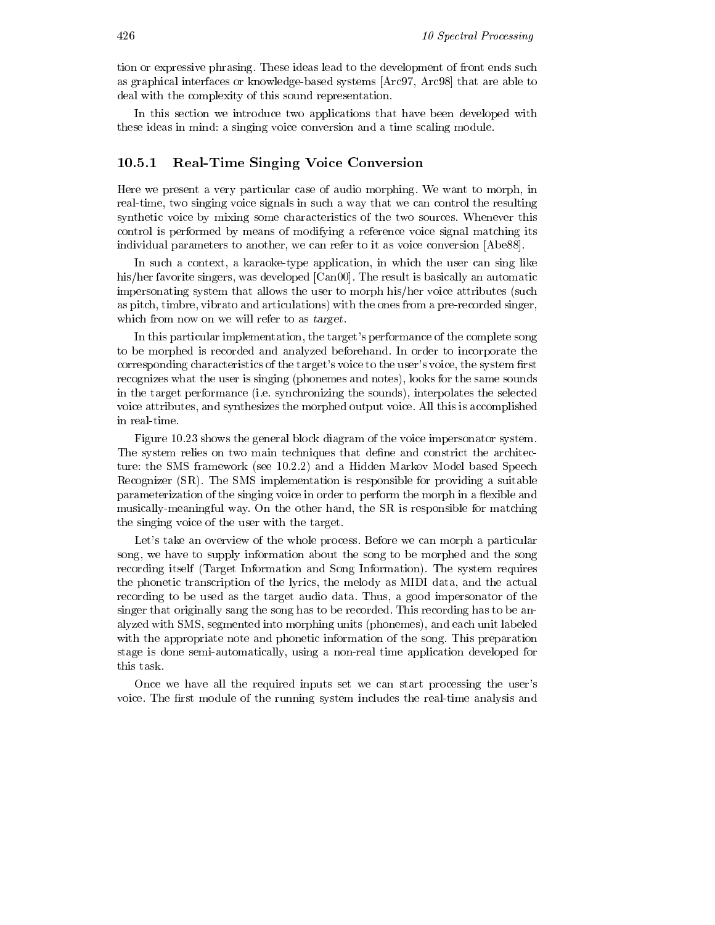tion or expressive phrasing. These ideas lead to the development of front ends such as graphical interfaces or knowledge-based systems [Arc97, Arc98] that are able to deal with the complexity of this sound representation.

In this section we introduce two applications that have been developed with these ideas in mind: a singing voice conversion and a time scaling module.

#### **Real-Time Singing Voice Conversion**  $10.5.1$

Here we present a very particular case of audio morphing. We want to morph, in real-time, two singing voice signals in such a way that we can control the resulting synthetic voice by mixing some characteristics of the two sources. Whenever this control is performed by means of modifying a reference voice signal matching its individual parameters to another, we can refer to it as voice conversion [Abe88].

In such a context, a karaoke-type application, in which the user can sing like his/her favorite singers, was developed [Can00]. The result is basically an automatic impersonating system that allows the user to morph his/her voice attributes (such as pitch, timbre, vibrato and articulations) with the ones from a pre-recorded singer, which from now on we will refer to as target.

In this particular implementation, the target's performance of the complete song to be morphed is recorded and analyzed beforehand. In order to incorporate the corresponding characteristics of the target's voice to the user's voice, the system first recognizes what the user is singing (phonemes and notes), looks for the same sounds in the target performance (i.e. synchronizing the sounds), interpolates the selected voice attributes, and synthesizes the morphed output voice. All this is accomplished in real-time.

Figure 10.23 shows the general block diagram of the voice impersonator system. The system relies on two main techniques that define and constrict the architecture: the SMS framework (see 10.2.2) and a Hidden Markov Model based Speech Recognizer (SR). The SMS implementation is responsible for providing a suitable parameterization of the singing voice in order to perform the morph in a flexible and musically-meaningful way. On the other hand, the SR is responsible for matching the singing voice of the user with the target.

Let's take an overview of the whole process. Before we can morph a particular song, we have to supply information about the song to be morphed and the song recording itself (Target Information and Song Information). The system requires the phonetic transcription of the lyrics, the melody as MIDI data, and the actual recording to be used as the target audio data. Thus, a good impersonator of the singer that originally sang the song has to be recorded. This recording has to be analyzed with SMS, segmented into morphing units (phonemes), and each unit labeled with the appropriate note and phonetic information of the song. This preparation stage is done semi-automatically, using a non-real time application developed for this task.

Once we have all the required inputs set we can start processing the user's voice. The first module of the running system includes the real-time analysis and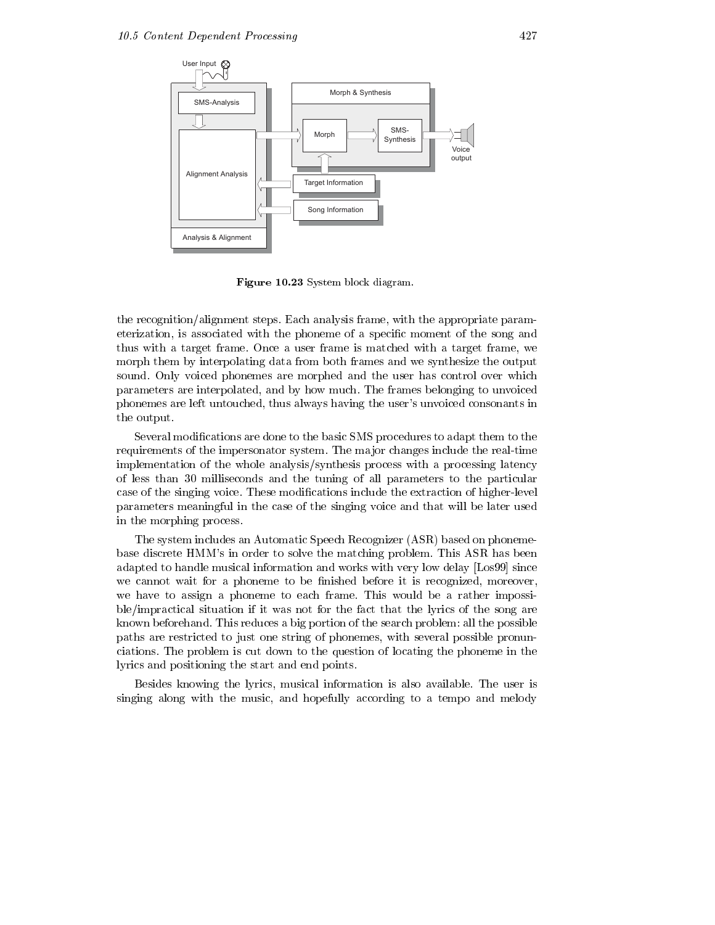

Figure 10.23 System block diagram.

the recognition/alignment steps. Each analysis frame, with the appropriate parameterization, is associated with the phoneme of a specific moment of the song and thus with a target frame. Once a user frame is matched with a target frame, we morph them by interpolating data from both frames and we synthesize the output sound. Only voiced phonemes are morphed and the user has control over which parameters are interpolated, and by how much. The frames belonging to unvoiced phonemes are left untouched, thus always having the user's unvoiced consonants in the output.

Several modifications are done to the basic SMS procedures to adapt them to the requirements of the impersonator system. The major changes include the real-time implementation of the whole analysis/synthesis process with a processing latency of less than 30 milliseconds and the tuning of all parameters to the particular case of the singing voice. These modifications include the extraction of higher-level parameters meaningful in the case of the singing voice and that will be later used in the morphing process.

The system includes an Automatic Speech Recognizer (ASR) based on phonemebase discrete HMM's in order to solve the matching problem. This ASR has been adapted to handle musical information and works with very low delay [Los99] since we cannot wait for a phoneme to be finished before it is recognized, moreover, we have to assign a phoneme to each frame. This would be a rather impossible/impractical situation if it was not for the fact that the lyrics of the song are known beforehand. This reduces a big portion of the search problem: all the possible paths are restricted to just one string of phonemes, with several possible pronunciations. The problem is cut down to the question of locating the phoneme in the lyrics and positioning the start and end points.

Besides knowing the lyrics, musical information is also available. The user is singing along with the music, and hopefully according to a tempo and melody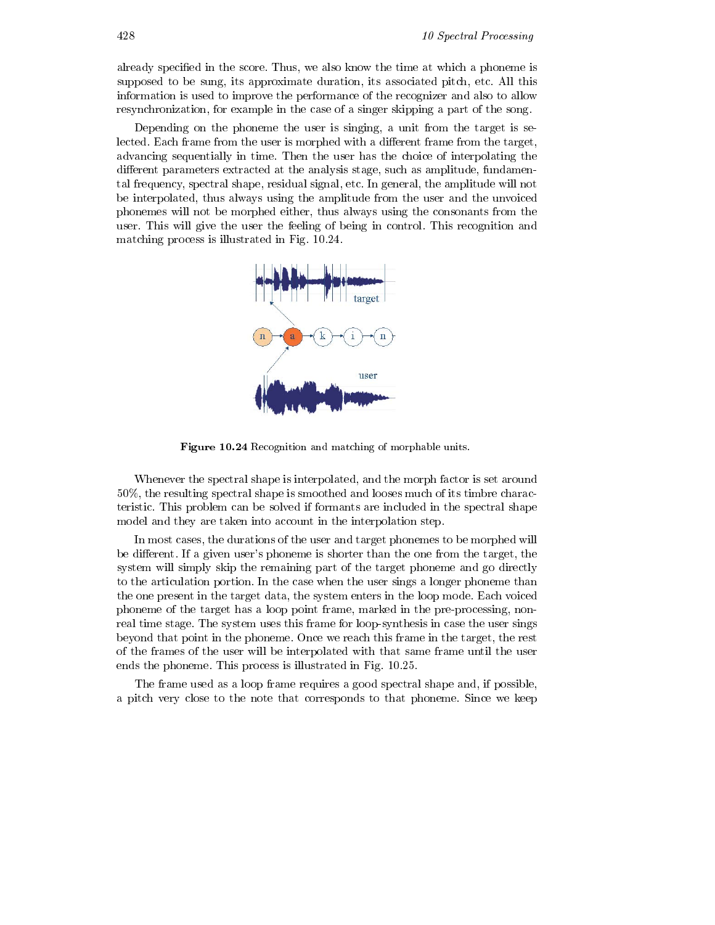already specified in the score. Thus, we also know the time at which a phoneme is supposed to be sung, its approximate duration, its associated pitch, etc. All this information is used to improve the performance of the recognizer and also to allow resynchronization, for example in the case of a singer skipping a part of the song.

Depending on the phoneme the user is singing, a unit from the target is selected. Each frame from the user is morphed with a different frame from the target, advancing sequentially in time. Then the user has the choice of interpolating the different parameters extracted at the analysis stage, such as amplitude, fundamental frequency, spectral shape, residual signal, etc. In general, the amplitude will not be interpolated, thus always using the amplitude from the user and the unvoiced phonemes will not be morphed either, thus always using the consonants from the user. This will give the user the feeling of being in control. This recognition and matching process is illustrated in Fig. 10.24.



Figure 10.24 Recognition and matching of morphable units.

Whenever the spectral shape is interpolated, and the morph factor is set around 50%, the resulting spectral shape is smoothed and looses much of its timbre characteristic. This problem can be solved if formants are included in the spectral shape model and they are taken into account in the interpolation step.

In most cases, the durations of the user and target phonemes to be morphed will be different. If a given user's phoneme is shorter than the one from the target, the system will simply skip the remaining part of the target phoneme and go directly to the articulation portion. In the case when the user sings a longer phoneme than the one present in the target data, the system enters in the loop mode. Each voiced phoneme of the target has a loop point frame, marked in the pre-processing, nonreal time stage. The system uses this frame for loop-synthesis in case the user sings beyond that point in the phoneme. Once we reach this frame in the target, the rest of the frames of the user will be interpolated with that same frame until the user ends the phoneme. This process is illustrated in Fig. 10.25.

The frame used as a loop frame requires a good spectral shape and, if possible, a pitch very close to the note that corresponds to that phoneme. Since we keep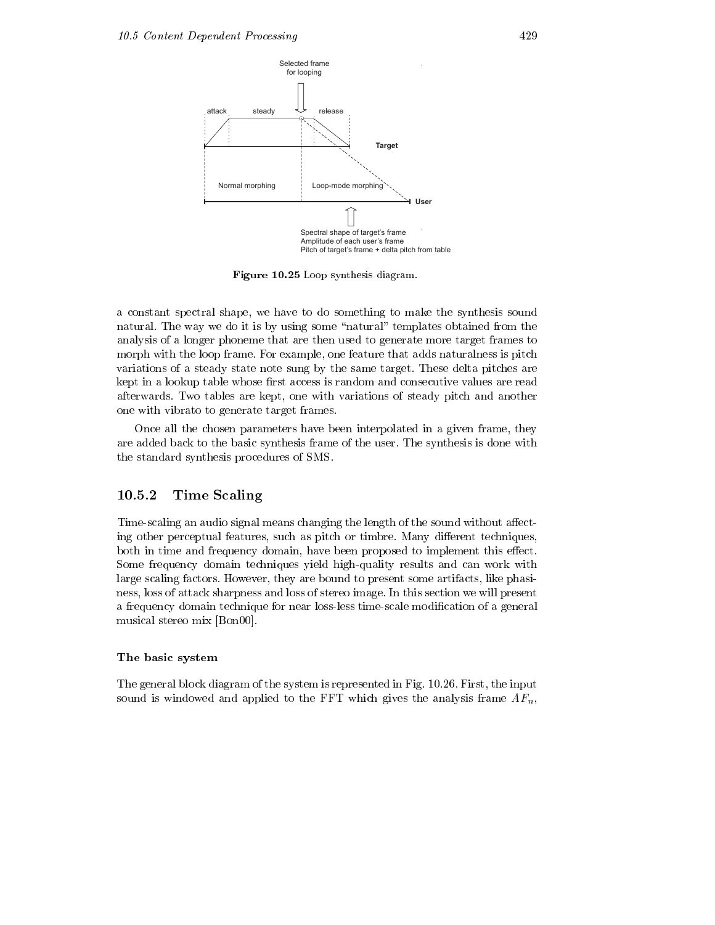

 $\blacksquare$  . The state of  $\blacksquare$  and  $\blacksquare$  and  $\blacksquare$  and  $\blacksquare$  and  $\blacksquare$  and  $\blacksquare$  and  $\blacksquare$  and  $\blacksquare$  and  $\blacksquare$  and  $\blacksquare$  and  $\blacksquare$  and  $\blacksquare$  and  $\blacksquare$  and  $\blacksquare$  and  $\blacksquare$  and  $\blacksquare$  and  $\blacksquare$  and  $\blacksquare$  and

 $\sim$  component specified since  $\sim$   $\sim$  models to the sometime of the specifies specifies of the specifies of  $\sim$ -  - @-A  - - - - - - & - -- - - -   $\ldots$  . The contrast contrast in the second contrast of the contrast contrast contrast  $\ldots$  . There is a second  - - - - -  - 

 $\alpha$  and  $\alpha$  are chosen becomes the second model with  $\alpha$  and  $\alpha$  are  $\alpha$   $\alpha$  . The model of  $\alpha$ are address watch to the watch of memorie require or the door. Into of memories to gette write  $\frac{1}{2}$  .  $\frac{1}{2}$  .  $\frac{1}{2}$  .  $\frac{1}{2}$  .  $\frac{1}{2}$  .  $\frac{1}{2}$  .  $\frac{1}{2}$  .  $\frac{1}{2}$  .  $\frac{1}{2}$  .  $\frac{1}{2}$ 

#### 10.5.2 Time Scaling

t into sociiting can corato signed mocans chemighing cho foligen of the social wrend at choose  $\mathcal{L}$  . The complete section of  $\mathcal{L}$  and  $\mathcal{L}$  are  $\mathcal{L}$  . The complete  $\mathcal{L}$  is a section of  $\mathcal{L}$  - - - - - - 6 - - - " - -  $\mathbf{r}$  , and  $\mathbf{r}$  , and  $\mathbf{r}$  are  $\mathbf{r}$  . Then  $\mathbf{r}$  are  $\mathbf{r}$  are an  $\mathbf{r}$  are an  $\mathbf{r}$  and  $\mathbf{r}$  are  $\mathbf{r}$  and  $\mathbf{r}$  are  $\mathbf{r}$  $\cdots$ ,  $\cdots$ ,  $\cdots$ ,  $\cdots$ ,  $\cdots$ ,  $\cdots$ ,  $\cdots$ ,  $\cdots$ ,  $\cdots$ ,  $\cdots$ ,  $\cdots$ ,  $\cdots$ ,  $\cdots$ ,  $\cdots$ ,  $\cdots$ ,  $\cdots$ ,  $\cdots$ ,  $\cdots$ ,  $\cdots$ ,  $\cdots$ ,  $\cdots$ ,  $\cdots$ ,  $\cdots$ ,  $\cdots$ ,  $\cdots$ ,  $\cdots$ ,  $\cdots$ ,  $\cdots$ ,  $\cdots$ ,  $\cdots$ ,  $\cdots$ ,  $\cdots$ we recognized a common contrad we refer to be found to the character and will contain of a gordon of :-((;

## The basic system

The general block diagram of the system is represented in Fig. 10.26. First, the input - - - && -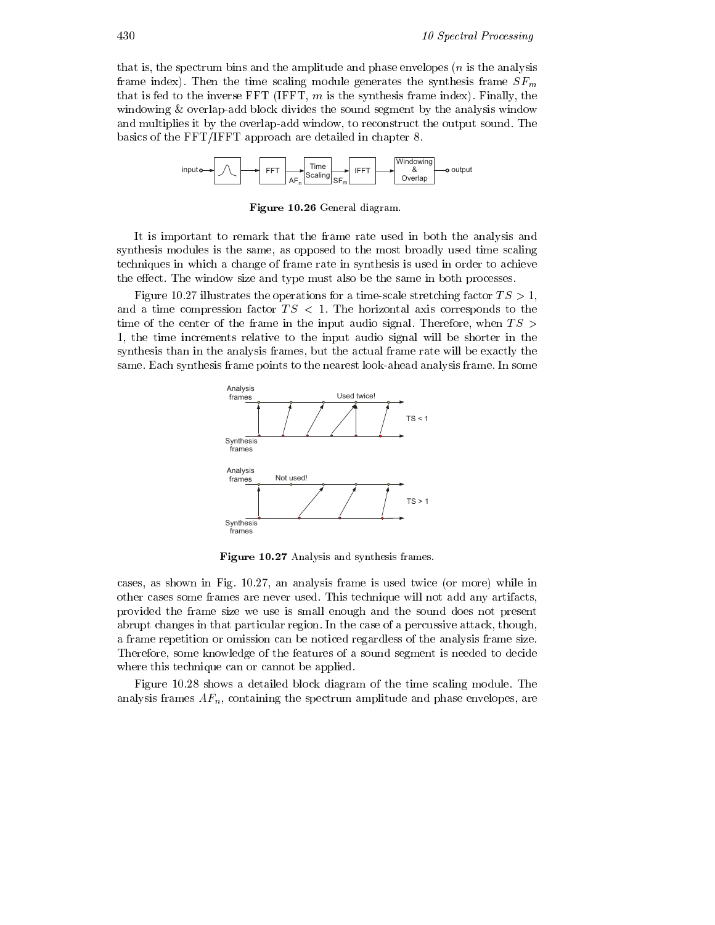that is, the spectrum bins and the amplitude and phase envelopes  $(n$  is the analysis frame index). Then the time scaling module generates the synthesis frame  $SF_m$ that is fed to the inverse FFT (IFFT,  $m$  is the synthesis frame index). Finally, the windowing & overlap-add block divides the sound segment by the analysis window and multiplies it by the overlap-add window, to reconstruct the output sound. The basics of the FFT/IFFT approach are detailed in chapter 8.



Figure 10.26 General diagram.

It is important to remark that the frame rate used in both the analysis and synthesis modules is the same, as opposed to the most broadly used time scaling techniques in which a change of frame rate in synthesis is used in order to achieve the effect. The window size and type must also be the same in both processes.

Figure 10.27 illustrates the operations for a time-scale stretching factor  $TS > 1$ , and a time compression factor  $TS < 1$ . The horizontal axis corresponds to the time of the center of the frame in the input audio signal. Therefore, when  $TS >$ 1, the time increments relative to the input audio signal will be shorter in the synthesis than in the analysis frames, but the actual frame rate will be exactly the same. Each synthesis frame points to the nearest look-ahead analysis frame. In some



Figure 10.27 Analysis and synthesis frames.

cases, as shown in Fig. 10.27, an analysis frame is used twice (or more) while in other cases some frames are never used. This technique will not add any artifacts, provided the frame size we use is small enough and the sound does not present abrupt changes in that particular region. In the case of a percussive attack, though. a frame repetition or omission can be noticed regardless of the analysis frame size. Therefore, some knowledge of the features of a sound segment is needed to decide where this technique can or cannot be applied.

Figure 10.28 shows a detailed block diagram of the time scaling module. The analysis frames  $AF_n$ , containing the spectrum amplitude and phase envelopes, are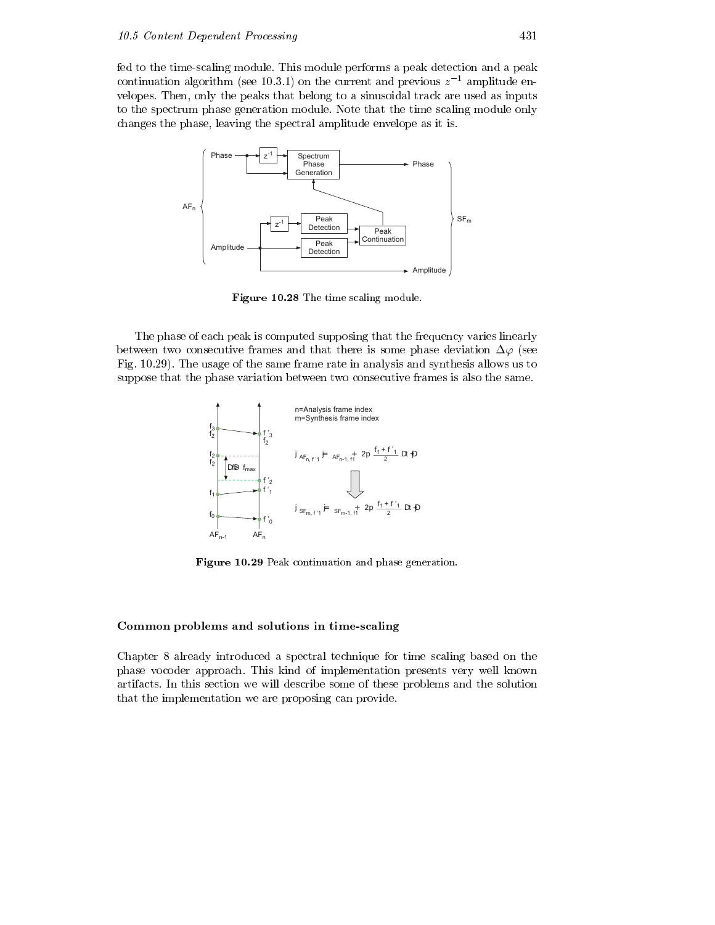" - 
 - continuation algorithm (see 10.3.1) on the current and previous  $z^{-1}$  amplitude en- - - 
 - - 
 - - - F - - - - -



 $\blacksquare$  .  $\blacksquare$   $\blacksquare$   $\blacksquare$   $\blacksquare$   $\blacksquare$   $\blacksquare$   $\blacksquare$   $\blacksquare$   $\blacksquare$   $\blacksquare$   $\blacksquare$   $\blacksquare$   $\blacksquare$   $\blacksquare$   $\blacksquare$   $\blacksquare$   $\blacksquare$   $\blacksquare$   $\blacksquare$   $\blacksquare$   $\blacksquare$   $\blacksquare$   $\blacksquare$   $\blacksquare$   $\blacksquare$   $\blacksquare$   $\blacksquare$   $\blacksquare$   $\blacksquare$   $\blacksquare$   $\$ 

 $\blacksquare$  . The pressure of contraction corresponds a suppression that is an individually restrict that  $\omega$ - - - - O % Fig. 10.29). The usage of the same frame rate in analysis and synthesis allows us to - - - 



r igar o rose o rom continuation and phase generation.

## -  
#

G . - - -  - - - - - -writewish the state sections are also sensingly because of shows which which sense showed - - - -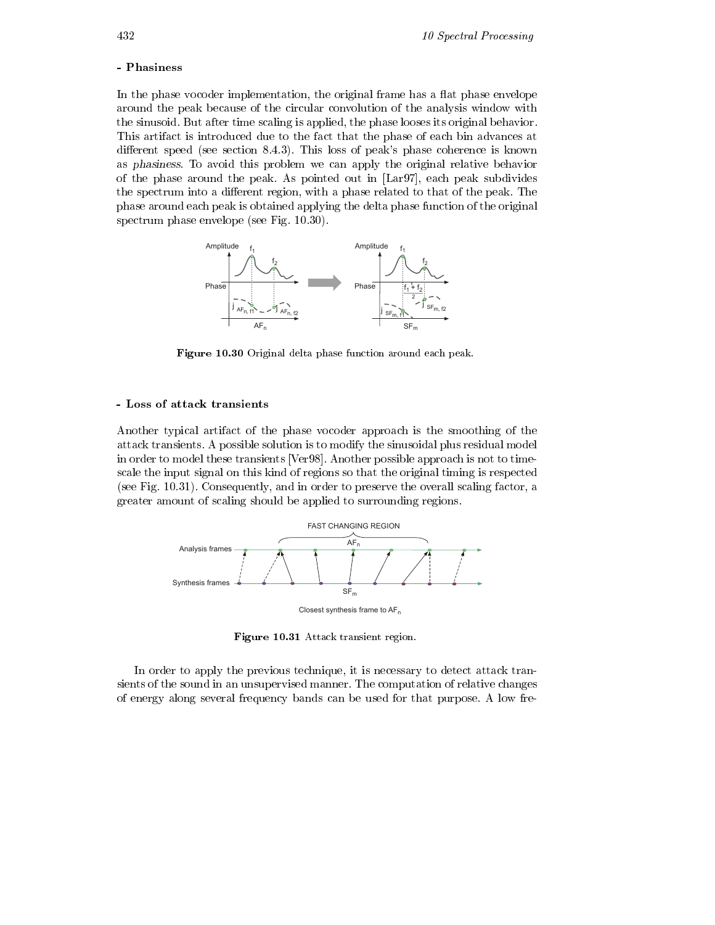## #

- - - - we cannot the power socialist of the chemical completence of the when pass hereon himself ene ennas ora: lo ae enen ennre secunity is applied; ene prices rooses fos engineer senter. the control is introduced who to the fact the site phases of cathing with the control of - % - .-+) Q - --  - -  - <sup>5</sup> - - :N/,;  ene specifican mos a chirerene regione a sien a phase reneca co chao er che pean. The  $\mathcal{L}$  , and  $\mathcal{L}$  and  $\mathcal{L}$  are considered applying and across prime removement or existing  $\mathcal{L}$ spectrum phase envelope (see Fig. 10.30).



r rydro roloo Original dolas pilabo ranocion around oach poam.

## **EV EVELOPE CONVEYER OF CHILD CITY**

 $\mathbf{1}$  - - 5  - - - - - :E/.; 5-  - " - - - - - - - (see Fig. 10.31). Consequently, and in order to preserve the overall scaling factor, a  $A$  .  $A$  .  $A$  .  $A$  .  $A$  .  $A$  .  $A$  .  $A$  .  $A$  .  $A$  .  $A$  .  $A$  .  $A$  .  $A$  .  $A$  .  $A$  .  $A$  .  $A$  .  $A$  .  $A$  .  $A$  .  $A$  .  $A$  .  $A$  .  $A$  .  $A$  .  $A$  .  $A$  .  $A$  .  $A$  .  $A$  .  $A$  .  $A$  .  $A$  .  $A$  .  $A$  .  $A$  .



Closest synthesis frame to  $AF_n$ 

- ( 

in dract to which the brother technique it is nothing to get active we are the state. - - - - - -- - extending collecting requested control come of the stress particles in the set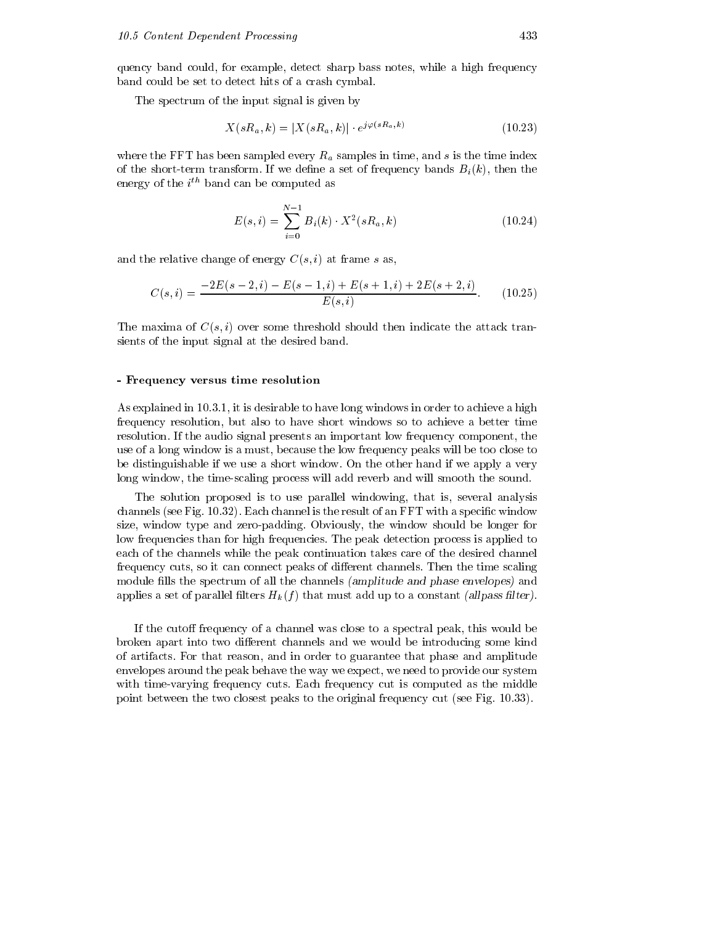quency band could, for example, detect sharp bass notes, while a high frequency band could be set to detect hits of a crash cymbal.

The spectrum of the input signal is given by

$$
X(sR_a, k) = |X(sR_a, k)| \cdot e^{j\varphi(sR_a, k)} \tag{10.23}
$$

where the FFT has been sampled every  $R_a$  samples in time, and s is the time index of the short-term transform. If we define a set of frequency bands  $B_i(k)$ , then the energy of the  $i^{th}$  band can be computed as

$$
E(s,i) = \sum_{i=0}^{N-1} B_i(k) \cdot X^2(sR_a, k)
$$
 (10.24)

and the relative change of energy  $C(s, i)$  at frame s as,

$$
C(s,i) = \frac{-2E(s-2,i) - E(s-1,i) + E(s+1,i) + 2E(s+2,i)}{E(s,i)}.
$$
 (10.25)

The maxima of  $C(s, i)$  over some threshold should then indicate the attack transients of the input signal at the desired band.

## - Frequency versus time resolution

As explained in 10.3.1, it is desirable to have long windows in order to achieve a high frequency resolution, but also to have short windows so to achieve a better time resolution. If the audio signal presents an important low frequency component, the use of a long window is a must, because the low frequency peaks will be too close to be distinguishable if we use a short window. On the other hand if we apply a very long window, the time-scaling process will add reverb and will smooth the sound.

The solution proposed is to use parallel windowing, that is, several analysis channels (see Fig. 10.32). Each channel is the result of an FFT with a specific window size, window type and zero-padding. Obviously, the window should be longer for low frequencies than for high frequencies. The peak detection process is applied to each of the channels while the peak continuation takes care of the desired channel frequency cuts, so it can connect peaks of different channels. Then the time scaling module fills the spectrum of all the channels (amplitude and phase envelopes) and applies a set of parallel filters  $H_k(f)$  that must add up to a constant (allpass filter).

If the cutoff frequency of a channel was close to a spectral peak, this would be broken apart into two different channels and we would be introducing some kind of artifacts. For that reason, and in order to guarantee that phase and amplitude envelopes around the peak behave the way we expect, we need to provide our system with time-varying frequency cuts. Each frequency cut is computed as the middle point between the two closest peaks to the original frequency cut (see Fig. 10.33).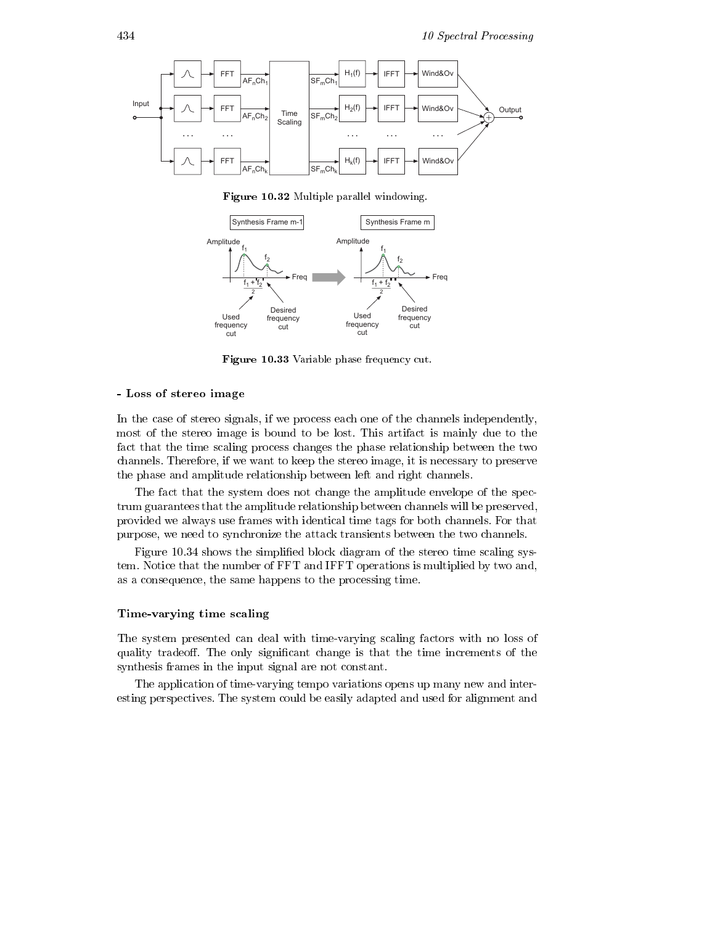

Figure 10.32 Multiple parallel windowing



Figure 10.33 Variable phase frequency cut.

## - Loss of stereo image

In the case of stereo signals, if we process each one of the channels independently, most of the stereo image is bound to be lost. This artifact is mainly due to the fact that the time scaling process changes the phase relationship between the two channels. Therefore, if we want to keep the stereo image, it is necessary to preserve the phase and amplitude relationship between left and right channels.

The fact that the system does not change the amplitude envelope of the spectrum guarantees that the amplitude relationship between channels will be preserved, provided we always use frames with identical time tags for both channels. For that purpose, we need to synchronize the attack transients between the two channels.

Figure 10.34 shows the simplified block diagram of the stereo time scaling system. Notice that the number of FFT and IFFT operations is multiplied by two and, as a consequence, the same happens to the processing time.

## Time-varying time scaling

The system presented can deal with time-varying scaling factors with no loss of quality tradeoff. The only significant change is that the time increments of the synthesis frames in the input signal are not constant.

The application of time-varying tempo variations opens up many new and interesting perspectives. The system could be easily adapted and used for alignment and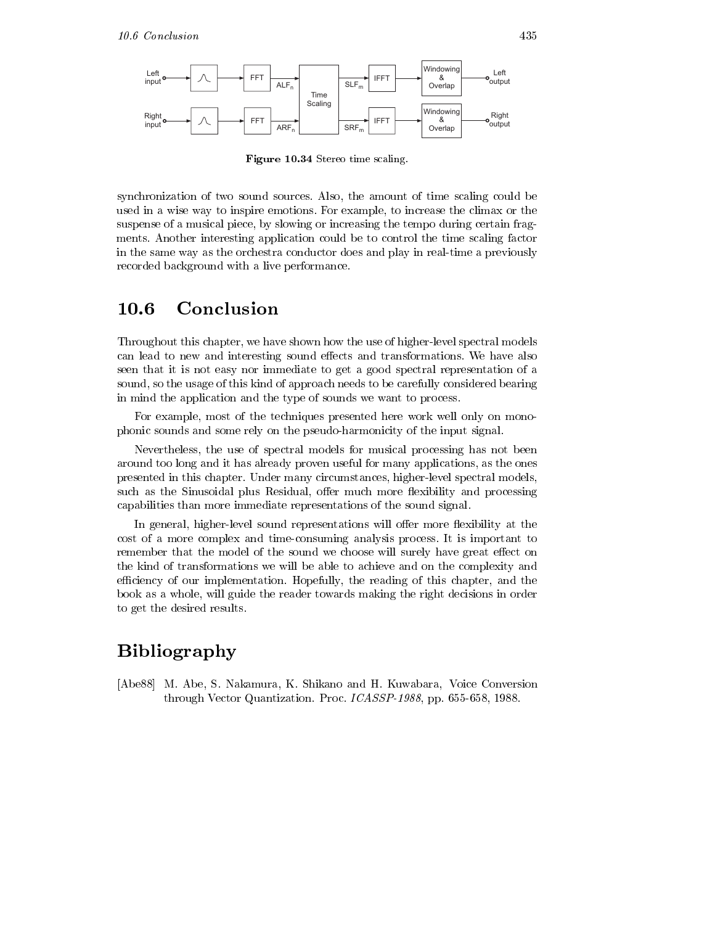

Figure 10.34 Stereo time scaling.

synchronization of two sound sources. Also, the amount of time scaling could be used in a wise way to inspire emotions. For example, to increase the climax or the suspense of a musical piece, by slowing or increasing the tempo during certain fragments. Another interesting application could be to control the time scaling factor in the same way as the orchestra conductor does and play in real-time a previously recorded background with a live performance.

### Conclusion **10.6**

Throughout this chapter, we have shown how the use of higher-level spectral models can lead to new and interesting sound effects and transformations. We have also seen that it is not easy nor immediate to get a good spectral representation of a sound, so the usage of this kind of approach needs to be carefully considered bearing in mind the application and the type of sounds we want to process.

For example, most of the techniques presented here work well only on monophonic sounds and some rely on the pseudo-harmonicity of the input signal.

Nevertheless, the use of spectral models for musical processing has not been around too long and it has already proven useful for many applications, as the ones presented in this chapter. Under many circumstances, higher-level spectral models, such as the Sinusoidal plus Residual, offer much more flexibility and processing capabilities than more immediate representations of the sound signal.

In general, higher-level sound representations will offer more flexibility at the cost of a more complex and time-consuming analysis process. It is important to remember that the model of the sound we choose will surely have great effect on the kind of transformations we will be able to achieve and on the complexity and efficiency of our implementation. Hopefully, the reading of this chapter, and the book as a whole, will guide the reader towards making the right decisions in order to get the desired results.

## **Bibliography**

[Abe88] M. Abe, S. Nakamura, K. Shikano and H. Kuwabara, Voice Conversion through Vector Quantization. Proc. ICASSP-1988, pp. 655-658, 1988.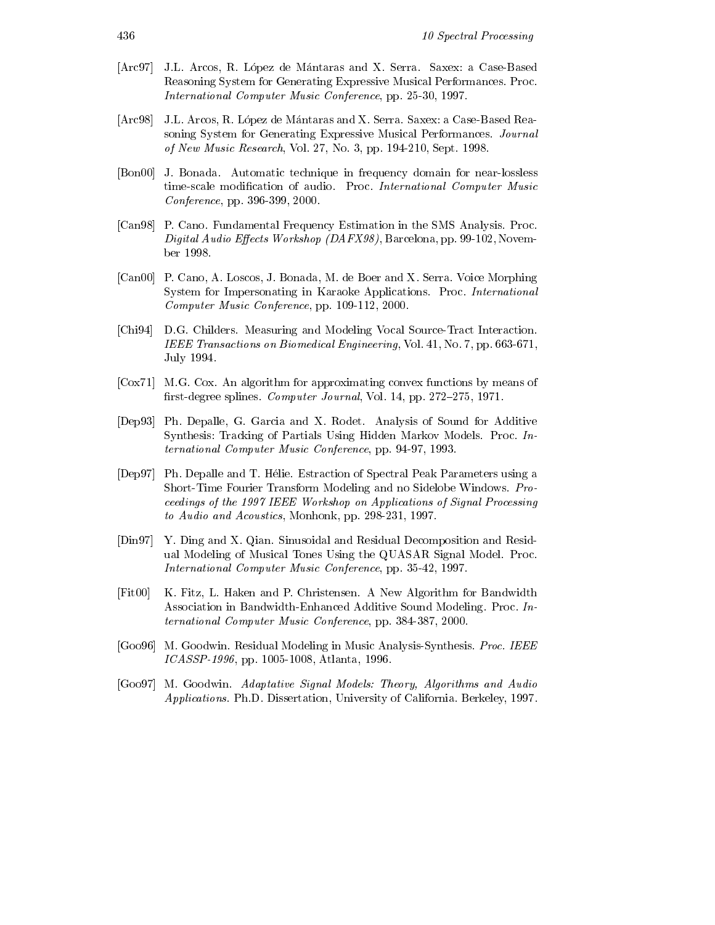- $[Arc97]$ J.L. Arcos, R. López de Mántaras and X. Serra. Saxex: a Case-Based Reasoning System for Generating Expressive Musical Performances. Proc. International Computer Music Conference, pp. 25-30, 1997.
- $[Arc98]$ J.L. Arcos, R. López de Mántaras and X. Serra. Saxex: a Case-Based Reasoning System for Generating Expressive Musical Performances. Journal of New Music Research, Vol. 27, No. 3, pp. 194-210, Sept. 1998.
- [Bon00] J. Bonada. Automatic technique in frequency domain for near-lossless time-scale modification of audio. Proc. International Computer Music Conference, pp. 396-399, 2000.
- [Can98] P. Cano. Fundamental Frequency Estimation in the SMS Analysis. Proc. Digital Audio Effects Workshop (DAFX98), Barcelona, pp. 99-102, November 1998.
- [Can00] P. Cano, A. Loscos, J. Bonada, M. de Boer and X. Serra. Voice Morphing System for Impersonating in Karaoke Applications. Proc. International Computer Music Conference, pp. 109-112, 2000.
- [Chi94] D.G. Childers. Measuring and Modeling Vocal Source-Tract Interaction. IEEE Transactions on Biomedical Engineering, Vol. 41, No. 7, pp. 663-671, July 1994.
- $\left[\text{Cox71}\right]$  M.G. Cox. An algorithm for approximating convex functions by means of first-degree splines. *Computer Journal*, Vol. 14, pp.  $272-275$ , 1971.
- $[Dep93]$ Ph. Depalle, G. Garcia and X. Rodet. Analysis of Sound for Additive Synthesis: Tracking of Partials Using Hidden Markov Models. Proc. International Computer Music Conference, pp. 94-97, 1993.
- [Dep97] Ph. Depalle and T. Hélie. Estraction of Spectral Peak Parameters using a Short-Time Fourier Transform Modeling and no Sidelobe Windows. Proceedings of the 1997 IEEE Workshop on Applications of Signal Processing to Audio and Acoustics, Monhonk, pp. 298-231, 1997.
- $[Din97]$ Y. Ding and X. Qian. Sinusoidal and Residual Decomposition and Residual Modeling of Musical Tones Using the QUASAR Signal Model. Proc. International Computer Music Conference, pp. 35-42, 1997.
- $[Fit00]$ K. Fitz, L. Haken and P. Christensen. A New Algorithm for Bandwidth Association in Bandwidth-Enhanced Additive Sound Modeling. Proc. International Computer Music Conference, pp. 384-387, 2000.
- [Goo96] M. Goodwin. Residual Modeling in Music Analysis-Synthesis. Proc. IEEE  $ICASSP-1996$ , pp. 1005-1008, Atlanta, 1996.
- [Goo97] M. Goodwin. Adaptative Signal Models: Theory, Algorithms and Audio Applications. Ph.D. Dissertation, University of California. Berkeley, 1997.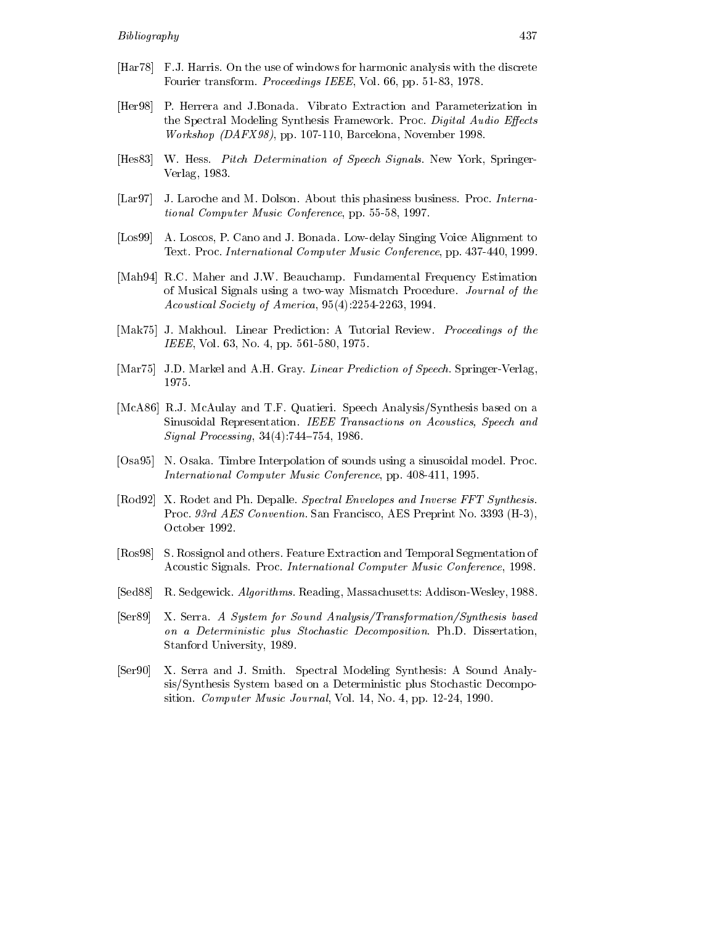- [Har 78] F.J. Harris. On the use of windows for harmonic analysis with the discrete Fourier transform. *Proceedings IEEE*, Vol. 66, pp. 51-83, 1978.
- [Her98] P. Herrera and J.Bonada. Vibrato Extraction and Parameterization in the Spectral Modeling Synthesis Framework. Proc. Digital Audio Effects Workshop (DAFX98), pp. 107-110, Barcelona, November 1998.
- $[Hes83]$ W. Hess. Pitch Determination of Speech Signals. New York, Springer-Verlag, 1983.
- J. Laroche and M. Dolson. About this phasiness business. Proc. Interna- $\left[ \text{Lar}97\right]$ tional Computer Music Conference, pp. 55-58, 1997.
- $[Loss99]$ A. Loscos, P. Cano and J. Bonada. Low-delay Singing Voice Alignment to Text. Proc. International Computer Music Conference, pp. 437-440, 1999.
- [Mah94] R.C. Maher and J.W. Beauchamp. Fundamental Frequency Estimation of Musical Signals using a two-way Mismatch Procedure. Journal of the Acoustical Society of America,  $95(4)$ :2254-2263, 1994.
- [Mak75] J. Makhoul. Linear Prediction: A Tutorial Review. Proceedings of the IEEE, Vol. 63, No. 4, pp. 561-580, 1975.
- [Mar75] J.D. Markel and A.H. Gray. *Linear Prediction of Speech*. Springer-Verlag, 1975.
- [McA86] R.J. McAulay and T.F. Quatieri. Speech Analysis/Synthesis based on a Sinusoidal Representation. IEEE Transactions on Acoustics, Speech and Signal Processing, 34(4):744-754, 1986.
- [Osa95] N. Osaka. Timbre Interpolation of sounds using a sinusoidal model. Proc. International Computer Music Conference, pp. 408-411, 1995.
- [Rod92] X. Rodet and Ph. Depalle. Spectral Envelopes and Inverse FFT Synthesis. Proc. 93rd AES Convention. San Francisco, AES Preprint No. 3393 (H-3), October 1992.
- [Ros98] S. Rossignol and others. Feature Extraction and Temporal Segmentation of Acoustic Signals. Proc. International Computer Music Conference, 1998.
- [Sed88] R. Sedgewick. Algorithms. Reading, Massachusetts: Addison-Wesley, 1988.
- $\left[$ Ser $89\right]$ X. Serra. A System for Sound Analysis/Transformation/Synthesis based on a Deterministic plus Stochastic Decomposition. Ph.D. Dissertation, Stanford University, 1989.
- X. Serra and J. Smith. Spectral Modeling Synthesis: A Sound Analy- $\lbrack \mathrm{Ser90} \rbrack$ sis/Synthesis System based on a Deterministic plus Stochastic Decomposition. Computer Music Journal, Vol. 14, No. 4, pp. 12-24, 1990.